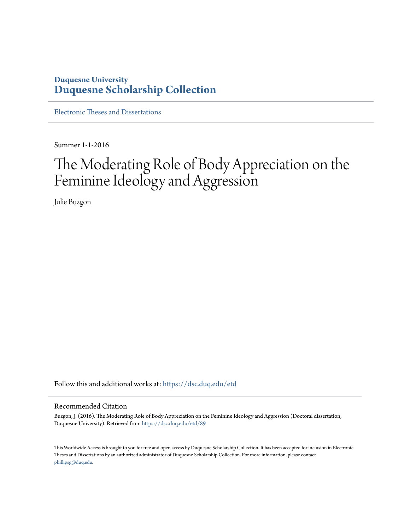## **Duquesne University [Duquesne Scholarship Collection](https://dsc.duq.edu?utm_source=dsc.duq.edu%2Fetd%2F89&utm_medium=PDF&utm_campaign=PDFCoverPages)**

[Electronic Theses and Dissertations](https://dsc.duq.edu/etd?utm_source=dsc.duq.edu%2Fetd%2F89&utm_medium=PDF&utm_campaign=PDFCoverPages)

Summer 1-1-2016

# The Moderating Role of Body Appreciation on the Feminine Ideology and Aggression

Julie Buzgon

Follow this and additional works at: [https://dsc.duq.edu/etd](https://dsc.duq.edu/etd?utm_source=dsc.duq.edu%2Fetd%2F89&utm_medium=PDF&utm_campaign=PDFCoverPages)

#### Recommended Citation

Buzgon, J. (2016). The Moderating Role of Body Appreciation on the Feminine Ideology and Aggression (Doctoral dissertation, Duquesne University). Retrieved from [https://dsc.duq.edu/etd/89](https://dsc.duq.edu/etd/89?utm_source=dsc.duq.edu%2Fetd%2F89&utm_medium=PDF&utm_campaign=PDFCoverPages)

This Worldwide Access is brought to you for free and open access by Duquesne Scholarship Collection. It has been accepted for inclusion in Electronic Theses and Dissertations by an authorized administrator of Duquesne Scholarship Collection. For more information, please contact [phillipsg@duq.edu.](mailto:phillipsg@duq.edu)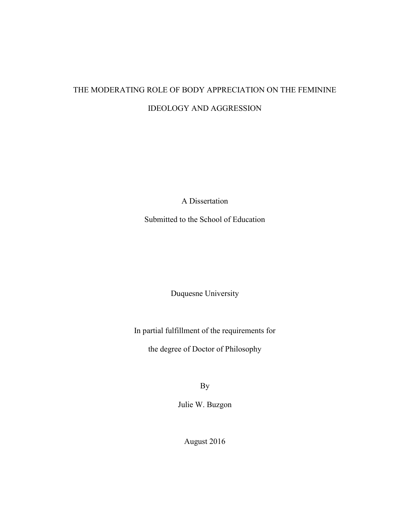## THE MODERATING ROLE OF BODY APPRECIATION ON THE FEMININE IDEOLOGY AND AGGRESSION

A Dissertation

Submitted to the School of Education

Duquesne University

In partial fulfillment of the requirements for

the degree of Doctor of Philosophy

By

Julie W. Buzgon

August 2016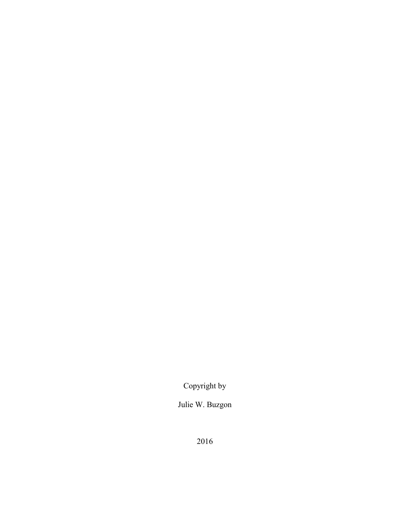Copyright by

Julie W. Buzgon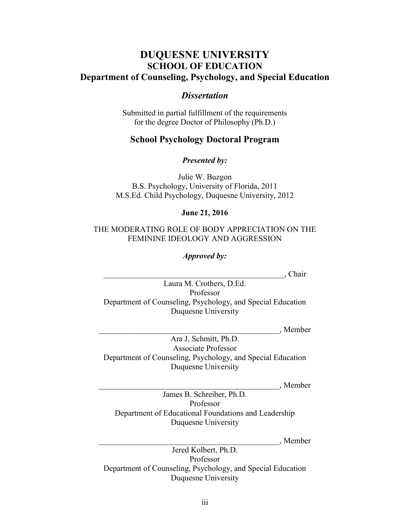## **DUQUESNE UNIVERSITY SCHOOL OF EDUCATION Department of Counseling, Psychology, and Special Education**

### *Dissertation*

Submitted in partial fulfillment of the requirements for the degree Doctor of Philosophy (Ph.D.)

## **School Psychology Doctoral Program**

*Presented by:*

Julie W. Buzgon B.S. Psychology, University of Florida, 2011 M.S.Ed. Child Psychology, Duquesne University, 2012

### **June 21, 2016**

#### THE MODERATING ROLE OF BODY APPRECIATION ON THE FEMININE IDEOLOGY AND AGGRESSION

*Approved by:*

\_\_\_\_\_\_\_\_\_\_\_\_\_\_\_\_\_\_\_\_\_\_\_\_\_\_\_\_\_\_\_\_\_\_\_\_\_\_\_\_\_\_\_\_\_, Chair

Laura M. Crothers, D.Ed. Professor Department of Counseling, Psychology, and Special Education Duquesne University

\_\_\_\_\_\_\_\_\_\_\_\_\_\_\_\_\_\_\_\_\_\_\_\_\_\_\_\_\_\_\_\_\_\_\_\_\_\_\_\_\_\_\_\_\_, Member

Ara J. Schmitt, Ph.D. Associate Professor Department of Counseling, Psychology, and Special Education Duquesne University

\_\_\_\_\_\_\_\_\_\_\_\_\_\_\_\_\_\_\_\_\_\_\_\_\_\_\_\_\_\_\_\_\_\_\_\_\_\_\_\_\_\_\_\_\_, Member

James B. Schreiber, Ph.D. Professor Department of Educational Foundations and Leadership Duquesne University

\_\_\_\_\_\_\_\_\_\_\_\_\_\_\_\_\_\_\_\_\_\_\_\_\_\_\_\_\_\_\_\_\_\_\_\_\_\_\_\_\_\_\_\_\_, Member

Jered Kolbert, Ph.D. Professor Department of Counseling, Psychology, and Special Education Duquesne University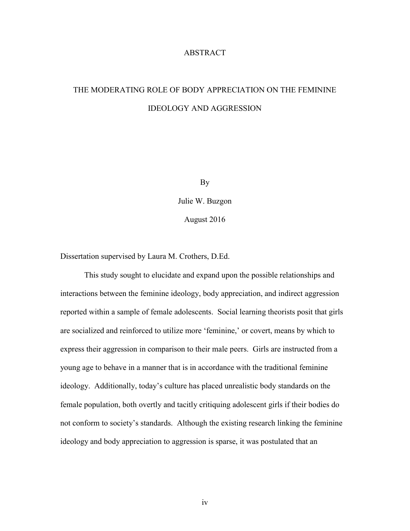#### ABSTRACT

## THE MODERATING ROLE OF BODY APPRECIATION ON THE FEMININE IDEOLOGY AND AGGRESSION

By

Julie W. Buzgon August 2016

Dissertation supervised by Laura M. Crothers, D.Ed.

This study sought to elucidate and expand upon the possible relationships and interactions between the feminine ideology, body appreciation, and indirect aggression reported within a sample of female adolescents. Social learning theorists posit that girls are socialized and reinforced to utilize more 'feminine,' or covert, means by which to express their aggression in comparison to their male peers. Girls are instructed from a young age to behave in a manner that is in accordance with the traditional feminine ideology. Additionally, today's culture has placed unrealistic body standards on the female population, both overtly and tacitly critiquing adolescent girls if their bodies do not conform to society's standards. Although the existing research linking the feminine ideology and body appreciation to aggression is sparse, it was postulated that an

iv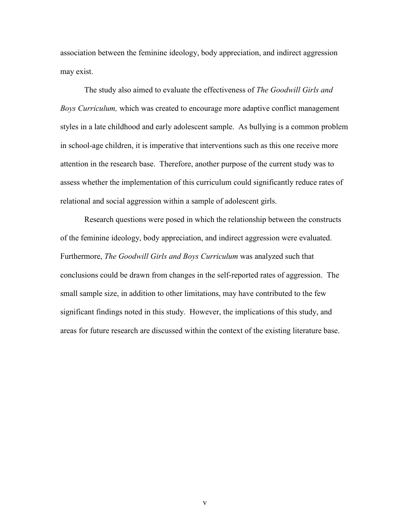association between the feminine ideology, body appreciation, and indirect aggression may exist.

The study also aimed to evaluate the effectiveness of *The Goodwill Girls and Boys Curriculum,* which was created to encourage more adaptive conflict management styles in a late childhood and early adolescent sample. As bullying is a common problem in school-age children, it is imperative that interventions such as this one receive more attention in the research base. Therefore, another purpose of the current study was to assess whether the implementation of this curriculum could significantly reduce rates of relational and social aggression within a sample of adolescent girls.

Research questions were posed in which the relationship between the constructs of the feminine ideology, body appreciation, and indirect aggression were evaluated. Furthermore, *The Goodwill Girls and Boys Curriculum* was analyzed such that conclusions could be drawn from changes in the self-reported rates of aggression. The small sample size, in addition to other limitations, may have contributed to the few significant findings noted in this study. However, the implications of this study, and areas for future research are discussed within the context of the existing literature base.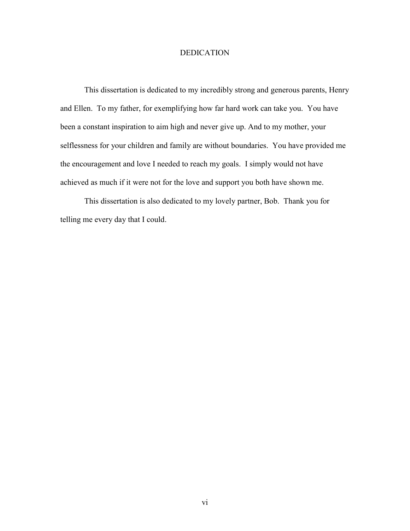#### DEDICATION

This dissertation is dedicated to my incredibly strong and generous parents, Henry and Ellen. To my father, for exemplifying how far hard work can take you. You have been a constant inspiration to aim high and never give up. And to my mother, your selflessness for your children and family are without boundaries. You have provided me the encouragement and love I needed to reach my goals. I simply would not have achieved as much if it were not for the love and support you both have shown me.

This dissertation is also dedicated to my lovely partner, Bob. Thank you for telling me every day that I could.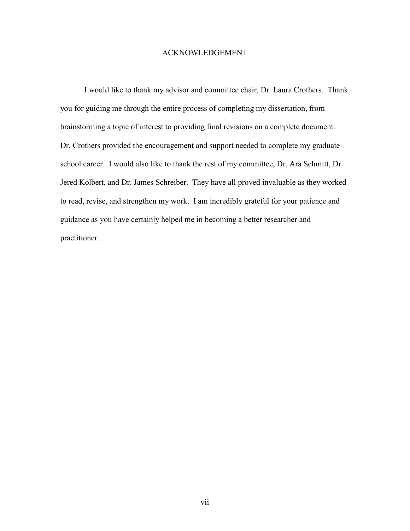#### ACKNOWLEDGEMENT

I would like to thank my advisor and committee chair, Dr. Laura Crothers. Thank you for guiding me through the entire process of completing my dissertation, from brainstorming a topic of interest to providing final revisions on a complete document. Dr. Crothers provided the encouragement and support needed to complete my graduate school career. I would also like to thank the rest of my committee, Dr. Ara Schmitt, Dr. Jered Kolbert, and Dr. James Schreiber. They have all proved invaluable as they worked to read, revise, and strengthen my work. I am incredibly grateful for your patience and guidance as you have certainly helped me in becoming a better researcher and practitioner.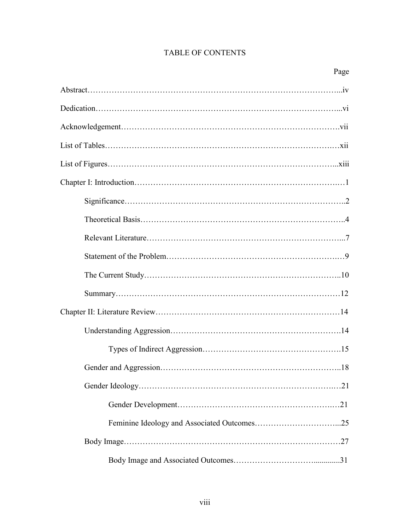## TABLE OF CONTENTS

| Page |
|------|
|      |
|      |
|      |
|      |
|      |
|      |
|      |
|      |
|      |
|      |
|      |
|      |
|      |
|      |
|      |
|      |
|      |
|      |
|      |
|      |
|      |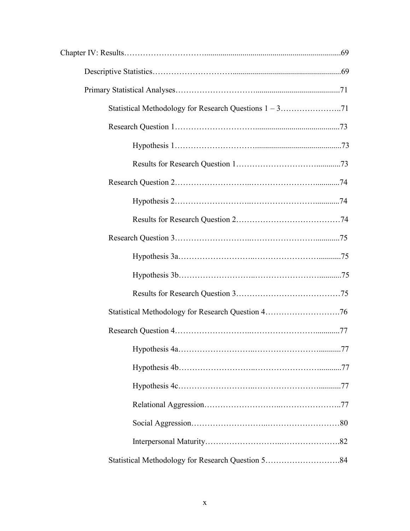| Statistical Methodology for Research Question 584 |  |
|---------------------------------------------------|--|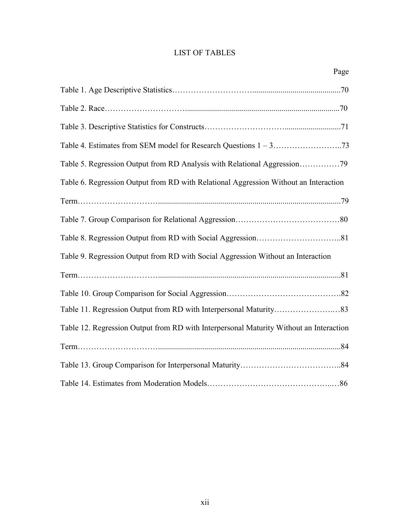## LIST OF TABLES

|                                                                                        | Page |
|----------------------------------------------------------------------------------------|------|
|                                                                                        |      |
|                                                                                        |      |
|                                                                                        |      |
|                                                                                        |      |
| Table 5. Regression Output from RD Analysis with Relational Aggression79               |      |
| Table 6. Regression Output from RD with Relational Aggression Without an Interaction   |      |
|                                                                                        |      |
|                                                                                        |      |
|                                                                                        |      |
| Table 9. Regression Output from RD with Social Aggression Without an Interaction       |      |
|                                                                                        |      |
|                                                                                        |      |
|                                                                                        |      |
| Table 12. Regression Output from RD with Interpersonal Maturity Without an Interaction |      |
|                                                                                        |      |
|                                                                                        |      |
|                                                                                        |      |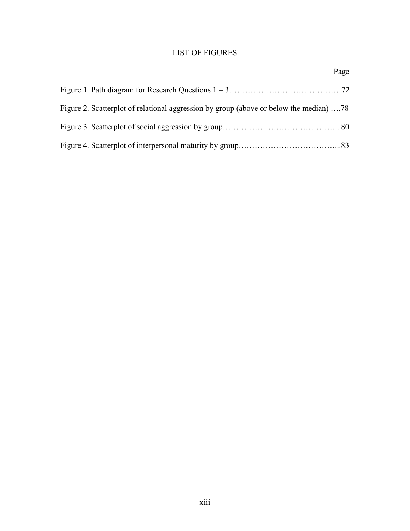## LIST OF FIGURES

| Figure 2. Scatterplot of relational aggression by group (above or below the median)  78 |  |
|-----------------------------------------------------------------------------------------|--|
|                                                                                         |  |
|                                                                                         |  |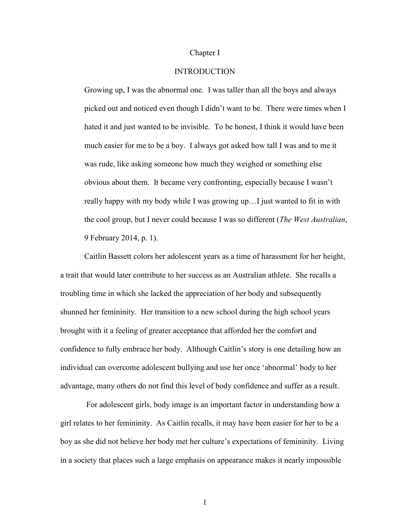#### Chapter I

#### INTRODUCTION

Growing up, I was the abnormal one. I was taller than all the boys and always picked out and noticed even though I didn't want to be. There were times when I hated it and just wanted to be invisible. To be honest, I think it would have been much easier for me to be a boy. I always got asked how tall I was and to me it was rude, like asking someone how much they weighed or something else obvious about them. It became very confronting, especially because I wasn't really happy with my body while I was growing up…I just wanted to fit in with the cool group, but I never could because I was so different (*The West Australian*, 9 February 2014, p. 1).

Caitlin Bassett colors her adolescent years as a time of harassment for her height, a trait that would later contribute to her success as an Australian athlete. She recalls a troubling time in which she lacked the appreciation of her body and subsequently shunned her femininity. Her transition to a new school during the high school years brought with it a feeling of greater acceptance that afforded her the comfort and confidence to fully embrace her body. Although Caitlin's story is one detailing how an individual can overcome adolescent bullying and use her once 'abnormal' body to her advantage, many others do not find this level of body confidence and suffer as a result.

For adolescent girls, body image is an important factor in understanding how a girl relates to her femininity. As Caitlin recalls, it may have been easier for her to be a boy as she did not believe her body met her culture's expectations of femininity. Living in a society that places such a large emphasis on appearance makes it nearly impossible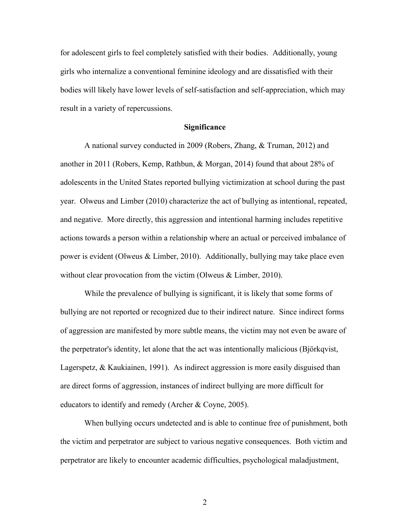for adolescent girls to feel completely satisfied with their bodies. Additionally, young girls who internalize a conventional feminine ideology and are dissatisfied with their bodies will likely have lower levels of self-satisfaction and self-appreciation, which may result in a variety of repercussions.

#### **Significance**

A national survey conducted in 2009 (Robers, Zhang, & Truman, 2012) and another in 2011 (Robers, Kemp, Rathbun, & Morgan, 2014) found that about 28% of adolescents in the United States reported bullying victimization at school during the past year. Olweus and Limber (2010) characterize the act of bullying as intentional, repeated, and negative. More directly, this aggression and intentional harming includes repetitive actions towards a person within a relationship where an actual or perceived imbalance of power is evident (Olweus & Limber, 2010). Additionally, bullying may take place even without clear provocation from the victim (Olweus & Limber, 2010).

While the prevalence of bullying is significant, it is likely that some forms of bullying are not reported or recognized due to their indirect nature. Since indirect forms of aggression are manifested by more subtle means, the victim may not even be aware of the perpetrator's identity, let alone that the act was intentionally malicious (Björkqvist, Lagerspetz, & Kaukiainen, 1991). As indirect aggression is more easily disguised than are direct forms of aggression, instances of indirect bullying are more difficult for educators to identify and remedy (Archer & Coyne, 2005).

When bullying occurs undetected and is able to continue free of punishment, both the victim and perpetrator are subject to various negative consequences. Both victim and perpetrator are likely to encounter academic difficulties, psychological maladjustment,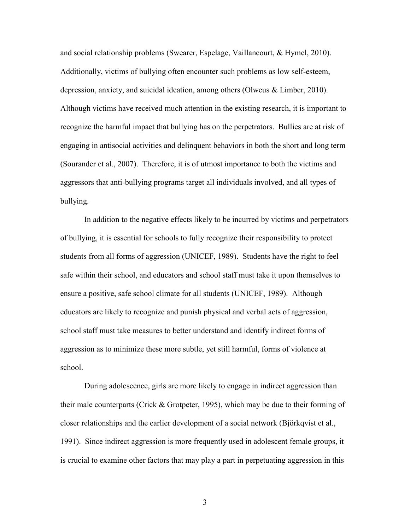and social relationship problems (Swearer, Espelage, Vaillancourt, & Hymel, 2010). Additionally, victims of bullying often encounter such problems as low self-esteem, depression, anxiety, and suicidal ideation, among others (Olweus & Limber, 2010). Although victims have received much attention in the existing research, it is important to recognize the harmful impact that bullying has on the perpetrators. Bullies are at risk of engaging in antisocial activities and delinquent behaviors in both the short and long term (Sourander et al., 2007). Therefore, it is of utmost importance to both the victims and aggressors that anti-bullying programs target all individuals involved, and all types of bullying.

In addition to the negative effects likely to be incurred by victims and perpetrators of bullying, it is essential for schools to fully recognize their responsibility to protect students from all forms of aggression (UNICEF, 1989). Students have the right to feel safe within their school, and educators and school staff must take it upon themselves to ensure a positive, safe school climate for all students (UNICEF, 1989). Although educators are likely to recognize and punish physical and verbal acts of aggression, school staff must take measures to better understand and identify indirect forms of aggression as to minimize these more subtle, yet still harmful, forms of violence at school.

During adolescence, girls are more likely to engage in indirect aggression than their male counterparts (Crick & Grotpeter, 1995), which may be due to their forming of closer relationships and the earlier development of a social network (Björkqvist et al., 1991). Since indirect aggression is more frequently used in adolescent female groups, it is crucial to examine other factors that may play a part in perpetuating aggression in this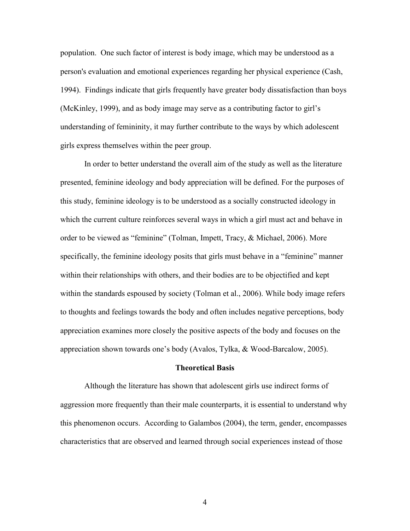population. One such factor of interest is body image, which may be understood as a person's evaluation and emotional experiences regarding her physical experience (Cash, 1994). Findings indicate that girls frequently have greater body dissatisfaction than boys (McKinley, 1999), and as body image may serve as a contributing factor to girl's understanding of femininity, it may further contribute to the ways by which adolescent girls express themselves within the peer group.

In order to better understand the overall aim of the study as well as the literature presented, feminine ideology and body appreciation will be defined. For the purposes of this study, feminine ideology is to be understood as a socially constructed ideology in which the current culture reinforces several ways in which a girl must act and behave in order to be viewed as "feminine" (Tolman, Impett, Tracy, & Michael, 2006). More specifically, the feminine ideology posits that girls must behave in a "feminine" manner within their relationships with others, and their bodies are to be objectified and kept within the standards espoused by society (Tolman et al., 2006). While body image refers to thoughts and feelings towards the body and often includes negative perceptions, body appreciation examines more closely the positive aspects of the body and focuses on the appreciation shown towards one's body (Avalos, Tylka, & Wood-Barcalow, 2005).

#### **Theoretical Basis**

Although the literature has shown that adolescent girls use indirect forms of aggression more frequently than their male counterparts, it is essential to understand why this phenomenon occurs. According to Galambos (2004), the term, gender, encompasses characteristics that are observed and learned through social experiences instead of those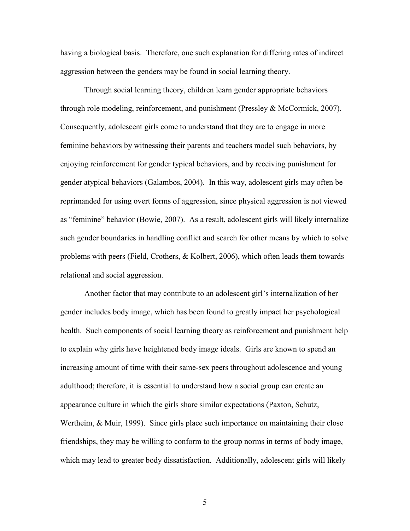having a biological basis. Therefore, one such explanation for differing rates of indirect aggression between the genders may be found in social learning theory.

Through social learning theory, children learn gender appropriate behaviors through role modeling, reinforcement, and punishment (Pressley  $\&$  McCormick, 2007). Consequently, adolescent girls come to understand that they are to engage in more feminine behaviors by witnessing their parents and teachers model such behaviors, by enjoying reinforcement for gender typical behaviors, and by receiving punishment for gender atypical behaviors (Galambos, 2004). In this way, adolescent girls may often be reprimanded for using overt forms of aggression, since physical aggression is not viewed as "feminine" behavior (Bowie, 2007). As a result, adolescent girls will likely internalize such gender boundaries in handling conflict and search for other means by which to solve problems with peers (Field, Crothers, & Kolbert, 2006), which often leads them towards relational and social aggression.

Another factor that may contribute to an adolescent girl's internalization of her gender includes body image, which has been found to greatly impact her psychological health. Such components of social learning theory as reinforcement and punishment help to explain why girls have heightened body image ideals. Girls are known to spend an increasing amount of time with their same-sex peers throughout adolescence and young adulthood; therefore, it is essential to understand how a social group can create an appearance culture in which the girls share similar expectations (Paxton, Schutz, Wertheim, & Muir, 1999). Since girls place such importance on maintaining their close friendships, they may be willing to conform to the group norms in terms of body image, which may lead to greater body dissatisfaction. Additionally, adolescent girls will likely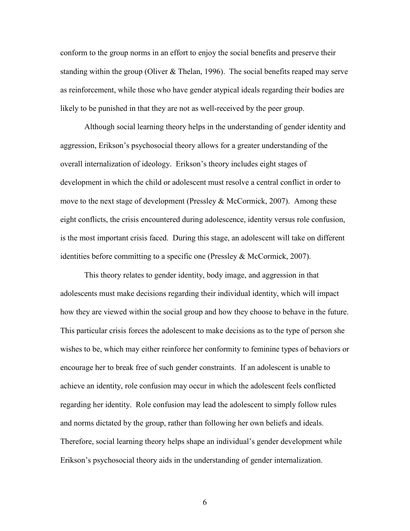conform to the group norms in an effort to enjoy the social benefits and preserve their standing within the group (Oliver  $&$  Thelan, 1996). The social benefits reaped may serve as reinforcement, while those who have gender atypical ideals regarding their bodies are likely to be punished in that they are not as well-received by the peer group.

Although social learning theory helps in the understanding of gender identity and aggression, Erikson's psychosocial theory allows for a greater understanding of the overall internalization of ideology. Erikson's theory includes eight stages of development in which the child or adolescent must resolve a central conflict in order to move to the next stage of development (Pressley  $&$  McCormick, 2007). Among these eight conflicts, the crisis encountered during adolescence, identity versus role confusion, is the most important crisis faced. During this stage, an adolescent will take on different identities before committing to a specific one (Pressley & McCormick, 2007).

This theory relates to gender identity, body image, and aggression in that adolescents must make decisions regarding their individual identity, which will impact how they are viewed within the social group and how they choose to behave in the future. This particular crisis forces the adolescent to make decisions as to the type of person she wishes to be, which may either reinforce her conformity to feminine types of behaviors or encourage her to break free of such gender constraints. If an adolescent is unable to achieve an identity, role confusion may occur in which the adolescent feels conflicted regarding her identity. Role confusion may lead the adolescent to simply follow rules and norms dictated by the group, rather than following her own beliefs and ideals. Therefore, social learning theory helps shape an individual's gender development while Erikson's psychosocial theory aids in the understanding of gender internalization.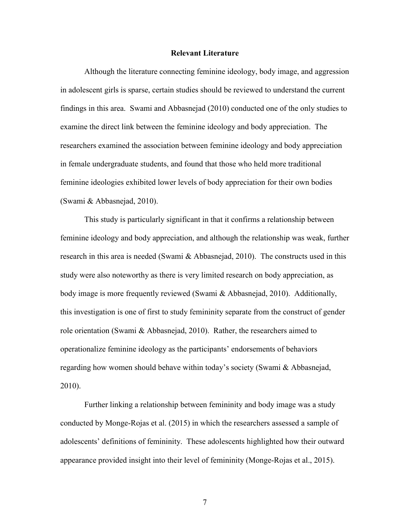#### **Relevant Literature**

Although the literature connecting feminine ideology, body image, and aggression in adolescent girls is sparse, certain studies should be reviewed to understand the current findings in this area. Swami and Abbasnejad (2010) conducted one of the only studies to examine the direct link between the feminine ideology and body appreciation. The researchers examined the association between feminine ideology and body appreciation in female undergraduate students, and found that those who held more traditional feminine ideologies exhibited lower levels of body appreciation for their own bodies (Swami & Abbasnejad, 2010).

This study is particularly significant in that it confirms a relationship between feminine ideology and body appreciation, and although the relationship was weak, further research in this area is needed (Swami  $\&$  Abbasnejad, 2010). The constructs used in this study were also noteworthy as there is very limited research on body appreciation, as body image is more frequently reviewed (Swami & Abbasnejad, 2010). Additionally, this investigation is one of first to study femininity separate from the construct of gender role orientation (Swami & Abbasnejad, 2010). Rather, the researchers aimed to operationalize feminine ideology as the participants' endorsements of behaviors regarding how women should behave within today's society (Swami & Abbasnejad, 2010).

Further linking a relationship between femininity and body image was a study conducted by Monge-Rojas et al. (2015) in which the researchers assessed a sample of adolescents' definitions of femininity. These adolescents highlighted how their outward appearance provided insight into their level of femininity (Monge-Rojas et al., 2015).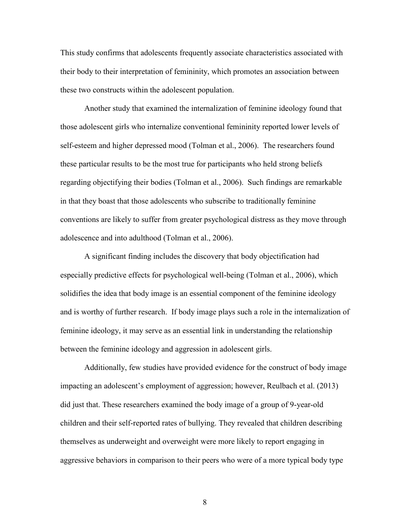This study confirms that adolescents frequently associate characteristics associated with their body to their interpretation of femininity, which promotes an association between these two constructs within the adolescent population.

Another study that examined the internalization of feminine ideology found that those adolescent girls who internalize conventional femininity reported lower levels of self-esteem and higher depressed mood (Tolman et al., 2006). The researchers found these particular results to be the most true for participants who held strong beliefs regarding objectifying their bodies (Tolman et al., 2006). Such findings are remarkable in that they boast that those adolescents who subscribe to traditionally feminine conventions are likely to suffer from greater psychological distress as they move through adolescence and into adulthood (Tolman et al., 2006).

A significant finding includes the discovery that body objectification had especially predictive effects for psychological well-being (Tolman et al., 2006), which solidifies the idea that body image is an essential component of the feminine ideology and is worthy of further research. If body image plays such a role in the internalization of feminine ideology, it may serve as an essential link in understanding the relationship between the feminine ideology and aggression in adolescent girls.

Additionally, few studies have provided evidence for the construct of body image impacting an adolescent's employment of aggression; however, Reulbach et al. (2013) did just that. These researchers examined the body image of a group of 9-year-old children and their self-reported rates of bullying. They revealed that children describing themselves as underweight and overweight were more likely to report engaging in aggressive behaviors in comparison to their peers who were of a more typical body type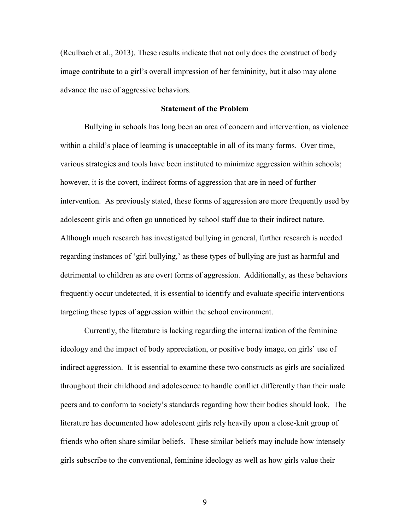(Reulbach et al., 2013). These results indicate that not only does the construct of body image contribute to a girl's overall impression of her femininity, but it also may alone advance the use of aggressive behaviors.

#### **Statement of the Problem**

Bullying in schools has long been an area of concern and intervention, as violence within a child's place of learning is unacceptable in all of its many forms. Over time, various strategies and tools have been instituted to minimize aggression within schools; however, it is the covert, indirect forms of aggression that are in need of further intervention. As previously stated, these forms of aggression are more frequently used by adolescent girls and often go unnoticed by school staff due to their indirect nature. Although much research has investigated bullying in general, further research is needed regarding instances of 'girl bullying,' as these types of bullying are just as harmful and detrimental to children as are overt forms of aggression. Additionally, as these behaviors frequently occur undetected, it is essential to identify and evaluate specific interventions targeting these types of aggression within the school environment.

Currently, the literature is lacking regarding the internalization of the feminine ideology and the impact of body appreciation, or positive body image, on girls' use of indirect aggression. It is essential to examine these two constructs as girls are socialized throughout their childhood and adolescence to handle conflict differently than their male peers and to conform to society's standards regarding how their bodies should look. The literature has documented how adolescent girls rely heavily upon a close-knit group of friends who often share similar beliefs. These similar beliefs may include how intensely girls subscribe to the conventional, feminine ideology as well as how girls value their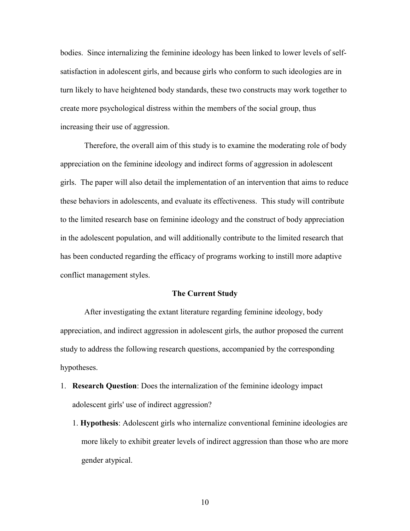bodies. Since internalizing the feminine ideology has been linked to lower levels of selfsatisfaction in adolescent girls, and because girls who conform to such ideologies are in turn likely to have heightened body standards, these two constructs may work together to create more psychological distress within the members of the social group, thus increasing their use of aggression.

Therefore, the overall aim of this study is to examine the moderating role of body appreciation on the feminine ideology and indirect forms of aggression in adolescent girls. The paper will also detail the implementation of an intervention that aims to reduce these behaviors in adolescents, and evaluate its effectiveness. This study will contribute to the limited research base on feminine ideology and the construct of body appreciation in the adolescent population, and will additionally contribute to the limited research that has been conducted regarding the efficacy of programs working to instill more adaptive conflict management styles.

#### **The Current Study**

After investigating the extant literature regarding feminine ideology, body appreciation, and indirect aggression in adolescent girls, the author proposed the current study to address the following research questions, accompanied by the corresponding hypotheses.

- 1. **Research Question**: Does the internalization of the feminine ideology impact adolescent girls' use of indirect aggression?
	- 1. **Hypothesis**: Adolescent girls who internalize conventional feminine ideologies are more likely to exhibit greater levels of indirect aggression than those who are more gender atypical.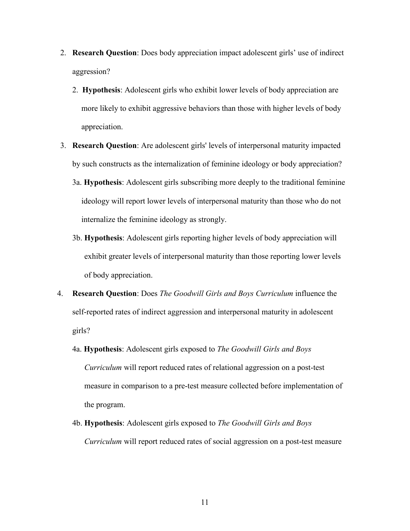- 2. **Research Question**: Does body appreciation impact adolescent girls' use of indirect aggression?
	- 2. **Hypothesis**: Adolescent girls who exhibit lower levels of body appreciation are more likely to exhibit aggressive behaviors than those with higher levels of body appreciation.
- 3. **Research Question**: Are adolescent girls' levels of interpersonal maturity impacted by such constructs as the internalization of feminine ideology or body appreciation?
	- 3a. **Hypothesis**: Adolescent girls subscribing more deeply to the traditional feminine ideology will report lower levels of interpersonal maturity than those who do not internalize the feminine ideology as strongly.
	- 3b. **Hypothesis**: Adolescent girls reporting higher levels of body appreciation will exhibit greater levels of interpersonal maturity than those reporting lower levels of body appreciation.
- 4. **Research Question**: Does *The Goodwill Girls and Boys Curriculum* influence the self-reported rates of indirect aggression and interpersonal maturity in adolescent girls?
	- 4a. **Hypothesis**: Adolescent girls exposed to *The Goodwill Girls and Boys Curriculum* will report reduced rates of relational aggression on a post-test measure in comparison to a pre-test measure collected before implementation of the program.
	- 4b. **Hypothesis**: Adolescent girls exposed to *The Goodwill Girls and Boys Curriculum* will report reduced rates of social aggression on a post-test measure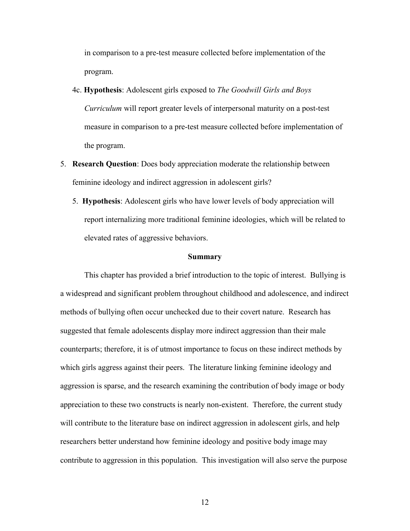in comparison to a pre-test measure collected before implementation of the program.

- 4c. **Hypothesis**: Adolescent girls exposed to *The Goodwill Girls and Boys Curriculum* will report greater levels of interpersonal maturity on a post-test measure in comparison to a pre-test measure collected before implementation of the program.
- 5. **Research Question**: Does body appreciation moderate the relationship between feminine ideology and indirect aggression in adolescent girls?
	- 5. **Hypothesis**: Adolescent girls who have lower levels of body appreciation will report internalizing more traditional feminine ideologies, which will be related to elevated rates of aggressive behaviors.

#### **Summary**

This chapter has provided a brief introduction to the topic of interest. Bullying is a widespread and significant problem throughout childhood and adolescence, and indirect methods of bullying often occur unchecked due to their covert nature. Research has suggested that female adolescents display more indirect aggression than their male counterparts; therefore, it is of utmost importance to focus on these indirect methods by which girls aggress against their peers. The literature linking feminine ideology and aggression is sparse, and the research examining the contribution of body image or body appreciation to these two constructs is nearly non-existent. Therefore, the current study will contribute to the literature base on indirect aggression in adolescent girls, and help researchers better understand how feminine ideology and positive body image may contribute to aggression in this population. This investigation will also serve the purpose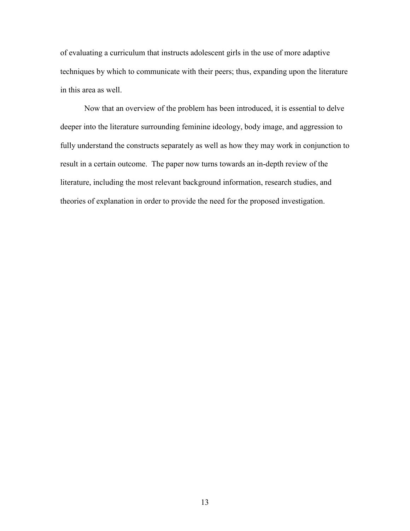of evaluating a curriculum that instructs adolescent girls in the use of more adaptive techniques by which to communicate with their peers; thus, expanding upon the literature in this area as well.

Now that an overview of the problem has been introduced, it is essential to delve deeper into the literature surrounding feminine ideology, body image, and aggression to fully understand the constructs separately as well as how they may work in conjunction to result in a certain outcome. The paper now turns towards an in-depth review of the literature, including the most relevant background information, research studies, and theories of explanation in order to provide the need for the proposed investigation.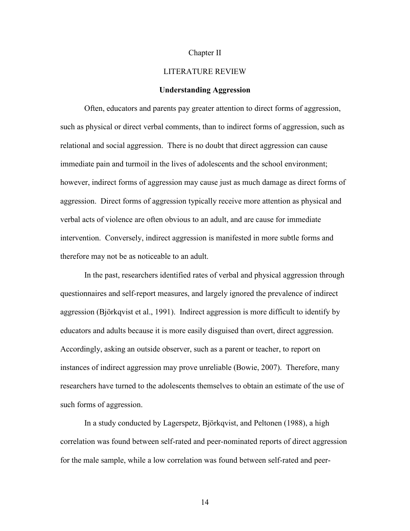#### Chapter II

#### LITERATURE REVIEW

#### **Understanding Aggression**

Often, educators and parents pay greater attention to direct forms of aggression, such as physical or direct verbal comments, than to indirect forms of aggression, such as relational and social aggression. There is no doubt that direct aggression can cause immediate pain and turmoil in the lives of adolescents and the school environment; however, indirect forms of aggression may cause just as much damage as direct forms of aggression. Direct forms of aggression typically receive more attention as physical and verbal acts of violence are often obvious to an adult, and are cause for immediate intervention. Conversely, indirect aggression is manifested in more subtle forms and therefore may not be as noticeable to an adult.

In the past, researchers identified rates of verbal and physical aggression through questionnaires and self-report measures, and largely ignored the prevalence of indirect aggression (Björkqvist et al., 1991). Indirect aggression is more difficult to identify by educators and adults because it is more easily disguised than overt, direct aggression. Accordingly, asking an outside observer, such as a parent or teacher, to report on instances of indirect aggression may prove unreliable (Bowie, 2007). Therefore, many researchers have turned to the adolescents themselves to obtain an estimate of the use of such forms of aggression.

In a study conducted by Lagerspetz, Björkqvist, and Peltonen (1988), a high correlation was found between self-rated and peer-nominated reports of direct aggression for the male sample, while a low correlation was found between self-rated and peer-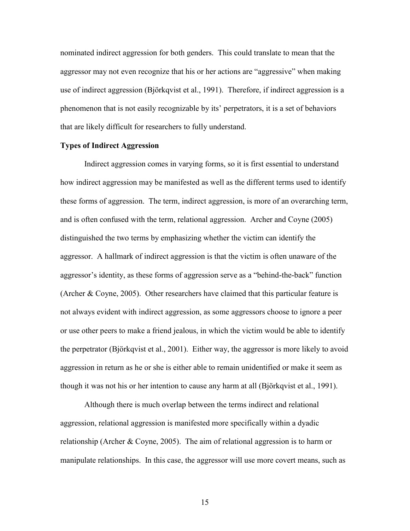nominated indirect aggression for both genders. This could translate to mean that the aggressor may not even recognize that his or her actions are "aggressive" when making use of indirect aggression (Björkqvist et al., 1991). Therefore, if indirect aggression is a phenomenon that is not easily recognizable by its' perpetrators, it is a set of behaviors that are likely difficult for researchers to fully understand.

#### **Types of Indirect Aggression**

Indirect aggression comes in varying forms, so it is first essential to understand how indirect aggression may be manifested as well as the different terms used to identify these forms of aggression. The term, indirect aggression, is more of an overarching term, and is often confused with the term, relational aggression. Archer and Coyne (2005) distinguished the two terms by emphasizing whether the victim can identify the aggressor. A hallmark of indirect aggression is that the victim is often unaware of the aggressor's identity, as these forms of aggression serve as a "behind-the-back" function (Archer & Coyne, 2005). Other researchers have claimed that this particular feature is not always evident with indirect aggression, as some aggressors choose to ignore a peer or use other peers to make a friend jealous, in which the victim would be able to identify the perpetrator (Björkqvist et al., 2001). Either way, the aggressor is more likely to avoid aggression in return as he or she is either able to remain unidentified or make it seem as though it was not his or her intention to cause any harm at all (Björkqvist et al., 1991).

Although there is much overlap between the terms indirect and relational aggression, relational aggression is manifested more specifically within a dyadic relationship (Archer & Coyne, 2005). The aim of relational aggression is to harm or manipulate relationships. In this case, the aggressor will use more covert means, such as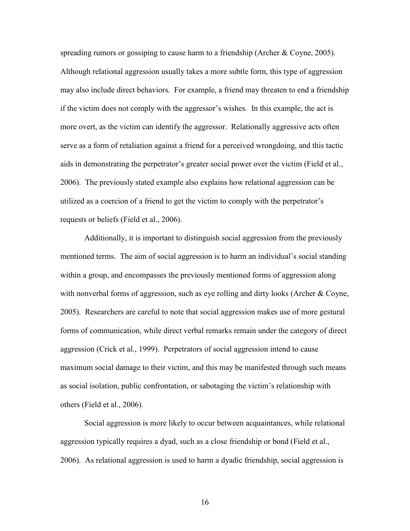spreading rumors or gossiping to cause harm to a friendship (Archer & Coyne, 2005). Although relational aggression usually takes a more subtle form, this type of aggression may also include direct behaviors. For example, a friend may threaten to end a friendship if the victim does not comply with the aggressor's wishes. In this example, the act is more overt, as the victim can identify the aggressor. Relationally aggressive acts often serve as a form of retaliation against a friend for a perceived wrongdoing, and this tactic aids in demonstrating the perpetrator's greater social power over the victim (Field et al., 2006). The previously stated example also explains how relational aggression can be utilized as a coercion of a friend to get the victim to comply with the perpetrator's requests or beliefs (Field et al., 2006).

Additionally, it is important to distinguish social aggression from the previously mentioned terms. The aim of social aggression is to harm an individual's social standing within a group, and encompasses the previously mentioned forms of aggression along with nonverbal forms of aggression, such as eye rolling and dirty looks (Archer  $\&$  Coyne, 2005). Researchers are careful to note that social aggression makes use of more gestural forms of communication, while direct verbal remarks remain under the category of direct aggression (Crick et al., 1999). Perpetrators of social aggression intend to cause maximum social damage to their victim, and this may be manifested through such means as social isolation, public confrontation, or sabotaging the victim's relationship with others (Field et al., 2006).

Social aggression is more likely to occur between acquaintances, while relational aggression typically requires a dyad, such as a close friendship or bond (Field et al., 2006). As relational aggression is used to harm a dyadic friendship, social aggression is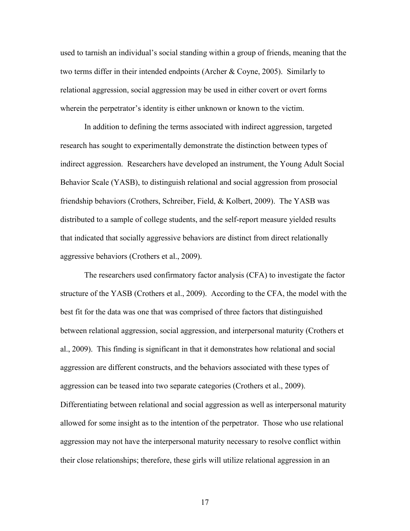used to tarnish an individual's social standing within a group of friends, meaning that the two terms differ in their intended endpoints (Archer & Coyne, 2005). Similarly to relational aggression, social aggression may be used in either covert or overt forms wherein the perpetrator's identity is either unknown or known to the victim.

In addition to defining the terms associated with indirect aggression, targeted research has sought to experimentally demonstrate the distinction between types of indirect aggression. Researchers have developed an instrument, the Young Adult Social Behavior Scale (YASB), to distinguish relational and social aggression from prosocial friendship behaviors (Crothers, Schreiber, Field, & Kolbert, 2009). The YASB was distributed to a sample of college students, and the self-report measure yielded results that indicated that socially aggressive behaviors are distinct from direct relationally aggressive behaviors (Crothers et al., 2009).

The researchers used confirmatory factor analysis (CFA) to investigate the factor structure of the YASB (Crothers et al., 2009). According to the CFA, the model with the best fit for the data was one that was comprised of three factors that distinguished between relational aggression, social aggression, and interpersonal maturity (Crothers et al., 2009). This finding is significant in that it demonstrates how relational and social aggression are different constructs, and the behaviors associated with these types of aggression can be teased into two separate categories (Crothers et al., 2009). Differentiating between relational and social aggression as well as interpersonal maturity allowed for some insight as to the intention of the perpetrator. Those who use relational aggression may not have the interpersonal maturity necessary to resolve conflict within their close relationships; therefore, these girls will utilize relational aggression in an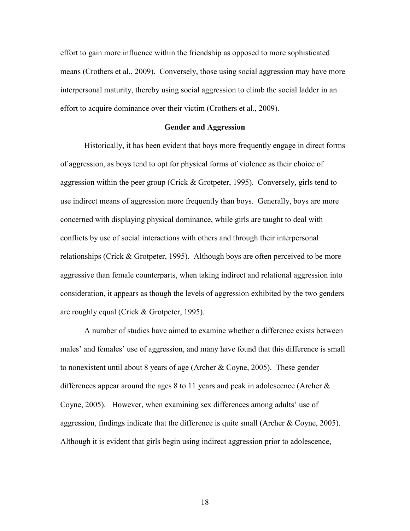effort to gain more influence within the friendship as opposed to more sophisticated means (Crothers et al., 2009). Conversely, those using social aggression may have more interpersonal maturity, thereby using social aggression to climb the social ladder in an effort to acquire dominance over their victim (Crothers et al., 2009).

#### **Gender and Aggression**

Historically, it has been evident that boys more frequently engage in direct forms of aggression, as boys tend to opt for physical forms of violence as their choice of aggression within the peer group (Crick & Grotpeter, 1995). Conversely, girls tend to use indirect means of aggression more frequently than boys. Generally, boys are more concerned with displaying physical dominance, while girls are taught to deal with conflicts by use of social interactions with others and through their interpersonal relationships (Crick & Grotpeter, 1995). Although boys are often perceived to be more aggressive than female counterparts, when taking indirect and relational aggression into consideration, it appears as though the levels of aggression exhibited by the two genders are roughly equal (Crick & Grotpeter, 1995).

A number of studies have aimed to examine whether a difference exists between males' and females' use of aggression, and many have found that this difference is small to nonexistent until about 8 years of age (Archer & Coyne, 2005). These gender differences appear around the ages 8 to 11 years and peak in adolescence (Archer & Coyne, 2005). However, when examining sex differences among adults' use of aggression, findings indicate that the difference is quite small (Archer & Coyne, 2005). Although it is evident that girls begin using indirect aggression prior to adolescence,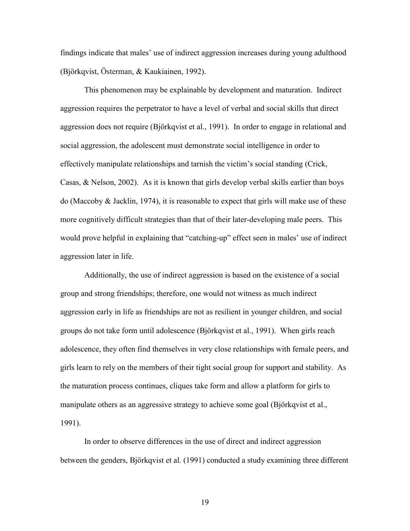findings indicate that males' use of indirect aggression increases during young adulthood (Björkqvist, Österman, & Kaukiainen, 1992).

This phenomenon may be explainable by development and maturation. Indirect aggression requires the perpetrator to have a level of verbal and social skills that direct aggression does not require (Björkqvist et al., 1991). In order to engage in relational and social aggression, the adolescent must demonstrate social intelligence in order to effectively manipulate relationships and tarnish the victim's social standing (Crick, Casas, & Nelson, 2002). As it is known that girls develop verbal skills earlier than boys do (Maccoby  $\&$  Jacklin, 1974), it is reasonable to expect that girls will make use of these more cognitively difficult strategies than that of their later-developing male peers. This would prove helpful in explaining that "catching-up" effect seen in males' use of indirect aggression later in life.

Additionally, the use of indirect aggression is based on the existence of a social group and strong friendships; therefore, one would not witness as much indirect aggression early in life as friendships are not as resilient in younger children, and social groups do not take form until adolescence (Björkqvist et al., 1991). When girls reach adolescence, they often find themselves in very close relationships with female peers, and girls learn to rely on the members of their tight social group for support and stability. As the maturation process continues, cliques take form and allow a platform for girls to manipulate others as an aggressive strategy to achieve some goal (Björkqvist et al., 1991).

In order to observe differences in the use of direct and indirect aggression between the genders, Björkqvist et al. (1991) conducted a study examining three different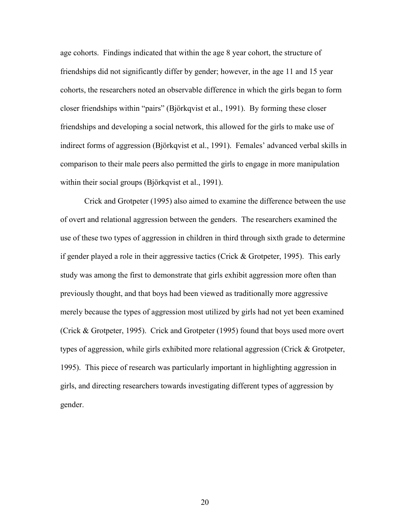age cohorts. Findings indicated that within the age 8 year cohort, the structure of friendships did not significantly differ by gender; however, in the age 11 and 15 year cohorts, the researchers noted an observable difference in which the girls began to form closer friendships within "pairs" (Björkqvist et al., 1991). By forming these closer friendships and developing a social network, this allowed for the girls to make use of indirect forms of aggression (Björkqvist et al., 1991). Females' advanced verbal skills in comparison to their male peers also permitted the girls to engage in more manipulation within their social groups (Björkqvist et al., 1991).

Crick and Grotpeter (1995) also aimed to examine the difference between the use of overt and relational aggression between the genders. The researchers examined the use of these two types of aggression in children in third through sixth grade to determine if gender played a role in their aggressive tactics (Crick & Grotpeter, 1995). This early study was among the first to demonstrate that girls exhibit aggression more often than previously thought, and that boys had been viewed as traditionally more aggressive merely because the types of aggression most utilized by girls had not yet been examined (Crick & Grotpeter, 1995). Crick and Grotpeter (1995) found that boys used more overt types of aggression, while girls exhibited more relational aggression (Crick & Grotpeter, 1995). This piece of research was particularly important in highlighting aggression in girls, and directing researchers towards investigating different types of aggression by gender.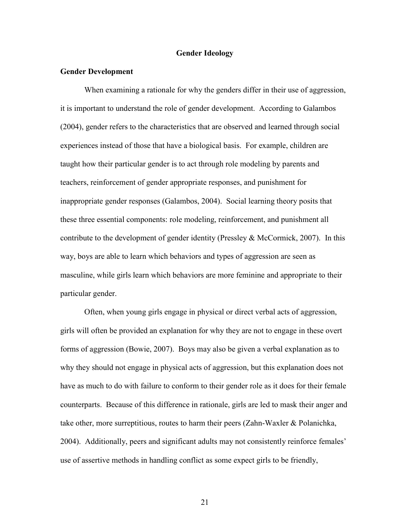#### **Gender Ideology**

#### **Gender Development**

When examining a rationale for why the genders differ in their use of aggression, it is important to understand the role of gender development. According to Galambos (2004), gender refers to the characteristics that are observed and learned through social experiences instead of those that have a biological basis. For example, children are taught how their particular gender is to act through role modeling by parents and teachers, reinforcement of gender appropriate responses, and punishment for inappropriate gender responses (Galambos, 2004). Social learning theory posits that these three essential components: role modeling, reinforcement, and punishment all contribute to the development of gender identity (Pressley & McCormick, 2007). In this way, boys are able to learn which behaviors and types of aggression are seen as masculine, while girls learn which behaviors are more feminine and appropriate to their particular gender.

Often, when young girls engage in physical or direct verbal acts of aggression, girls will often be provided an explanation for why they are not to engage in these overt forms of aggression (Bowie, 2007). Boys may also be given a verbal explanation as to why they should not engage in physical acts of aggression, but this explanation does not have as much to do with failure to conform to their gender role as it does for their female counterparts. Because of this difference in rationale, girls are led to mask their anger and take other, more surreptitious, routes to harm their peers (Zahn-Waxler & Polanichka, 2004). Additionally, peers and significant adults may not consistently reinforce females' use of assertive methods in handling conflict as some expect girls to be friendly,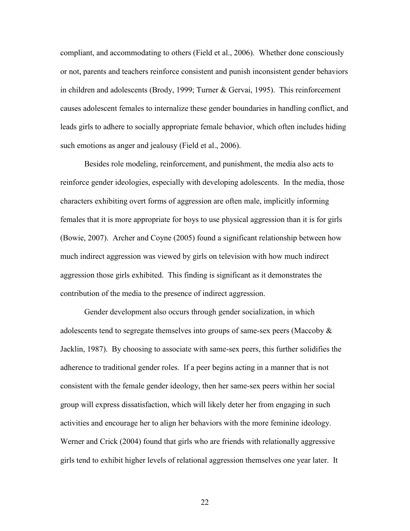compliant, and accommodating to others (Field et al., 2006). Whether done consciously or not, parents and teachers reinforce consistent and punish inconsistent gender behaviors in children and adolescents (Brody, 1999; Turner & Gervai, 1995). This reinforcement causes adolescent females to internalize these gender boundaries in handling conflict, and leads girls to adhere to socially appropriate female behavior, which often includes hiding such emotions as anger and jealousy (Field et al., 2006).

Besides role modeling, reinforcement, and punishment, the media also acts to reinforce gender ideologies, especially with developing adolescents. In the media, those characters exhibiting overt forms of aggression are often male, implicitly informing females that it is more appropriate for boys to use physical aggression than it is for girls (Bowie, 2007). Archer and Coyne (2005) found a significant relationship between how much indirect aggression was viewed by girls on television with how much indirect aggression those girls exhibited. This finding is significant as it demonstrates the contribution of the media to the presence of indirect aggression.

Gender development also occurs through gender socialization, in which adolescents tend to segregate themselves into groups of same-sex peers (Maccoby & Jacklin, 1987). By choosing to associate with same-sex peers, this further solidifies the adherence to traditional gender roles. If a peer begins acting in a manner that is not consistent with the female gender ideology, then her same-sex peers within her social group will express dissatisfaction, which will likely deter her from engaging in such activities and encourage her to align her behaviors with the more feminine ideology. Werner and Crick (2004) found that girls who are friends with relationally aggressive girls tend to exhibit higher levels of relational aggression themselves one year later. It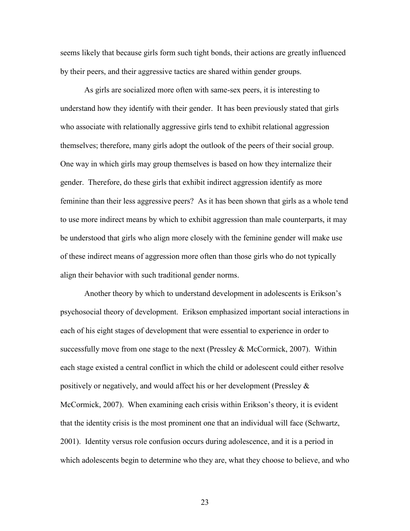seems likely that because girls form such tight bonds, their actions are greatly influenced by their peers, and their aggressive tactics are shared within gender groups.

As girls are socialized more often with same-sex peers, it is interesting to understand how they identify with their gender. It has been previously stated that girls who associate with relationally aggressive girls tend to exhibit relational aggression themselves; therefore, many girls adopt the outlook of the peers of their social group. One way in which girls may group themselves is based on how they internalize their gender. Therefore, do these girls that exhibit indirect aggression identify as more feminine than their less aggressive peers? As it has been shown that girls as a whole tend to use more indirect means by which to exhibit aggression than male counterparts, it may be understood that girls who align more closely with the feminine gender will make use of these indirect means of aggression more often than those girls who do not typically align their behavior with such traditional gender norms.

Another theory by which to understand development in adolescents is Erikson's psychosocial theory of development. Erikson emphasized important social interactions in each of his eight stages of development that were essential to experience in order to successfully move from one stage to the next (Pressley  $\&$  McCormick, 2007). Within each stage existed a central conflict in which the child or adolescent could either resolve positively or negatively, and would affect his or her development (Pressley & McCormick, 2007). When examining each crisis within Erikson's theory, it is evident that the identity crisis is the most prominent one that an individual will face (Schwartz, 2001). Identity versus role confusion occurs during adolescence, and it is a period in which adolescents begin to determine who they are, what they choose to believe, and who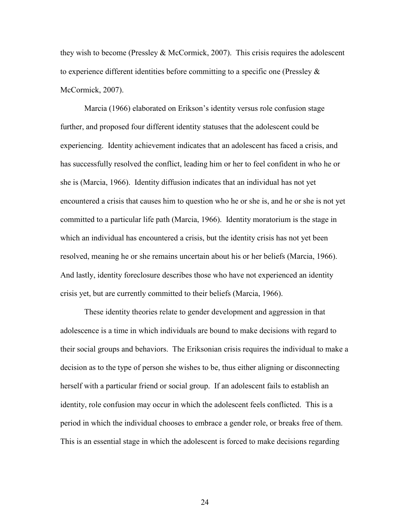they wish to become (Pressley  $&$  McCormick, 2007). This crisis requires the adolescent to experience different identities before committing to a specific one (Pressley  $\&$ McCormick, 2007).

Marcia (1966) elaborated on Erikson's identity versus role confusion stage further, and proposed four different identity statuses that the adolescent could be experiencing. Identity achievement indicates that an adolescent has faced a crisis, and has successfully resolved the conflict, leading him or her to feel confident in who he or she is (Marcia, 1966). Identity diffusion indicates that an individual has not yet encountered a crisis that causes him to question who he or she is, and he or she is not yet committed to a particular life path (Marcia, 1966). Identity moratorium is the stage in which an individual has encountered a crisis, but the identity crisis has not yet been resolved, meaning he or she remains uncertain about his or her beliefs (Marcia, 1966). And lastly, identity foreclosure describes those who have not experienced an identity crisis yet, but are currently committed to their beliefs (Marcia, 1966).

These identity theories relate to gender development and aggression in that adolescence is a time in which individuals are bound to make decisions with regard to their social groups and behaviors. The Eriksonian crisis requires the individual to make a decision as to the type of person she wishes to be, thus either aligning or disconnecting herself with a particular friend or social group. If an adolescent fails to establish an identity, role confusion may occur in which the adolescent feels conflicted. This is a period in which the individual chooses to embrace a gender role, or breaks free of them. This is an essential stage in which the adolescent is forced to make decisions regarding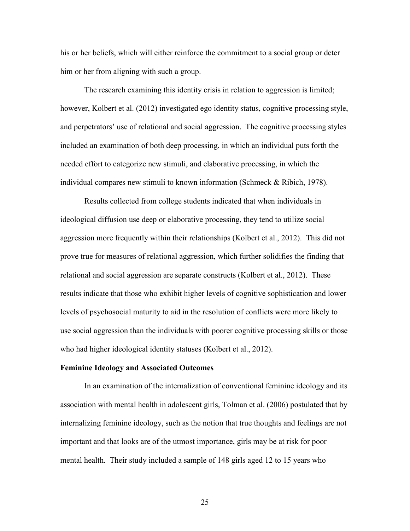his or her beliefs, which will either reinforce the commitment to a social group or deter him or her from aligning with such a group.

The research examining this identity crisis in relation to aggression is limited; however, Kolbert et al. (2012) investigated ego identity status, cognitive processing style, and perpetrators' use of relational and social aggression. The cognitive processing styles included an examination of both deep processing, in which an individual puts forth the needed effort to categorize new stimuli, and elaborative processing, in which the individual compares new stimuli to known information (Schmeck & Ribich, 1978).

Results collected from college students indicated that when individuals in ideological diffusion use deep or elaborative processing, they tend to utilize social aggression more frequently within their relationships (Kolbert et al., 2012). This did not prove true for measures of relational aggression, which further solidifies the finding that relational and social aggression are separate constructs (Kolbert et al., 2012). These results indicate that those who exhibit higher levels of cognitive sophistication and lower levels of psychosocial maturity to aid in the resolution of conflicts were more likely to use social aggression than the individuals with poorer cognitive processing skills or those who had higher ideological identity statuses (Kolbert et al., 2012).

## **Feminine Ideology and Associated Outcomes**

In an examination of the internalization of conventional feminine ideology and its association with mental health in adolescent girls, Tolman et al. (2006) postulated that by internalizing feminine ideology, such as the notion that true thoughts and feelings are not important and that looks are of the utmost importance, girls may be at risk for poor mental health. Their study included a sample of 148 girls aged 12 to 15 years who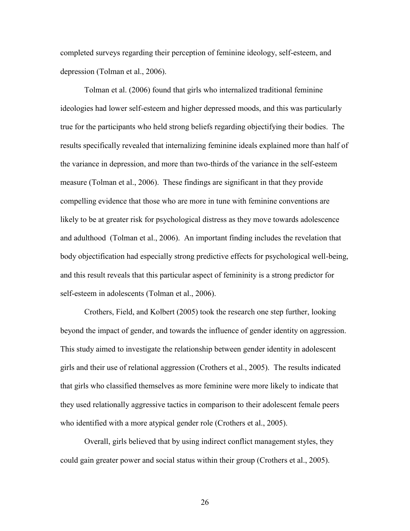completed surveys regarding their perception of feminine ideology, self-esteem, and depression (Tolman et al., 2006).

Tolman et al. (2006) found that girls who internalized traditional feminine ideologies had lower self-esteem and higher depressed moods, and this was particularly true for the participants who held strong beliefs regarding objectifying their bodies. The results specifically revealed that internalizing feminine ideals explained more than half of the variance in depression, and more than two-thirds of the variance in the self-esteem measure (Tolman et al., 2006). These findings are significant in that they provide compelling evidence that those who are more in tune with feminine conventions are likely to be at greater risk for psychological distress as they move towards adolescence and adulthood (Tolman et al., 2006). An important finding includes the revelation that body objectification had especially strong predictive effects for psychological well-being, and this result reveals that this particular aspect of femininity is a strong predictor for self-esteem in adolescents (Tolman et al., 2006).

Crothers, Field, and Kolbert (2005) took the research one step further, looking beyond the impact of gender, and towards the influence of gender identity on aggression. This study aimed to investigate the relationship between gender identity in adolescent girls and their use of relational aggression (Crothers et al., 2005). The results indicated that girls who classified themselves as more feminine were more likely to indicate that they used relationally aggressive tactics in comparison to their adolescent female peers who identified with a more atypical gender role (Crothers et al., 2005).

Overall, girls believed that by using indirect conflict management styles, they could gain greater power and social status within their group (Crothers et al., 2005).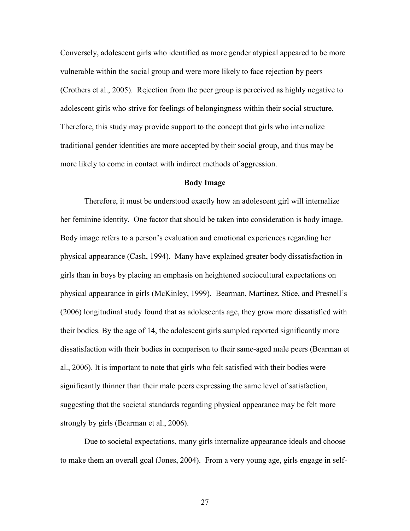Conversely, adolescent girls who identified as more gender atypical appeared to be more vulnerable within the social group and were more likely to face rejection by peers (Crothers et al., 2005). Rejection from the peer group is perceived as highly negative to adolescent girls who strive for feelings of belongingness within their social structure. Therefore, this study may provide support to the concept that girls who internalize traditional gender identities are more accepted by their social group, and thus may be more likely to come in contact with indirect methods of aggression.

## **Body Image**

Therefore, it must be understood exactly how an adolescent girl will internalize her feminine identity. One factor that should be taken into consideration is body image. Body image refers to a person's evaluation and emotional experiences regarding her physical appearance (Cash, 1994). Many have explained greater body dissatisfaction in girls than in boys by placing an emphasis on heightened sociocultural expectations on physical appearance in girls (McKinley, 1999). Bearman, Martinez, Stice, and Presnell's (2006) longitudinal study found that as adolescents age, they grow more dissatisfied with their bodies. By the age of 14, the adolescent girls sampled reported significantly more dissatisfaction with their bodies in comparison to their same-aged male peers (Bearman et al., 2006). It is important to note that girls who felt satisfied with their bodies were significantly thinner than their male peers expressing the same level of satisfaction, suggesting that the societal standards regarding physical appearance may be felt more strongly by girls (Bearman et al., 2006).

Due to societal expectations, many girls internalize appearance ideals and choose to make them an overall goal (Jones, 2004). From a very young age, girls engage in self-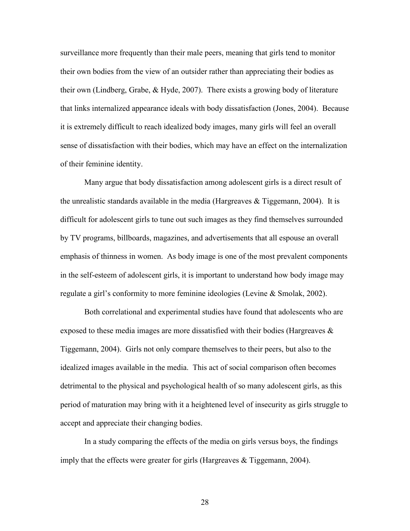surveillance more frequently than their male peers, meaning that girls tend to monitor their own bodies from the view of an outsider rather than appreciating their bodies as their own (Lindberg, Grabe, & Hyde, 2007). There exists a growing body of literature that links internalized appearance ideals with body dissatisfaction (Jones, 2004). Because it is extremely difficult to reach idealized body images, many girls will feel an overall sense of dissatisfaction with their bodies, which may have an effect on the internalization of their feminine identity.

Many argue that body dissatisfaction among adolescent girls is a direct result of the unrealistic standards available in the media (Hargreaves  $\&$  Tiggemann, 2004). It is difficult for adolescent girls to tune out such images as they find themselves surrounded by TV programs, billboards, magazines, and advertisements that all espouse an overall emphasis of thinness in women. As body image is one of the most prevalent components in the self-esteem of adolescent girls, it is important to understand how body image may regulate a girl's conformity to more feminine ideologies (Levine & Smolak, 2002).

Both correlational and experimental studies have found that adolescents who are exposed to these media images are more dissatisfied with their bodies (Hargreaves & Tiggemann, 2004). Girls not only compare themselves to their peers, but also to the idealized images available in the media. This act of social comparison often becomes detrimental to the physical and psychological health of so many adolescent girls, as this period of maturation may bring with it a heightened level of insecurity as girls struggle to accept and appreciate their changing bodies.

In a study comparing the effects of the media on girls versus boys, the findings imply that the effects were greater for girls (Hargreaves & Tiggemann, 2004).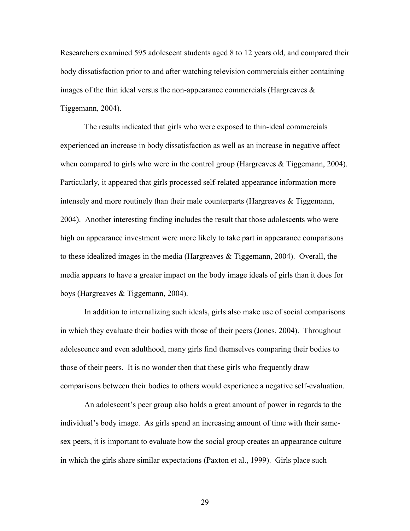Researchers examined 595 adolescent students aged 8 to 12 years old, and compared their body dissatisfaction prior to and after watching television commercials either containing images of the thin ideal versus the non-appearance commercials (Hargreaves  $\&$ Tiggemann, 2004).

The results indicated that girls who were exposed to thin-ideal commercials experienced an increase in body dissatisfaction as well as an increase in negative affect when compared to girls who were in the control group (Hargreaves & Tiggemann, 2004). Particularly, it appeared that girls processed self-related appearance information more intensely and more routinely than their male counterparts (Hargreaves & Tiggemann, 2004). Another interesting finding includes the result that those adolescents who were high on appearance investment were more likely to take part in appearance comparisons to these idealized images in the media (Hargreaves  $\&$  Tiggemann, 2004). Overall, the media appears to have a greater impact on the body image ideals of girls than it does for boys (Hargreaves & Tiggemann, 2004).

In addition to internalizing such ideals, girls also make use of social comparisons in which they evaluate their bodies with those of their peers (Jones, 2004). Throughout adolescence and even adulthood, many girls find themselves comparing their bodies to those of their peers. It is no wonder then that these girls who frequently draw comparisons between their bodies to others would experience a negative self-evaluation.

An adolescent's peer group also holds a great amount of power in regards to the individual's body image. As girls spend an increasing amount of time with their samesex peers, it is important to evaluate how the social group creates an appearance culture in which the girls share similar expectations (Paxton et al., 1999). Girls place such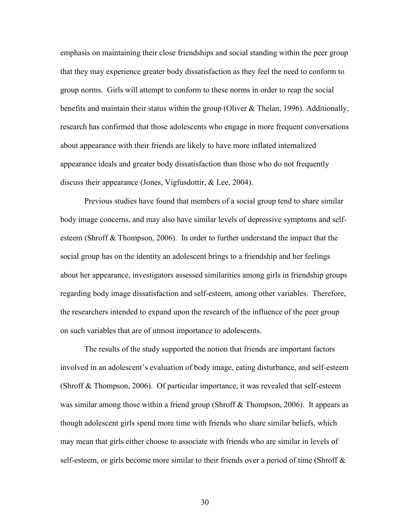emphasis on maintaining their close friendships and social standing within the peer group that they may experience greater body dissatisfaction as they feel the need to conform to group norms. Girls will attempt to conform to these norms in order to reap the social benefits and maintain their status within the group (Oliver  $\&$  Thelan, 1996). Additionally, research has confirmed that those adolescents who engage in more frequent conversations about appearance with their friends are likely to have more inflated internalized appearance ideals and greater body dissatisfaction than those who do not frequently discuss their appearance (Jones, Vigfusdottir, & Lee, 2004).

Previous studies have found that members of a social group tend to share similar body image concerns, and may also have similar levels of depressive symptoms and selfesteem (Shroff & Thompson, 2006). In order to further understand the impact that the social group has on the identity an adolescent brings to a friendship and her feelings about her appearance, investigators assessed similarities among girls in friendship groups regarding body image dissatisfaction and self-esteem, among other variables. Therefore, the researchers intended to expand upon the research of the influence of the peer group on such variables that are of utmost importance to adolescents.

The results of the study supported the notion that friends are important factors involved in an adolescent's evaluation of body image, eating disturbance, and self-esteem (Shroff & Thompson, 2006). Of particular importance, it was revealed that self-esteem was similar among those within a friend group (Shroff & Thompson, 2006). It appears as though adolescent girls spend more time with friends who share similar beliefs, which may mean that girls either choose to associate with friends who are similar in levels of self-esteem, or girls become more similar to their friends over a period of time (Shroff &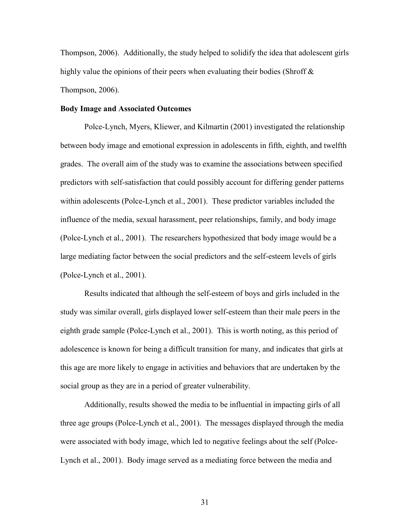Thompson, 2006). Additionally, the study helped to solidify the idea that adolescent girls highly value the opinions of their peers when evaluating their bodies (Shroff & Thompson, 2006).

## **Body Image and Associated Outcomes**

Polce-Lynch, Myers, Kliewer, and Kilmartin (2001) investigated the relationship between body image and emotional expression in adolescents in fifth, eighth, and twelfth grades. The overall aim of the study was to examine the associations between specified predictors with self-satisfaction that could possibly account for differing gender patterns within adolescents (Polce-Lynch et al., 2001). These predictor variables included the influence of the media, sexual harassment, peer relationships, family, and body image (Polce-Lynch et al., 2001). The researchers hypothesized that body image would be a large mediating factor between the social predictors and the self-esteem levels of girls (Polce-Lynch et al., 2001).

Results indicated that although the self-esteem of boys and girls included in the study was similar overall, girls displayed lower self-esteem than their male peers in the eighth grade sample (Polce-Lynch et al., 2001). This is worth noting, as this period of adolescence is known for being a difficult transition for many, and indicates that girls at this age are more likely to engage in activities and behaviors that are undertaken by the social group as they are in a period of greater vulnerability.

Additionally, results showed the media to be influential in impacting girls of all three age groups (Polce-Lynch et al., 2001). The messages displayed through the media were associated with body image, which led to negative feelings about the self (Polce-Lynch et al., 2001). Body image served as a mediating force between the media and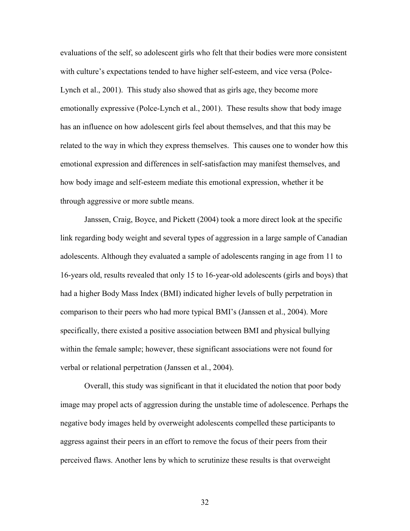evaluations of the self, so adolescent girls who felt that their bodies were more consistent with culture's expectations tended to have higher self-esteem, and vice versa (Polce-Lynch et al., 2001). This study also showed that as girls age, they become more emotionally expressive (Polce-Lynch et al., 2001). These results show that body image has an influence on how adolescent girls feel about themselves, and that this may be related to the way in which they express themselves. This causes one to wonder how this emotional expression and differences in self-satisfaction may manifest themselves, and how body image and self-esteem mediate this emotional expression, whether it be through aggressive or more subtle means.

Janssen, Craig, Boyce, and Pickett (2004) took a more direct look at the specific link regarding body weight and several types of aggression in a large sample of Canadian adolescents. Although they evaluated a sample of adolescents ranging in age from 11 to 16-years old, results revealed that only 15 to 16-year-old adolescents (girls and boys) that had a higher Body Mass Index (BMI) indicated higher levels of bully perpetration in comparison to their peers who had more typical BMI's (Janssen et al., 2004). More specifically, there existed a positive association between BMI and physical bullying within the female sample; however, these significant associations were not found for verbal or relational perpetration (Janssen et al., 2004).

Overall, this study was significant in that it elucidated the notion that poor body image may propel acts of aggression during the unstable time of adolescence. Perhaps the negative body images held by overweight adolescents compelled these participants to aggress against their peers in an effort to remove the focus of their peers from their perceived flaws. Another lens by which to scrutinize these results is that overweight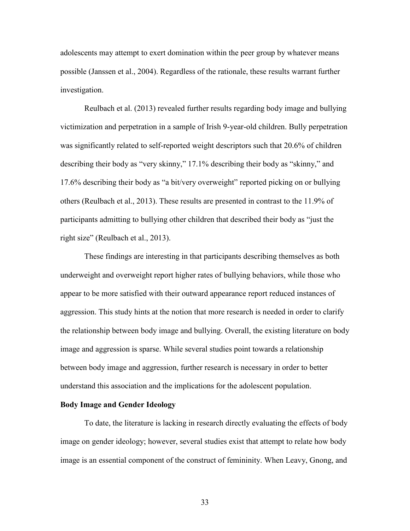adolescents may attempt to exert domination within the peer group by whatever means possible (Janssen et al., 2004). Regardless of the rationale, these results warrant further investigation.

Reulbach et al. (2013) revealed further results regarding body image and bullying victimization and perpetration in a sample of Irish 9-year-old children. Bully perpetration was significantly related to self-reported weight descriptors such that 20.6% of children describing their body as "very skinny," 17.1% describing their body as "skinny," and 17.6% describing their body as "a bit/very overweight" reported picking on or bullying others (Reulbach et al., 2013). These results are presented in contrast to the 11.9% of participants admitting to bullying other children that described their body as "just the right size" (Reulbach et al., 2013).

These findings are interesting in that participants describing themselves as both underweight and overweight report higher rates of bullying behaviors, while those who appear to be more satisfied with their outward appearance report reduced instances of aggression. This study hints at the notion that more research is needed in order to clarify the relationship between body image and bullying. Overall, the existing literature on body image and aggression is sparse. While several studies point towards a relationship between body image and aggression, further research is necessary in order to better understand this association and the implications for the adolescent population.

# **Body Image and Gender Ideology**

To date, the literature is lacking in research directly evaluating the effects of body image on gender ideology; however, several studies exist that attempt to relate how body image is an essential component of the construct of femininity. When Leavy, Gnong, and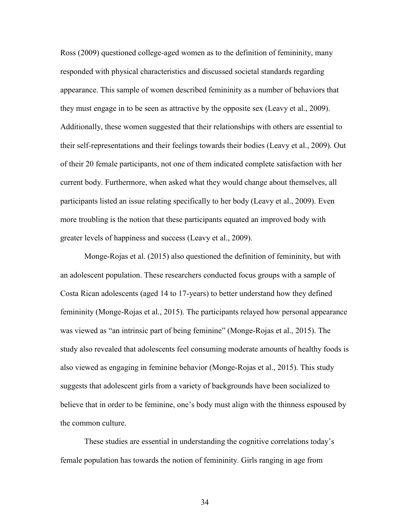Ross (2009) questioned college-aged women as to the definition of femininity, many responded with physical characteristics and discussed societal standards regarding appearance. This sample of women described femininity as a number of behaviors that they must engage in to be seen as attractive by the opposite sex (Leavy et al., 2009). Additionally, these women suggested that their relationships with others are essential to their self-representations and their feelings towards their bodies (Leavy et al., 2009). Out of their 20 female participants, not one of them indicated complete satisfaction with her current body. Furthermore, when asked what they would change about themselves, all participants listed an issue relating specifically to her body (Leavy et al., 2009). Even more troubling is the notion that these participants equated an improved body with greater levels of happiness and success (Leavy et al., 2009).

Monge-Rojas et al. (2015) also questioned the definition of femininity, but with an adolescent population. These researchers conducted focus groups with a sample of Costa Rican adolescents (aged 14 to 17-years) to better understand how they defined femininity (Monge-Rojas et al., 2015). The participants relayed how personal appearance was viewed as "an intrinsic part of being feminine" (Monge-Rojas et al., 2015). The study also revealed that adolescents feel consuming moderate amounts of healthy foods is also viewed as engaging in feminine behavior (Monge-Rojas et al., 2015). This study suggests that adolescent girls from a variety of backgrounds have been socialized to believe that in order to be feminine, one's body must align with the thinness espoused by the common culture.

These studies are essential in understanding the cognitive correlations today's female population has towards the notion of femininity. Girls ranging in age from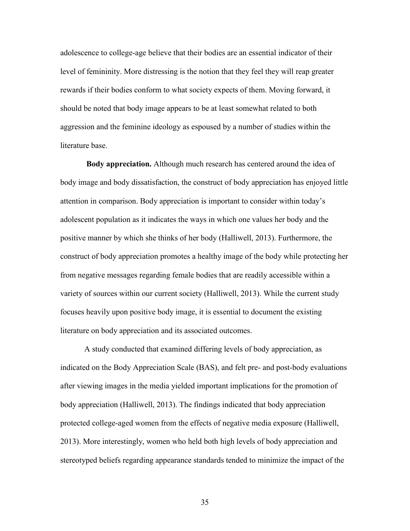adolescence to college-age believe that their bodies are an essential indicator of their level of femininity. More distressing is the notion that they feel they will reap greater rewards if their bodies conform to what society expects of them. Moving forward, it should be noted that body image appears to be at least somewhat related to both aggression and the feminine ideology as espoused by a number of studies within the literature base.

**Body appreciation.** Although much research has centered around the idea of body image and body dissatisfaction, the construct of body appreciation has enjoyed little attention in comparison. Body appreciation is important to consider within today's adolescent population as it indicates the ways in which one values her body and the positive manner by which she thinks of her body (Halliwell, 2013). Furthermore, the construct of body appreciation promotes a healthy image of the body while protecting her from negative messages regarding female bodies that are readily accessible within a variety of sources within our current society (Halliwell, 2013). While the current study focuses heavily upon positive body image, it is essential to document the existing literature on body appreciation and its associated outcomes.

A study conducted that examined differing levels of body appreciation, as indicated on the Body Appreciation Scale (BAS), and felt pre- and post-body evaluations after viewing images in the media yielded important implications for the promotion of body appreciation (Halliwell, 2013). The findings indicated that body appreciation protected college-aged women from the effects of negative media exposure (Halliwell, 2013). More interestingly, women who held both high levels of body appreciation and stereotyped beliefs regarding appearance standards tended to minimize the impact of the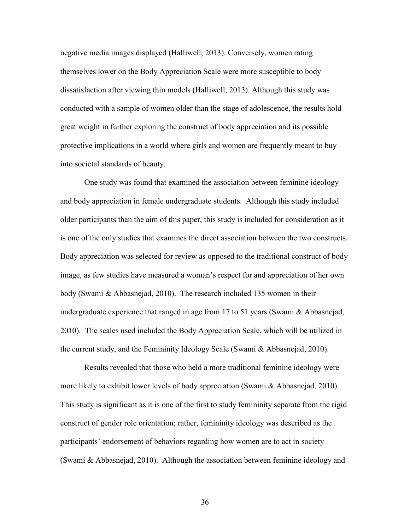negative media images displayed (Halliwell, 2013). Conversely, women rating themselves lower on the Body Appreciation Scale were more susceptible to body dissatisfaction after viewing thin models (Halliwell, 2013). Although this study was conducted with a sample of women older than the stage of adolescence, the results hold great weight in further exploring the construct of body appreciation and its possible protective implications in a world where girls and women are frequently meant to buy into societal standards of beauty.

One study was found that examined the association between feminine ideology and body appreciation in female undergraduate students. Although this study included older participants than the aim of this paper, this study is included for consideration as it is one of the only studies that examines the direct association between the two constructs. Body appreciation was selected for review as opposed to the traditional construct of body image, as few studies have measured a woman's respect for and appreciation of her own body (Swami & Abbasnejad, 2010). The research included 135 women in their undergraduate experience that ranged in age from 17 to 51 years (Swami & Abbasnejad, 2010). The scales used included the Body Appreciation Scale, which will be utilized in the current study, and the Femininity Ideology Scale (Swami & Abbasnejad, 2010).

Results revealed that those who held a more traditional feminine ideology were more likely to exhibit lower levels of body appreciation (Swami & Abbasnejad, 2010). This study is significant as it is one of the first to study femininity separate from the rigid construct of gender role orientation; rather, femininity ideology was described as the participants' endorsement of behaviors regarding how women are to act in society (Swami & Abbasnejad, 2010). Although the association between feminine ideology and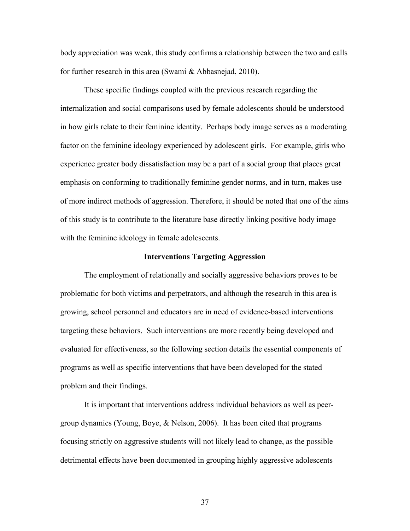body appreciation was weak, this study confirms a relationship between the two and calls for further research in this area (Swami & Abbasnejad, 2010).

These specific findings coupled with the previous research regarding the internalization and social comparisons used by female adolescents should be understood in how girls relate to their feminine identity. Perhaps body image serves as a moderating factor on the feminine ideology experienced by adolescent girls. For example, girls who experience greater body dissatisfaction may be a part of a social group that places great emphasis on conforming to traditionally feminine gender norms, and in turn, makes use of more indirect methods of aggression. Therefore, it should be noted that one of the aims of this study is to contribute to the literature base directly linking positive body image with the feminine ideology in female adolescents.

### **Interventions Targeting Aggression**

The employment of relationally and socially aggressive behaviors proves to be problematic for both victims and perpetrators, and although the research in this area is growing, school personnel and educators are in need of evidence-based interventions targeting these behaviors. Such interventions are more recently being developed and evaluated for effectiveness, so the following section details the essential components of programs as well as specific interventions that have been developed for the stated problem and their findings.

It is important that interventions address individual behaviors as well as peergroup dynamics (Young, Boye, & Nelson, 2006). It has been cited that programs focusing strictly on aggressive students will not likely lead to change, as the possible detrimental effects have been documented in grouping highly aggressive adolescents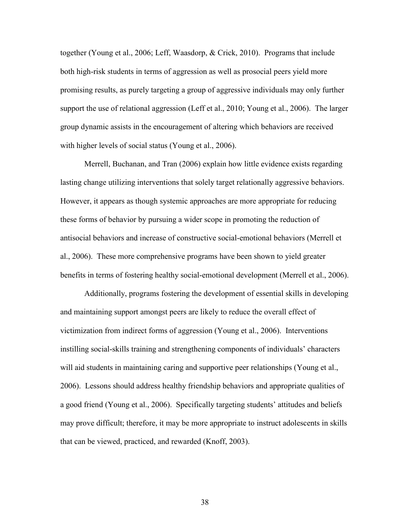together (Young et al., 2006; Leff, Waasdorp, & Crick, 2010). Programs that include both high-risk students in terms of aggression as well as prosocial peers yield more promising results, as purely targeting a group of aggressive individuals may only further support the use of relational aggression (Leff et al., 2010; Young et al., 2006). The larger group dynamic assists in the encouragement of altering which behaviors are received with higher levels of social status (Young et al., 2006).

Merrell, Buchanan, and Tran (2006) explain how little evidence exists regarding lasting change utilizing interventions that solely target relationally aggressive behaviors. However, it appears as though systemic approaches are more appropriate for reducing these forms of behavior by pursuing a wider scope in promoting the reduction of antisocial behaviors and increase of constructive social-emotional behaviors (Merrell et al., 2006). These more comprehensive programs have been shown to yield greater benefits in terms of fostering healthy social-emotional development (Merrell et al., 2006).

Additionally, programs fostering the development of essential skills in developing and maintaining support amongst peers are likely to reduce the overall effect of victimization from indirect forms of aggression (Young et al., 2006). Interventions instilling social-skills training and strengthening components of individuals' characters will aid students in maintaining caring and supportive peer relationships (Young et al., 2006). Lessons should address healthy friendship behaviors and appropriate qualities of a good friend (Young et al., 2006). Specifically targeting students' attitudes and beliefs may prove difficult; therefore, it may be more appropriate to instruct adolescents in skills that can be viewed, practiced, and rewarded (Knoff, 2003).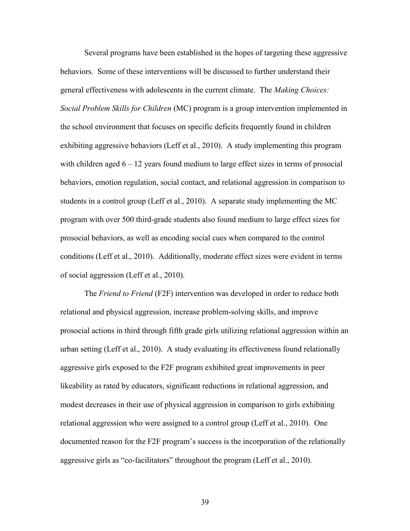Several programs have been established in the hopes of targeting these aggressive behaviors. Some of these interventions will be discussed to further understand their general effectiveness with adolescents in the current climate. The *Making Choices: Social Problem Skills for Children* (MC) program is a group intervention implemented in the school environment that focuses on specific deficits frequently found in children exhibiting aggressive behaviors (Leff et al., 2010). A study implementing this program with children aged  $6 - 12$  years found medium to large effect sizes in terms of prosocial behaviors, emotion regulation, social contact, and relational aggression in comparison to students in a control group (Leff et al., 2010). A separate study implementing the MC program with over 500 third-grade students also found medium to large effect sizes for prosocial behaviors, as well as encoding social cues when compared to the control conditions (Leff et al., 2010). Additionally, moderate effect sizes were evident in terms of social aggression (Leff et al., 2010).

The *Friend to Friend* (F2F) intervention was developed in order to reduce both relational and physical aggression, increase problem-solving skills, and improve prosocial actions in third through fifth grade girls utilizing relational aggression within an urban setting (Leff et al., 2010). A study evaluating its effectiveness found relationally aggressive girls exposed to the F2F program exhibited great improvements in peer likeability as rated by educators, significant reductions in relational aggression, and modest decreases in their use of physical aggression in comparison to girls exhibiting relational aggression who were assigned to a control group (Leff et al., 2010). One documented reason for the F2F program's success is the incorporation of the relationally aggressive girls as "co-facilitators" throughout the program (Leff et al., 2010).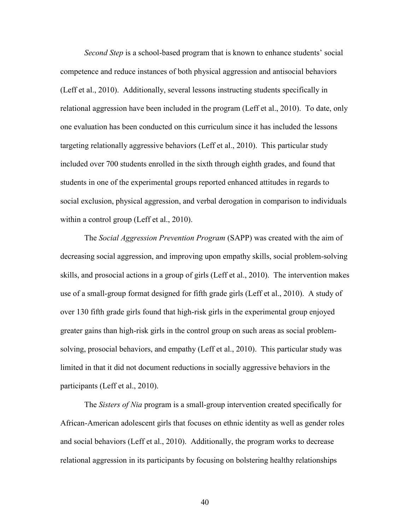*Second Step* is a school-based program that is known to enhance students' social competence and reduce instances of both physical aggression and antisocial behaviors (Leff et al., 2010). Additionally, several lessons instructing students specifically in relational aggression have been included in the program (Leff et al., 2010). To date, only one evaluation has been conducted on this curriculum since it has included the lessons targeting relationally aggressive behaviors (Leff et al., 2010). This particular study included over 700 students enrolled in the sixth through eighth grades, and found that students in one of the experimental groups reported enhanced attitudes in regards to social exclusion, physical aggression, and verbal derogation in comparison to individuals within a control group (Leff et al., 2010).

The *Social Aggression Prevention Program* (SAPP) was created with the aim of decreasing social aggression, and improving upon empathy skills, social problem-solving skills, and prosocial actions in a group of girls (Leff et al., 2010). The intervention makes use of a small-group format designed for fifth grade girls (Leff et al., 2010). A study of over 130 fifth grade girls found that high-risk girls in the experimental group enjoyed greater gains than high-risk girls in the control group on such areas as social problemsolving, prosocial behaviors, and empathy (Leff et al., 2010). This particular study was limited in that it did not document reductions in socially aggressive behaviors in the participants (Leff et al., 2010).

The *Sisters of Nia* program is a small-group intervention created specifically for African-American adolescent girls that focuses on ethnic identity as well as gender roles and social behaviors (Leff et al., 2010). Additionally, the program works to decrease relational aggression in its participants by focusing on bolstering healthy relationships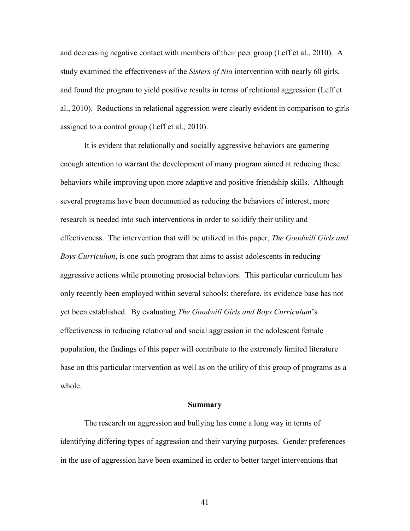and decreasing negative contact with members of their peer group (Leff et al., 2010). A study examined the effectiveness of the *Sisters of Nia* intervention with nearly 60 girls, and found the program to yield positive results in terms of relational aggression (Leff et al., 2010). Reductions in relational aggression were clearly evident in comparison to girls assigned to a control group (Leff et al., 2010).

It is evident that relationally and socially aggressive behaviors are garnering enough attention to warrant the development of many program aimed at reducing these behaviors while improving upon more adaptive and positive friendship skills. Although several programs have been documented as reducing the behaviors of interest, more research is needed into such interventions in order to solidify their utility and effectiveness. The intervention that will be utilized in this paper, *The Goodwill Girls and Boys Curriculum*, is one such program that aims to assist adolescents in reducing aggressive actions while promoting prosocial behaviors. This particular curriculum has only recently been employed within several schools; therefore, its evidence base has not yet been established. By evaluating *The Goodwill Girls and Boys Curriculum*'s effectiveness in reducing relational and social aggression in the adolescent female population, the findings of this paper will contribute to the extremely limited literature base on this particular intervention as well as on the utility of this group of programs as a whole.

### **Summary**

The research on aggression and bullying has come a long way in terms of identifying differing types of aggression and their varying purposes. Gender preferences in the use of aggression have been examined in order to better target interventions that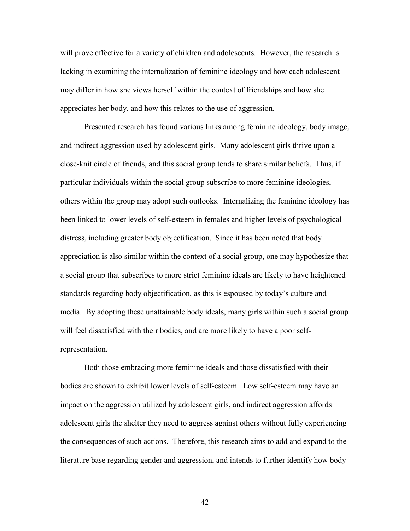will prove effective for a variety of children and adolescents. However, the research is lacking in examining the internalization of feminine ideology and how each adolescent may differ in how she views herself within the context of friendships and how she appreciates her body, and how this relates to the use of aggression.

Presented research has found various links among feminine ideology, body image, and indirect aggression used by adolescent girls. Many adolescent girls thrive upon a close-knit circle of friends, and this social group tends to share similar beliefs. Thus, if particular individuals within the social group subscribe to more feminine ideologies, others within the group may adopt such outlooks. Internalizing the feminine ideology has been linked to lower levels of self-esteem in females and higher levels of psychological distress, including greater body objectification. Since it has been noted that body appreciation is also similar within the context of a social group, one may hypothesize that a social group that subscribes to more strict feminine ideals are likely to have heightened standards regarding body objectification, as this is espoused by today's culture and media. By adopting these unattainable body ideals, many girls within such a social group will feel dissatisfied with their bodies, and are more likely to have a poor selfrepresentation.

Both those embracing more feminine ideals and those dissatisfied with their bodies are shown to exhibit lower levels of self-esteem. Low self-esteem may have an impact on the aggression utilized by adolescent girls, and indirect aggression affords adolescent girls the shelter they need to aggress against others without fully experiencing the consequences of such actions. Therefore, this research aims to add and expand to the literature base regarding gender and aggression, and intends to further identify how body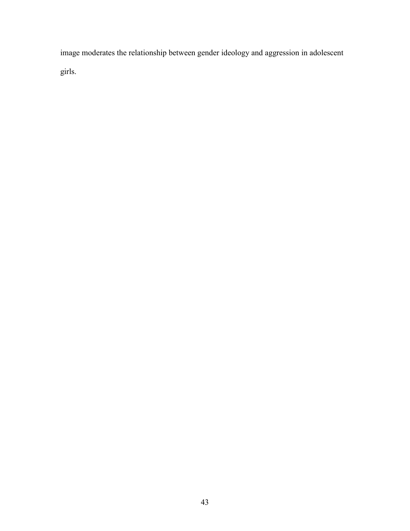image moderates the relationship between gender ideology and aggression in adolescent girls.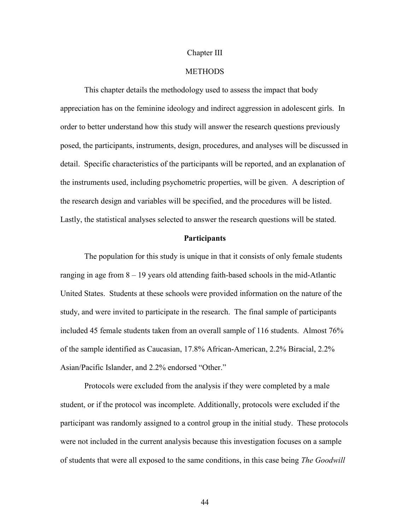### Chapter III

# **METHODS**

This chapter details the methodology used to assess the impact that body appreciation has on the feminine ideology and indirect aggression in adolescent girls. In order to better understand how this study will answer the research questions previously posed, the participants, instruments, design, procedures, and analyses will be discussed in detail. Specific characteristics of the participants will be reported, and an explanation of the instruments used, including psychometric properties, will be given. A description of the research design and variables will be specified, and the procedures will be listed. Lastly, the statistical analyses selected to answer the research questions will be stated.

### **Participants**

The population for this study is unique in that it consists of only female students ranging in age from 8 – 19 years old attending faith-based schools in the mid-Atlantic United States. Students at these schools were provided information on the nature of the study, and were invited to participate in the research. The final sample of participants included 45 female students taken from an overall sample of 116 students. Almost 76% of the sample identified as Caucasian, 17.8% African-American, 2.2% Biracial, 2.2% Asian/Pacific Islander, and 2.2% endorsed "Other."

Protocols were excluded from the analysis if they were completed by a male student, or if the protocol was incomplete. Additionally, protocols were excluded if the participant was randomly assigned to a control group in the initial study. These protocols were not included in the current analysis because this investigation focuses on a sample of students that were all exposed to the same conditions, in this case being *The Goodwill*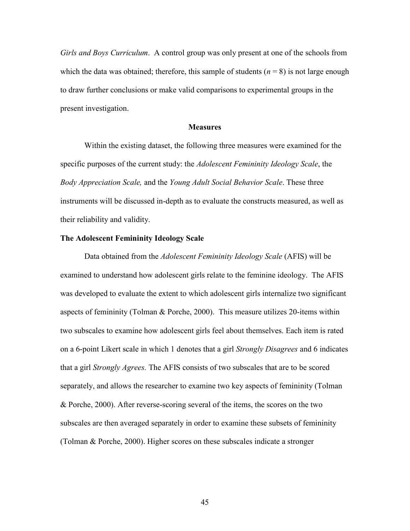*Girls and Boys Curriculum*. A control group was only present at one of the schools from which the data was obtained; therefore, this sample of students  $(n = 8)$  is not large enough to draw further conclusions or make valid comparisons to experimental groups in the present investigation.

#### **Measures**

Within the existing dataset, the following three measures were examined for the specific purposes of the current study: the *Adolescent Femininity Ideology Scale*, the *Body Appreciation Scale,* and the *Young Adult Social Behavior Scale*. These three instruments will be discussed in-depth as to evaluate the constructs measured, as well as their reliability and validity.

### **The Adolescent Femininity Ideology Scale**

Data obtained from the *Adolescent Femininity Ideology Scale* (AFIS) will be examined to understand how adolescent girls relate to the feminine ideology. The AFIS was developed to evaluate the extent to which adolescent girls internalize two significant aspects of femininity (Tolman & Porche, 2000). This measure utilizes 20-items within two subscales to examine how adolescent girls feel about themselves. Each item is rated on a 6-point Likert scale in which 1 denotes that a girl *Strongly Disagrees* and 6 indicates that a girl *Strongly Agrees.* The AFIS consists of two subscales that are to be scored separately, and allows the researcher to examine two key aspects of femininity (Tolman & Porche, 2000). After reverse-scoring several of the items, the scores on the two subscales are then averaged separately in order to examine these subsets of femininity (Tolman & Porche, 2000). Higher scores on these subscales indicate a stronger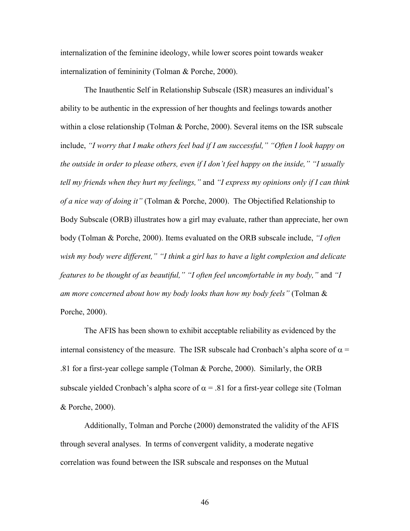internalization of the feminine ideology, while lower scores point towards weaker internalization of femininity (Tolman & Porche, 2000).

The Inauthentic Self in Relationship Subscale (ISR) measures an individual's ability to be authentic in the expression of her thoughts and feelings towards another within a close relationship (Tolman & Porche, 2000). Several items on the ISR subscale include, *"I worry that I make others feel bad if I am successful," "Often I look happy on the outside in order to please others, even if I don't feel happy on the inside," "I usually tell my friends when they hurt my feelings,"* and *"I express my opinions only if I can think of a nice way of doing it"* (Tolman & Porche, 2000). The Objectified Relationship to Body Subscale (ORB) illustrates how a girl may evaluate, rather than appreciate, her own body (Tolman & Porche, 2000). Items evaluated on the ORB subscale include, *"I often wish my body were different," "I think a girl has to have a light complexion and delicate features to be thought of as beautiful," "I often feel uncomfortable in my body,"* and *"I am more concerned about how my body looks than how my body feels"* (Tolman & Porche, 2000).

The AFIS has been shown to exhibit acceptable reliability as evidenced by the internal consistency of the measure. The ISR subscale had Cronbach's alpha score of  $\alpha$  = .81 for a first-year college sample (Tolman & Porche, 2000). Similarly, the ORB subscale yielded Cronbach's alpha score of  $\alpha$  = .81 for a first-year college site (Tolman & Porche, 2000).

Additionally, Tolman and Porche (2000) demonstrated the validity of the AFIS through several analyses. In terms of convergent validity, a moderate negative correlation was found between the ISR subscale and responses on the Mutual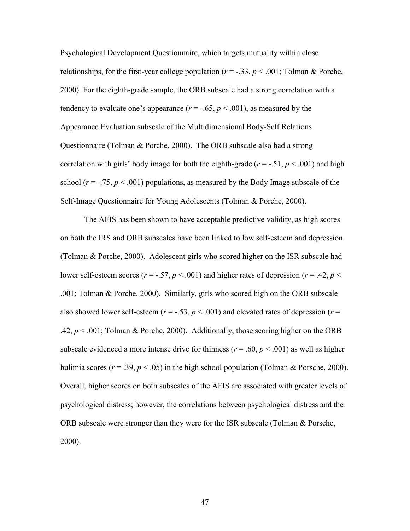Psychological Development Questionnaire, which targets mutuality within close relationships, for the first-year college population ( $r = -0.33$ ,  $p < 0.001$ ; Tolman & Porche, 2000). For the eighth-grade sample, the ORB subscale had a strong correlation with a tendency to evaluate one's appearance  $(r = -.65, p < .001)$ , as measured by the Appearance Evaluation subscale of the Multidimensional Body-Self Relations Questionnaire (Tolman & Porche, 2000). The ORB subscale also had a strong correlation with girls' body image for both the eighth-grade ( $r = -0.51$ ,  $p < 0.001$ ) and high school ( $r = -0.75$ ,  $p < 0.001$ ) populations, as measured by the Body Image subscale of the Self-Image Questionnaire for Young Adolescents (Tolman & Porche, 2000).

The AFIS has been shown to have acceptable predictive validity, as high scores on both the IRS and ORB subscales have been linked to low self-esteem and depression (Tolman & Porche, 2000). Adolescent girls who scored higher on the ISR subscale had lower self-esteem scores ( $r = -0.57$ ,  $p < 0.001$ ) and higher rates of depression ( $r = 0.42$ ,  $p <$ .001; Tolman & Porche, 2000). Similarly, girls who scored high on the ORB subscale also showed lower self-esteem ( $r = -0.53$ ,  $p < 0.001$ ) and elevated rates of depression ( $r =$ .42,  $p < .001$ ; Tolman & Porche, 2000). Additionally, those scoring higher on the ORB subscale evidenced a more intense drive for thinness ( $r = .60$ ,  $p < .001$ ) as well as higher bulimia scores ( $r = .39$ ,  $p < .05$ ) in the high school population (Tolman & Porsche, 2000). Overall, higher scores on both subscales of the AFIS are associated with greater levels of psychological distress; however, the correlations between psychological distress and the ORB subscale were stronger than they were for the ISR subscale (Tolman & Porsche, 2000).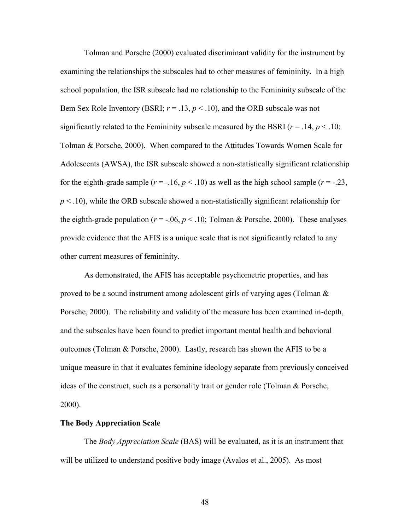Tolman and Porsche (2000) evaluated discriminant validity for the instrument by examining the relationships the subscales had to other measures of femininity. In a high school population, the ISR subscale had no relationship to the Femininity subscale of the Bem Sex Role Inventory (BSRI;  $r = .13$ ,  $p < .10$ ), and the ORB subscale was not significantly related to the Femininity subscale measured by the BSRI ( $r = .14$ ,  $p < .10$ ; Tolman & Porsche, 2000). When compared to the Attitudes Towards Women Scale for Adolescents (AWSA), the ISR subscale showed a non-statistically significant relationship for the eighth-grade sample  $(r = -16, p < 10)$  as well as the high school sample  $(r = -23, p < 10)$  $p < .10$ ), while the ORB subscale showed a non-statistically significant relationship for the eighth-grade population ( $r = -.06$ ,  $p < .10$ ; Tolman & Porsche, 2000). These analyses provide evidence that the AFIS is a unique scale that is not significantly related to any other current measures of femininity.

As demonstrated, the AFIS has acceptable psychometric properties, and has proved to be a sound instrument among adolescent girls of varying ages (Tolman  $\&$ Porsche, 2000). The reliability and validity of the measure has been examined in-depth, and the subscales have been found to predict important mental health and behavioral outcomes (Tolman & Porsche, 2000). Lastly, research has shown the AFIS to be a unique measure in that it evaluates feminine ideology separate from previously conceived ideas of the construct, such as a personality trait or gender role (Tolman & Porsche, 2000).

### **The Body Appreciation Scale**

The *Body Appreciation Scale* (BAS) will be evaluated, as it is an instrument that will be utilized to understand positive body image (Avalos et al., 2005). As most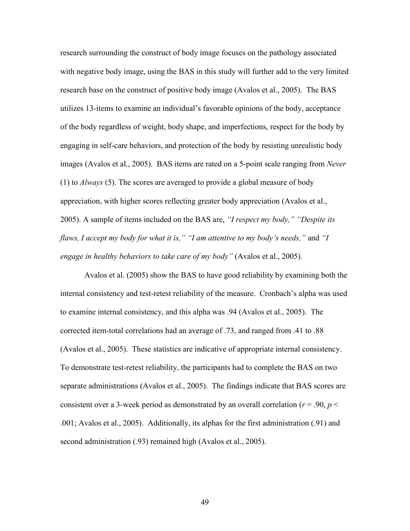research surrounding the construct of body image focuses on the pathology associated with negative body image, using the BAS in this study will further add to the very limited research base on the construct of positive body image (Avalos et al., 2005). The BAS utilizes 13-items to examine an individual's favorable opinions of the body, acceptance of the body regardless of weight, body shape, and imperfections, respect for the body by engaging in self-care behaviors, and protection of the body by resisting unrealistic body images (Avalos et al., 2005). BAS items are rated on a 5-point scale ranging from *Never*  (1) to *Always* (5). The scores are averaged to provide a global measure of body appreciation, with higher scores reflecting greater body appreciation (Avalos et al., 2005). A sample of items included on the BAS are, *"I respect my body," "Despite its flaws, I accept my body for what it is," "I am attentive to my body's needs,"* and *"I engage in healthy behaviors to take care of my body"* (Avalos et al., 2005).

Avalos et al. (2005) show the BAS to have good reliability by examining both the internal consistency and test-retest reliability of the measure. Cronbach's alpha was used to examine internal consistency, and this alpha was .94 (Avalos et al., 2005). The corrected item-total correlations had an average of .73, and ranged from .41 to .88 (Avalos et al., 2005). These statistics are indicative of appropriate internal consistency. To demonstrate test-retest reliability, the participants had to complete the BAS on two separate administrations (Avalos et al., 2005). The findings indicate that BAS scores are consistent over a 3-week period as demonstrated by an overall correlation ( $r = .90$ ,  $p <$ .001; Avalos et al., 2005). Additionally, its alphas for the first administration (.91) and second administration (.93) remained high (Avalos et al., 2005).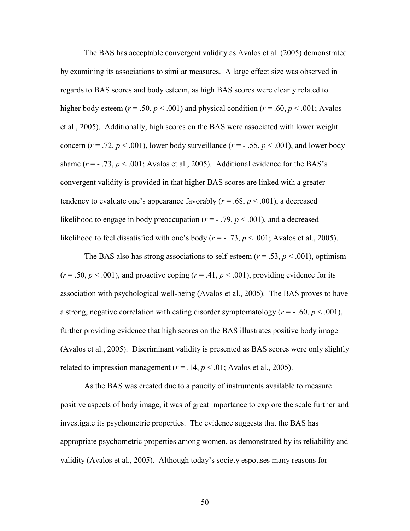The BAS has acceptable convergent validity as Avalos et al. (2005) demonstrated by examining its associations to similar measures. A large effect size was observed in regards to BAS scores and body esteem, as high BAS scores were clearly related to higher body esteem ( $r = .50$ ,  $p < .001$ ) and physical condition ( $r = .60$ ,  $p < .001$ ; Avalos et al., 2005). Additionally, high scores on the BAS were associated with lower weight concern ( $r = .72$ ,  $p < .001$ ), lower body surveillance ( $r = -0.55$ ,  $p < .001$ ), and lower body shame  $(r = -0.73, p < 0.001$ ; Avalos et al., 2005). Additional evidence for the BAS's convergent validity is provided in that higher BAS scores are linked with a greater tendency to evaluate one's appearance favorably  $(r = .68, p < .001)$ , a decreased likelihood to engage in body preoccupation  $(r = -0.79, p < 0.001)$ , and a decreased likelihood to feel dissatisfied with one's body  $(r = -0.73, p < 0.01$ ; Avalos et al., 2005).

The BAS also has strong associations to self-esteem  $(r = .53, p < .001)$ , optimism  $(r = .50, p < .001)$ , and proactive coping  $(r = .41, p < .001)$ , providing evidence for its association with psychological well-being (Avalos et al., 2005). The BAS proves to have a strong, negative correlation with eating disorder symptomatology ( $r = -0.60$ ,  $p < 0.001$ ), further providing evidence that high scores on the BAS illustrates positive body image (Avalos et al., 2005). Discriminant validity is presented as BAS scores were only slightly related to impression management ( $r = .14$ ,  $p < .01$ ; Avalos et al., 2005).

As the BAS was created due to a paucity of instruments available to measure positive aspects of body image, it was of great importance to explore the scale further and investigate its psychometric properties. The evidence suggests that the BAS has appropriate psychometric properties among women, as demonstrated by its reliability and validity (Avalos et al., 2005). Although today's society espouses many reasons for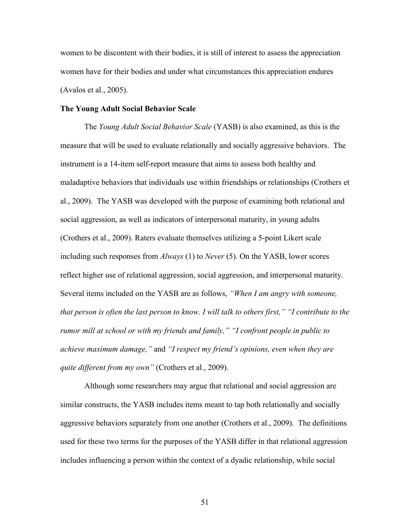women to be discontent with their bodies, it is still of interest to assess the appreciation women have for their bodies and under what circumstances this appreciation endures (Avalos et al., 2005).

## **The Young Adult Social Behavior Scale**

The *Young Adult Social Behavior Scale* (YASB) is also examined, as this is the measure that will be used to evaluate relationally and socially aggressive behaviors. The instrument is a 14-item self-report measure that aims to assess both healthy and maladaptive behaviors that individuals use within friendships or relationships (Crothers et al., 2009). The YASB was developed with the purpose of examining both relational and social aggression, as well as indicators of interpersonal maturity, in young adults (Crothers et al., 2009). Raters evaluate themselves utilizing a 5-point Likert scale including such responses from *Always* (1) to *Never* (5). On the YASB, lower scores reflect higher use of relational aggression, social aggression, and interpersonal maturity. Several items included on the YASB are as follows, *"When I am angry with someone, that person is often the last person to know. I will talk to others first," "I contribute to the rumor mill at school or with my friends and family," "I confront people in public to achieve maximum damage,"* and *"I respect my friend's opinions, even when they are quite different from my own"* (Crothers et al., 2009).

Although some researchers may argue that relational and social aggression are similar constructs, the YASB includes items meant to tap both relationally and socially aggressive behaviors separately from one another (Crothers et al., 2009). The definitions used for these two terms for the purposes of the YASB differ in that relational aggression includes influencing a person within the context of a dyadic relationship, while social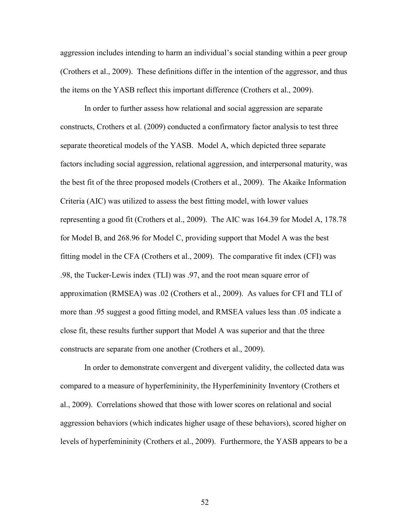aggression includes intending to harm an individual's social standing within a peer group (Crothers et al., 2009). These definitions differ in the intention of the aggressor, and thus the items on the YASB reflect this important difference (Crothers et al., 2009).

In order to further assess how relational and social aggression are separate constructs, Crothers et al. (2009) conducted a confirmatory factor analysis to test three separate theoretical models of the YASB. Model A, which depicted three separate factors including social aggression, relational aggression, and interpersonal maturity, was the best fit of the three proposed models (Crothers et al., 2009). The Akaike Information Criteria (AIC) was utilized to assess the best fitting model, with lower values representing a good fit (Crothers et al., 2009). The AIC was 164.39 for Model A, 178.78 for Model B, and 268.96 for Model C, providing support that Model A was the best fitting model in the CFA (Crothers et al., 2009). The comparative fit index (CFI) was .98, the Tucker-Lewis index (TLI) was .97, and the root mean square error of approximation (RMSEA) was .02 (Crothers et al., 2009). As values for CFI and TLI of more than .95 suggest a good fitting model, and RMSEA values less than .05 indicate a close fit, these results further support that Model A was superior and that the three constructs are separate from one another (Crothers et al., 2009).

In order to demonstrate convergent and divergent validity, the collected data was compared to a measure of hyperfemininity, the Hyperfemininity Inventory (Crothers et al., 2009). Correlations showed that those with lower scores on relational and social aggression behaviors (which indicates higher usage of these behaviors), scored higher on levels of hyperfemininity (Crothers et al., 2009). Furthermore, the YASB appears to be a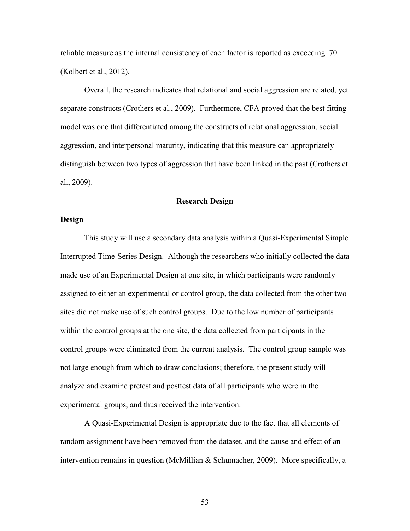reliable measure as the internal consistency of each factor is reported as exceeding .70 (Kolbert et al., 2012).

Overall, the research indicates that relational and social aggression are related, yet separate constructs (Crothers et al., 2009). Furthermore, CFA proved that the best fitting model was one that differentiated among the constructs of relational aggression, social aggression, and interpersonal maturity, indicating that this measure can appropriately distinguish between two types of aggression that have been linked in the past (Crothers et al., 2009).

### **Research Design**

# **Design**

This study will use a secondary data analysis within a Quasi-Experimental Simple Interrupted Time-Series Design. Although the researchers who initially collected the data made use of an Experimental Design at one site, in which participants were randomly assigned to either an experimental or control group, the data collected from the other two sites did not make use of such control groups. Due to the low number of participants within the control groups at the one site, the data collected from participants in the control groups were eliminated from the current analysis. The control group sample was not large enough from which to draw conclusions; therefore, the present study will analyze and examine pretest and posttest data of all participants who were in the experimental groups, and thus received the intervention.

A Quasi-Experimental Design is appropriate due to the fact that all elements of random assignment have been removed from the dataset, and the cause and effect of an intervention remains in question (McMillian & Schumacher, 2009). More specifically, a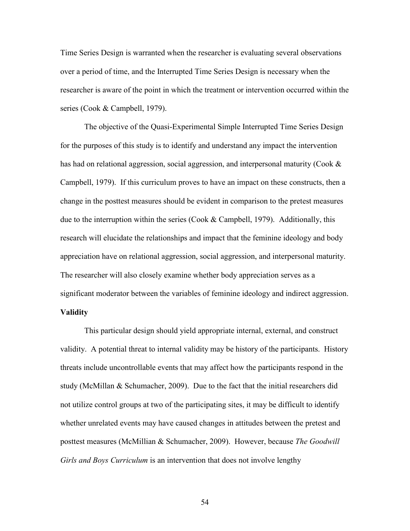Time Series Design is warranted when the researcher is evaluating several observations over a period of time, and the Interrupted Time Series Design is necessary when the researcher is aware of the point in which the treatment or intervention occurred within the series (Cook & Campbell, 1979).

The objective of the Quasi-Experimental Simple Interrupted Time Series Design for the purposes of this study is to identify and understand any impact the intervention has had on relational aggression, social aggression, and interpersonal maturity (Cook & Campbell, 1979). If this curriculum proves to have an impact on these constructs, then a change in the posttest measures should be evident in comparison to the pretest measures due to the interruption within the series (Cook  $&$  Campbell, 1979). Additionally, this research will elucidate the relationships and impact that the feminine ideology and body appreciation have on relational aggression, social aggression, and interpersonal maturity. The researcher will also closely examine whether body appreciation serves as a significant moderator between the variables of feminine ideology and indirect aggression. **Validity**

This particular design should yield appropriate internal, external, and construct validity. A potential threat to internal validity may be history of the participants. History threats include uncontrollable events that may affect how the participants respond in the study (McMillan & Schumacher, 2009). Due to the fact that the initial researchers did not utilize control groups at two of the participating sites, it may be difficult to identify whether unrelated events may have caused changes in attitudes between the pretest and posttest measures (McMillian & Schumacher, 2009). However, because *The Goodwill Girls and Boys Curriculum* is an intervention that does not involve lengthy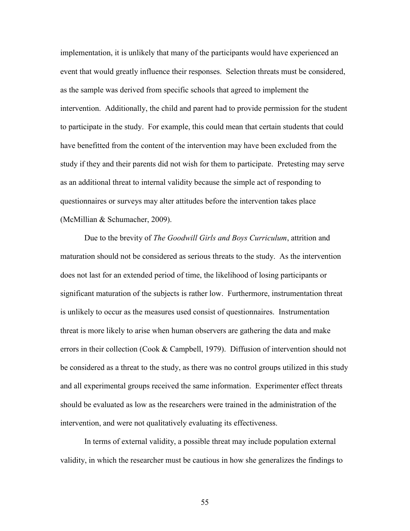implementation, it is unlikely that many of the participants would have experienced an event that would greatly influence their responses. Selection threats must be considered, as the sample was derived from specific schools that agreed to implement the intervention. Additionally, the child and parent had to provide permission for the student to participate in the study. For example, this could mean that certain students that could have benefitted from the content of the intervention may have been excluded from the study if they and their parents did not wish for them to participate. Pretesting may serve as an additional threat to internal validity because the simple act of responding to questionnaires or surveys may alter attitudes before the intervention takes place (McMillian & Schumacher, 2009).

Due to the brevity of *The Goodwill Girls and Boys Curriculum*, attrition and maturation should not be considered as serious threats to the study. As the intervention does not last for an extended period of time, the likelihood of losing participants or significant maturation of the subjects is rather low. Furthermore, instrumentation threat is unlikely to occur as the measures used consist of questionnaires. Instrumentation threat is more likely to arise when human observers are gathering the data and make errors in their collection (Cook & Campbell, 1979). Diffusion of intervention should not be considered as a threat to the study, as there was no control groups utilized in this study and all experimental groups received the same information. Experimenter effect threats should be evaluated as low as the researchers were trained in the administration of the intervention, and were not qualitatively evaluating its effectiveness.

In terms of external validity, a possible threat may include population external validity, in which the researcher must be cautious in how she generalizes the findings to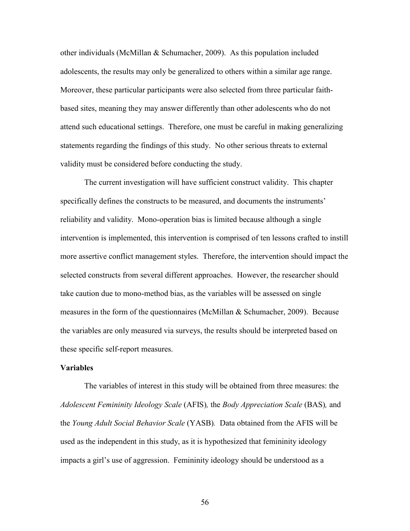other individuals (McMillan & Schumacher, 2009). As this population included adolescents, the results may only be generalized to others within a similar age range. Moreover, these particular participants were also selected from three particular faithbased sites, meaning they may answer differently than other adolescents who do not attend such educational settings. Therefore, one must be careful in making generalizing statements regarding the findings of this study. No other serious threats to external validity must be considered before conducting the study.

The current investigation will have sufficient construct validity. This chapter specifically defines the constructs to be measured, and documents the instruments' reliability and validity. Mono-operation bias is limited because although a single intervention is implemented, this intervention is comprised of ten lessons crafted to instill more assertive conflict management styles. Therefore, the intervention should impact the selected constructs from several different approaches. However, the researcher should take caution due to mono-method bias, as the variables will be assessed on single measures in the form of the questionnaires (McMillan & Schumacher, 2009). Because the variables are only measured via surveys, the results should be interpreted based on these specific self-report measures.

## **Variables**

The variables of interest in this study will be obtained from three measures: the *Adolescent Femininity Ideology Scale* (AFIS)*,* the *Body Appreciation Scale* (BAS)*,* and the *Young Adult Social Behavior Scale* (YASB)*.* Data obtained from the AFIS will be used as the independent in this study, as it is hypothesized that femininity ideology impacts a girl's use of aggression. Femininity ideology should be understood as a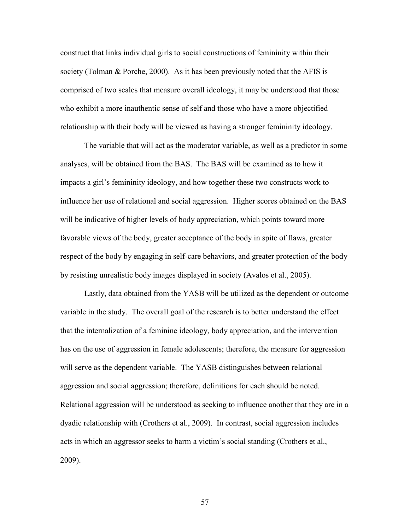construct that links individual girls to social constructions of femininity within their society (Tolman & Porche, 2000). As it has been previously noted that the AFIS is comprised of two scales that measure overall ideology, it may be understood that those who exhibit a more inauthentic sense of self and those who have a more objectified relationship with their body will be viewed as having a stronger femininity ideology.

The variable that will act as the moderator variable, as well as a predictor in some analyses, will be obtained from the BAS. The BAS will be examined as to how it impacts a girl's femininity ideology, and how together these two constructs work to influence her use of relational and social aggression. Higher scores obtained on the BAS will be indicative of higher levels of body appreciation, which points toward more favorable views of the body, greater acceptance of the body in spite of flaws, greater respect of the body by engaging in self-care behaviors, and greater protection of the body by resisting unrealistic body images displayed in society (Avalos et al., 2005).

Lastly, data obtained from the YASB will be utilized as the dependent or outcome variable in the study. The overall goal of the research is to better understand the effect that the internalization of a feminine ideology, body appreciation, and the intervention has on the use of aggression in female adolescents; therefore, the measure for aggression will serve as the dependent variable. The YASB distinguishes between relational aggression and social aggression; therefore, definitions for each should be noted. Relational aggression will be understood as seeking to influence another that they are in a dyadic relationship with (Crothers et al., 2009). In contrast, social aggression includes acts in which an aggressor seeks to harm a victim's social standing (Crothers et al., 2009).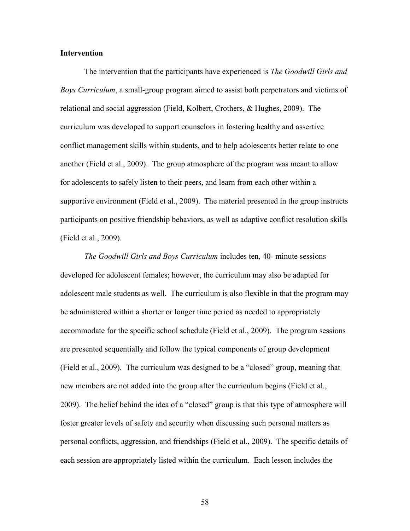## **Intervention**

The intervention that the participants have experienced is *The Goodwill Girls and Boys Curriculum*, a small-group program aimed to assist both perpetrators and victims of relational and social aggression (Field, Kolbert, Crothers, & Hughes, 2009). The curriculum was developed to support counselors in fostering healthy and assertive conflict management skills within students, and to help adolescents better relate to one another (Field et al., 2009). The group atmosphere of the program was meant to allow for adolescents to safely listen to their peers, and learn from each other within a supportive environment (Field et al., 2009). The material presented in the group instructs participants on positive friendship behaviors, as well as adaptive conflict resolution skills (Field et al., 2009).

*The Goodwill Girls and Boys Curriculum* includes ten, 40- minute sessions developed for adolescent females; however, the curriculum may also be adapted for adolescent male students as well. The curriculum is also flexible in that the program may be administered within a shorter or longer time period as needed to appropriately accommodate for the specific school schedule (Field et al., 2009). The program sessions are presented sequentially and follow the typical components of group development (Field et al., 2009). The curriculum was designed to be a "closed" group, meaning that new members are not added into the group after the curriculum begins (Field et al., 2009). The belief behind the idea of a "closed" group is that this type of atmosphere will foster greater levels of safety and security when discussing such personal matters as personal conflicts, aggression, and friendships (Field et al., 2009). The specific details of each session are appropriately listed within the curriculum. Each lesson includes the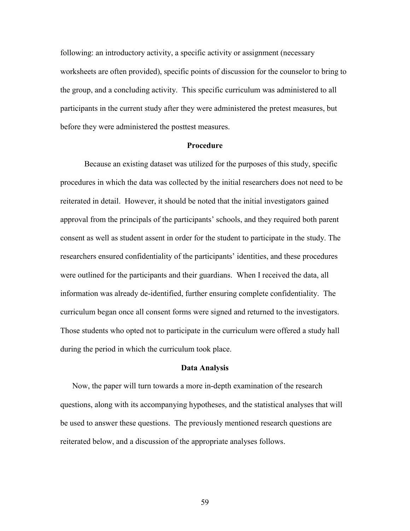following: an introductory activity, a specific activity or assignment (necessary worksheets are often provided), specific points of discussion for the counselor to bring to the group, and a concluding activity. This specific curriculum was administered to all participants in the current study after they were administered the pretest measures, but before they were administered the posttest measures.

#### **Procedure**

Because an existing dataset was utilized for the purposes of this study, specific procedures in which the data was collected by the initial researchers does not need to be reiterated in detail. However, it should be noted that the initial investigators gained approval from the principals of the participants' schools, and they required both parent consent as well as student assent in order for the student to participate in the study. The researchers ensured confidentiality of the participants' identities, and these procedures were outlined for the participants and their guardians. When I received the data, all information was already de-identified, further ensuring complete confidentiality. The curriculum began once all consent forms were signed and returned to the investigators. Those students who opted not to participate in the curriculum were offered a study hall during the period in which the curriculum took place.

# **Data Analysis**

Now, the paper will turn towards a more in-depth examination of the research questions, along with its accompanying hypotheses, and the statistical analyses that will be used to answer these questions. The previously mentioned research questions are reiterated below, and a discussion of the appropriate analyses follows.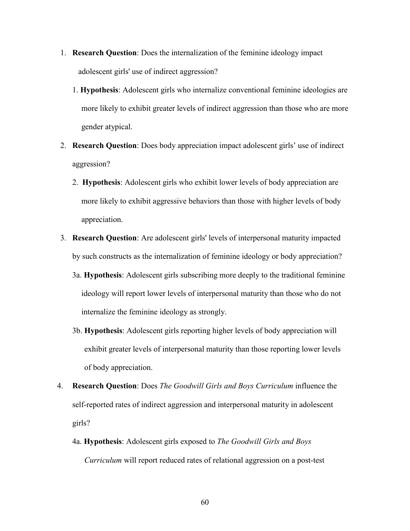- 1. **Research Question**: Does the internalization of the feminine ideology impact adolescent girls' use of indirect aggression?
	- 1. **Hypothesis**: Adolescent girls who internalize conventional feminine ideologies are more likely to exhibit greater levels of indirect aggression than those who are more gender atypical.
- 2. **Research Question**: Does body appreciation impact adolescent girls' use of indirect aggression?
	- 2. **Hypothesis**: Adolescent girls who exhibit lower levels of body appreciation are more likely to exhibit aggressive behaviors than those with higher levels of body appreciation.
- 3. **Research Question**: Are adolescent girls' levels of interpersonal maturity impacted by such constructs as the internalization of feminine ideology or body appreciation?
	- 3a. **Hypothesis**: Adolescent girls subscribing more deeply to the traditional feminine ideology will report lower levels of interpersonal maturity than those who do not internalize the feminine ideology as strongly.
	- 3b. **Hypothesis**: Adolescent girls reporting higher levels of body appreciation will exhibit greater levels of interpersonal maturity than those reporting lower levels of body appreciation.
- 4. **Research Question**: Does *The Goodwill Girls and Boys Curriculum* influence the self-reported rates of indirect aggression and interpersonal maturity in adolescent girls?
	- 4a. **Hypothesis**: Adolescent girls exposed to *The Goodwill Girls and Boys Curriculum* will report reduced rates of relational aggression on a post-test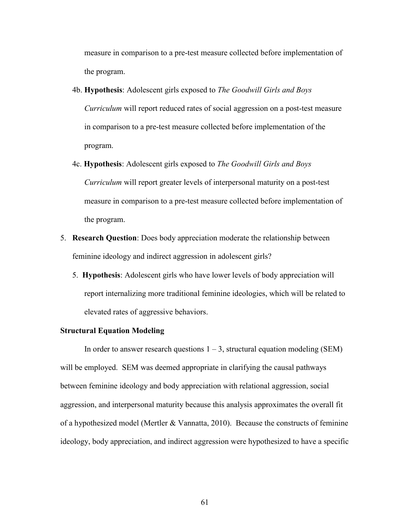measure in comparison to a pre-test measure collected before implementation of the program.

- 4b. **Hypothesis**: Adolescent girls exposed to *The Goodwill Girls and Boys Curriculum* will report reduced rates of social aggression on a post-test measure in comparison to a pre-test measure collected before implementation of the program.
- 4c. **Hypothesis**: Adolescent girls exposed to *The Goodwill Girls and Boys Curriculum* will report greater levels of interpersonal maturity on a post-test measure in comparison to a pre-test measure collected before implementation of the program.
- 5. **Research Question**: Does body appreciation moderate the relationship between feminine ideology and indirect aggression in adolescent girls?
	- 5. **Hypothesis**: Adolescent girls who have lower levels of body appreciation will report internalizing more traditional feminine ideologies, which will be related to elevated rates of aggressive behaviors.

# **Structural Equation Modeling**

In order to answer research questions  $1 - 3$ , structural equation modeling (SEM) will be employed. SEM was deemed appropriate in clarifying the causal pathways between feminine ideology and body appreciation with relational aggression, social aggression, and interpersonal maturity because this analysis approximates the overall fit of a hypothesized model (Mertler & Vannatta, 2010). Because the constructs of feminine ideology, body appreciation, and indirect aggression were hypothesized to have a specific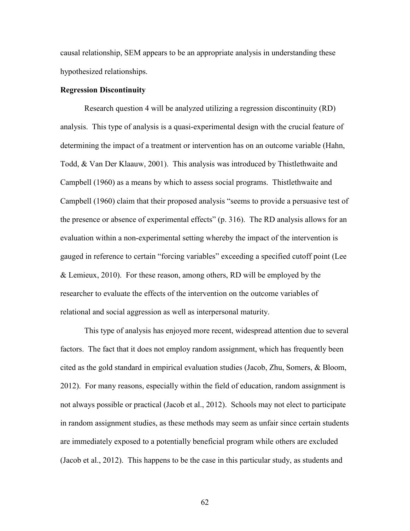causal relationship, SEM appears to be an appropriate analysis in understanding these hypothesized relationships.

# **Regression Discontinuity**

Research question 4 will be analyzed utilizing a regression discontinuity (RD) analysis. This type of analysis is a quasi-experimental design with the crucial feature of determining the impact of a treatment or intervention has on an outcome variable (Hahn, Todd, & Van Der Klaauw, 2001). This analysis was introduced by Thistlethwaite and Campbell (1960) as a means by which to assess social programs. Thistlethwaite and Campbell (1960) claim that their proposed analysis "seems to provide a persuasive test of the presence or absence of experimental effects" (p. 316). The RD analysis allows for an evaluation within a non-experimental setting whereby the impact of the intervention is gauged in reference to certain "forcing variables" exceeding a specified cutoff point (Lee & Lemieux, 2010). For these reason, among others, RD will be employed by the researcher to evaluate the effects of the intervention on the outcome variables of relational and social aggression as well as interpersonal maturity.

This type of analysis has enjoyed more recent, widespread attention due to several factors. The fact that it does not employ random assignment, which has frequently been cited as the gold standard in empirical evaluation studies (Jacob, Zhu, Somers, & Bloom, 2012). For many reasons, especially within the field of education, random assignment is not always possible or practical (Jacob et al., 2012). Schools may not elect to participate in random assignment studies, as these methods may seem as unfair since certain students are immediately exposed to a potentially beneficial program while others are excluded (Jacob et al., 2012). This happens to be the case in this particular study, as students and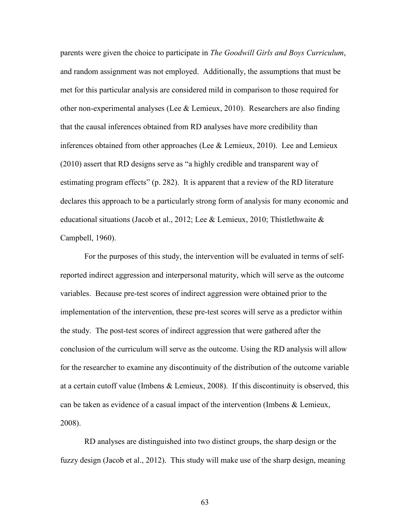parents were given the choice to participate in *The Goodwill Girls and Boys Curriculum*, and random assignment was not employed. Additionally, the assumptions that must be met for this particular analysis are considered mild in comparison to those required for other non-experimental analyses (Lee & Lemieux, 2010). Researchers are also finding that the causal inferences obtained from RD analyses have more credibility than inferences obtained from other approaches (Lee & Lemieux, 2010). Lee and Lemieux (2010) assert that RD designs serve as "a highly credible and transparent way of estimating program effects" (p. 282). It is apparent that a review of the RD literature declares this approach to be a particularly strong form of analysis for many economic and educational situations (Jacob et al., 2012; Lee & Lemieux, 2010; Thistlethwaite & Campbell, 1960).

For the purposes of this study, the intervention will be evaluated in terms of selfreported indirect aggression and interpersonal maturity, which will serve as the outcome variables. Because pre-test scores of indirect aggression were obtained prior to the implementation of the intervention, these pre-test scores will serve as a predictor within the study. The post-test scores of indirect aggression that were gathered after the conclusion of the curriculum will serve as the outcome. Using the RD analysis will allow for the researcher to examine any discontinuity of the distribution of the outcome variable at a certain cutoff value (Imbens & Lemieux, 2008). If this discontinuity is observed, this can be taken as evidence of a casual impact of the intervention (Imbens & Lemieux, 2008).

RD analyses are distinguished into two distinct groups, the sharp design or the fuzzy design (Jacob et al., 2012). This study will make use of the sharp design, meaning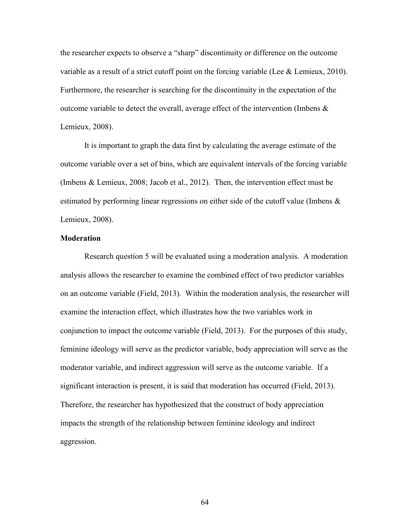the researcher expects to observe a "sharp" discontinuity or difference on the outcome variable as a result of a strict cutoff point on the forcing variable (Lee & Lemieux, 2010). Furthermore, the researcher is searching for the discontinuity in the expectation of the outcome variable to detect the overall, average effect of the intervention (Imbens & Lemieux, 2008).

It is important to graph the data first by calculating the average estimate of the outcome variable over a set of bins, which are equivalent intervals of the forcing variable (Imbens & Lemieux, 2008; Jacob et al., 2012). Then, the intervention effect must be estimated by performing linear regressions on either side of the cutoff value (Imbens  $\&$ Lemieux, 2008).

### **Moderation**

Research question 5 will be evaluated using a moderation analysis. A moderation analysis allows the researcher to examine the combined effect of two predictor variables on an outcome variable (Field, 2013). Within the moderation analysis, the researcher will examine the interaction effect, which illustrates how the two variables work in conjunction to impact the outcome variable (Field, 2013). For the purposes of this study, feminine ideology will serve as the predictor variable, body appreciation will serve as the moderator variable, and indirect aggression will serve as the outcome variable. If a significant interaction is present, it is said that moderation has occurred (Field, 2013). Therefore, the researcher has hypothesized that the construct of body appreciation impacts the strength of the relationship between feminine ideology and indirect aggression.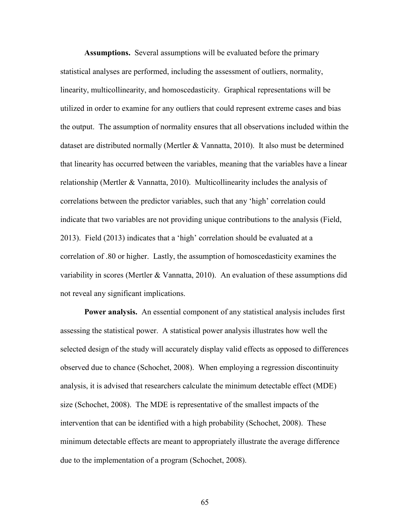**Assumptions.** Several assumptions will be evaluated before the primary statistical analyses are performed, including the assessment of outliers, normality, linearity, multicollinearity, and homoscedasticity. Graphical representations will be utilized in order to examine for any outliers that could represent extreme cases and bias the output. The assumption of normality ensures that all observations included within the dataset are distributed normally (Mertler & Vannatta, 2010). It also must be determined that linearity has occurred between the variables, meaning that the variables have a linear relationship (Mertler & Vannatta, 2010). Multicollinearity includes the analysis of correlations between the predictor variables, such that any 'high' correlation could indicate that two variables are not providing unique contributions to the analysis (Field, 2013). Field (2013) indicates that a 'high' correlation should be evaluated at a correlation of .80 or higher. Lastly, the assumption of homoscedasticity examines the variability in scores (Mertler & Vannatta, 2010). An evaluation of these assumptions did not reveal any significant implications.

**Power analysis.** An essential component of any statistical analysis includes first assessing the statistical power. A statistical power analysis illustrates how well the selected design of the study will accurately display valid effects as opposed to differences observed due to chance (Schochet, 2008). When employing a regression discontinuity analysis, it is advised that researchers calculate the minimum detectable effect (MDE) size (Schochet, 2008). The MDE is representative of the smallest impacts of the intervention that can be identified with a high probability (Schochet, 2008). These minimum detectable effects are meant to appropriately illustrate the average difference due to the implementation of a program (Schochet, 2008).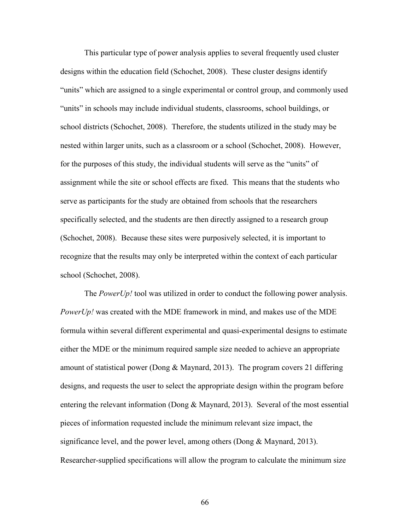This particular type of power analysis applies to several frequently used cluster designs within the education field (Schochet, 2008). These cluster designs identify "units" which are assigned to a single experimental or control group, and commonly used "units" in schools may include individual students, classrooms, school buildings, or school districts (Schochet, 2008). Therefore, the students utilized in the study may be nested within larger units, such as a classroom or a school (Schochet, 2008). However, for the purposes of this study, the individual students will serve as the "units" of assignment while the site or school effects are fixed. This means that the students who serve as participants for the study are obtained from schools that the researchers specifically selected, and the students are then directly assigned to a research group (Schochet, 2008). Because these sites were purposively selected, it is important to recognize that the results may only be interpreted within the context of each particular school (Schochet, 2008).

The *PowerUp!* tool was utilized in order to conduct the following power analysis. *PowerUp!* was created with the MDE framework in mind, and makes use of the MDE formula within several different experimental and quasi-experimental designs to estimate either the MDE or the minimum required sample size needed to achieve an appropriate amount of statistical power (Dong & Maynard, 2013). The program covers 21 differing designs, and requests the user to select the appropriate design within the program before entering the relevant information (Dong  $\&$  Maynard, 2013). Several of the most essential pieces of information requested include the minimum relevant size impact, the significance level, and the power level, among others (Dong & Maynard, 2013). Researcher-supplied specifications will allow the program to calculate the minimum size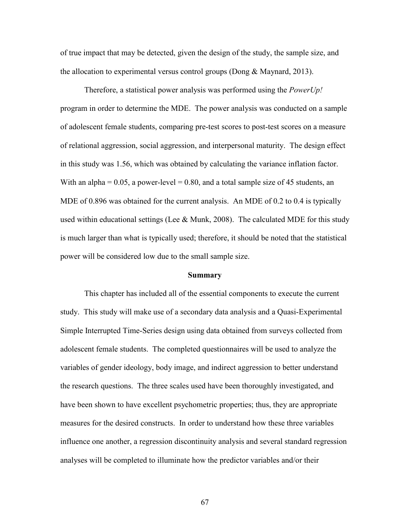of true impact that may be detected, given the design of the study, the sample size, and the allocation to experimental versus control groups (Dong & Maynard, 2013).

Therefore, a statistical power analysis was performed using the *PowerUp!* program in order to determine the MDE. The power analysis was conducted on a sample of adolescent female students, comparing pre-test scores to post-test scores on a measure of relational aggression, social aggression, and interpersonal maturity. The design effect in this study was 1.56, which was obtained by calculating the variance inflation factor. With an alpha  $= 0.05$ , a power-level  $= 0.80$ , and a total sample size of 45 students, an MDE of 0.896 was obtained for the current analysis. An MDE of 0.2 to 0.4 is typically used within educational settings (Lee  $\&$  Munk, 2008). The calculated MDE for this study is much larger than what is typically used; therefore, it should be noted that the statistical power will be considered low due to the small sample size.

#### **Summary**

This chapter has included all of the essential components to execute the current study. This study will make use of a secondary data analysis and a Quasi-Experimental Simple Interrupted Time-Series design using data obtained from surveys collected from adolescent female students. The completed questionnaires will be used to analyze the variables of gender ideology, body image, and indirect aggression to better understand the research questions. The three scales used have been thoroughly investigated, and have been shown to have excellent psychometric properties; thus, they are appropriate measures for the desired constructs. In order to understand how these three variables influence one another, a regression discontinuity analysis and several standard regression analyses will be completed to illuminate how the predictor variables and/or their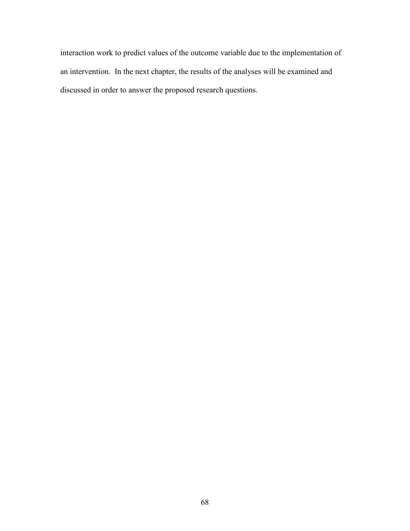interaction work to predict values of the outcome variable due to the implementation of an intervention. In the next chapter, the results of the analyses will be examined and discussed in order to answer the proposed research questions.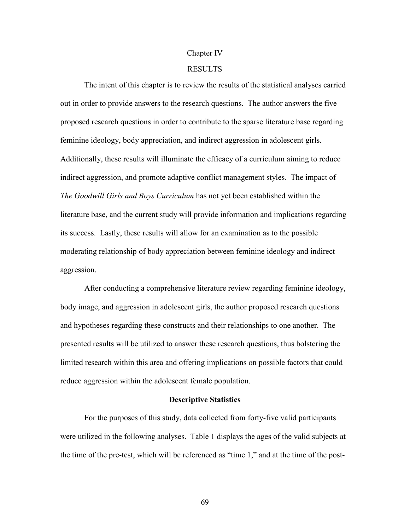#### Chapter IV

# RESULTS

The intent of this chapter is to review the results of the statistical analyses carried out in order to provide answers to the research questions. The author answers the five proposed research questions in order to contribute to the sparse literature base regarding feminine ideology, body appreciation, and indirect aggression in adolescent girls. Additionally, these results will illuminate the efficacy of a curriculum aiming to reduce indirect aggression, and promote adaptive conflict management styles. The impact of *The Goodwill Girls and Boys Curriculum* has not yet been established within the literature base, and the current study will provide information and implications regarding its success. Lastly, these results will allow for an examination as to the possible moderating relationship of body appreciation between feminine ideology and indirect aggression.

After conducting a comprehensive literature review regarding feminine ideology, body image, and aggression in adolescent girls, the author proposed research questions and hypotheses regarding these constructs and their relationships to one another. The presented results will be utilized to answer these research questions, thus bolstering the limited research within this area and offering implications on possible factors that could reduce aggression within the adolescent female population.

# **Descriptive Statistics**

For the purposes of this study, data collected from forty-five valid participants were utilized in the following analyses. Table 1 displays the ages of the valid subjects at the time of the pre-test, which will be referenced as "time 1," and at the time of the post-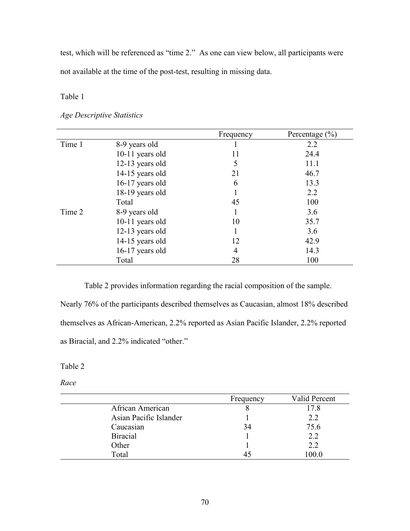test, which will be referenced as "time 2." As one can view below, all participants were not available at the time of the post-test, resulting in missing data.

Table 1

# *Age Descriptive Statistics*

|        |                   | Frequency | Percentage $(\% )$ |
|--------|-------------------|-----------|--------------------|
| Time 1 | 8-9 years old     |           | 2.2                |
|        | 10-11 years old   | 11        | 24.4               |
|        | 12-13 years old   | 5         | 11.1               |
|        | 14-15 years old   | 21        | 46.7               |
|        | 16-17 years old   | 6         | 13.3               |
|        | 18-19 years old   |           | 2.2                |
|        | Total             | 45        | 100                |
| Time 2 | 8-9 years old     | 1         | 3.6                |
|        | $10-11$ years old | 10        | 35.7               |
|        | 12-13 years old   | 1         | 3.6                |
|        | 14-15 years old   | 12        | 42.9               |
|        | 16-17 years old   | 4         | 14.3               |
|        | Total             | 28        | 100                |

Table 2 provides information regarding the racial composition of the sample. Nearly 76% of the participants described themselves as Caucasian, almost 18% described themselves as African-American, 2.2% reported as Asian Pacific Islander, 2.2% reported as Biracial, and 2.2% indicated "other."

Table 2

*Race*

|                        | Frequency | Valid Percent |
|------------------------|-----------|---------------|
| African American       |           | 17.8          |
| Asian Pacific Islander |           | 2.2           |
| Caucasian              | 34        | 75.6          |
| <b>Biracial</b>        |           | 2.2           |
| Other                  |           | 2.2           |
| Total                  |           | 100.0         |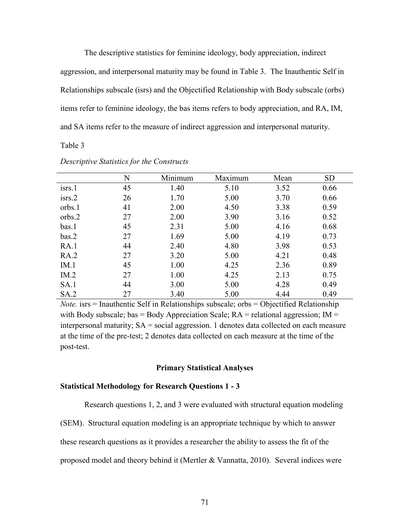The descriptive statistics for feminine ideology, body appreciation, indirect aggression, and interpersonal maturity may be found in Table 3. The Inauthentic Self in Relationships subscale (isrs) and the Objectified Relationship with Body subscale (orbs) items refer to feminine ideology, the bas items refers to body appreciation, and RA, IM, and SA items refer to the measure of indirect aggression and interpersonal maturity.

Table 3

|                    | N  | Minimum | Maximum | Mean | <b>SD</b> |
|--------------------|----|---------|---------|------|-----------|
| isrs.1             | 45 | 1.40    | 5.10    | 3.52 | 0.66      |
| i <sub>STS.2</sub> | 26 | 1.70    | 5.00    | 3.70 | 0.66      |
| orbs.1             | 41 | 2.00    | 4.50    | 3.38 | 0.59      |
| orbs.2             | 27 | 2.00    | 3.90    | 3.16 | 0.52      |
| bas.1              | 45 | 2.31    | 5.00    | 4.16 | 0.68      |
| bas.2              | 27 | 1.69    | 5.00    | 4.19 | 0.73      |
| RA.1               | 44 | 2.40    | 4.80    | 3.98 | 0.53      |
| RA.2               | 27 | 3.20    | 5.00    | 4.21 | 0.48      |
| IM.1               | 45 | 1.00    | 4.25    | 2.36 | 0.89      |
| IM.2               | 27 | 1.00    | 4.25    | 2.13 | 0.75      |
| SA.1               | 44 | 3.00    | 5.00    | 4.28 | 0.49      |
| SA.2               | 27 | 3.40    | 5.00    | 4.44 | 0.49      |

*Descriptive Statistics for the Constructs* 

*Note.* isrs = Inauthentic Self in Relationships subscale; orbs = Objectified Relationship with Body subscale; bas = Body Appreciation Scale;  $RA$  = relational aggression;  $IM$  = interpersonal maturity;  $SA = social$  aggression. 1 denotes data collected on each measure at the time of the pre-test; 2 denotes data collected on each measure at the time of the post-test.

#### **Primary Statistical Analyses**

# **Statistical Methodology for Research Questions 1 - 3**

Research questions 1, 2, and 3 were evaluated with structural equation modeling

(SEM). Structural equation modeling is an appropriate technique by which to answer

these research questions as it provides a researcher the ability to assess the fit of the

proposed model and theory behind it (Mertler & Vannatta, 2010). Several indices were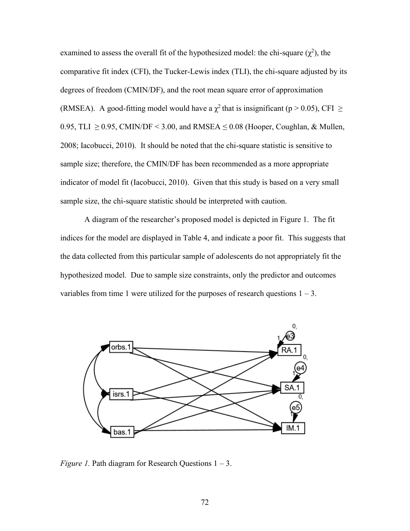examined to assess the overall fit of the hypothesized model: the chi-square  $(\chi^2)$ , the comparative fit index (CFI), the Tucker-Lewis index (TLI), the chi-square adjusted by its degrees of freedom (CMIN/DF), and the root mean square error of approximation (RMSEA). A good-fitting model would have a  $\chi^2$  that is insignificant (p > 0.05), CFI  $\geq$ 0.95, TLI  $\geq$  0.95, CMIN/DF < 3.00, and RMSEA  $\leq$  0.08 (Hooper, Coughlan, & Mullen, 2008; Iacobucci, 2010). It should be noted that the chi-square statistic is sensitive to sample size; therefore, the CMIN/DF has been recommended as a more appropriate indicator of model fit (Iacobucci, 2010). Given that this study is based on a very small sample size, the chi-square statistic should be interpreted with caution.

A diagram of the researcher's proposed model is depicted in Figure 1. The fit indices for the model are displayed in Table 4, and indicate a poor fit. This suggests that the data collected from this particular sample of adolescents do not appropriately fit the hypothesized model. Due to sample size constraints, only the predictor and outcomes variables from time 1 were utilized for the purposes of research questions  $1 - 3$ .



*Figure 1.* Path diagram for Research Questions 1 – 3.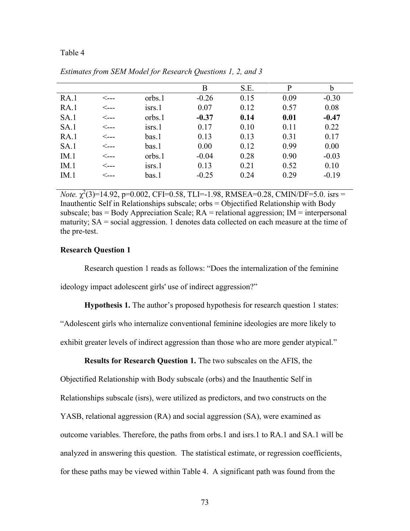#### Table 4

|      |                 |              | B       | S.E. | P    | b       |
|------|-----------------|--------------|---------|------|------|---------|
| RA.1 | $\leftarrow$ -- | orbs.1       | $-0.26$ | 0.15 | 0.09 | $-0.30$ |
| RA.1 | <---            | isrs.1       | 0.07    | 0.12 | 0.57 | 0.08    |
| SA.1 | <---            | orbs.1       | $-0.37$ | 0.14 | 0.01 | $-0.47$ |
| SA.1 | ⊂---            | $i$ srs. $1$ | 0.17    | 0.10 | 0.11 | 0.22    |
| RA.1 | $\leftarrow$ -- | bas.1        | 0.13    | 0.13 | 0.31 | 0.17    |
| SA.1 | <---            | bas.1        | 0.00    | 0.12 | 0.99 | 0.00    |
| IM.1 | <---            | orbs.1       | $-0.04$ | 0.28 | 0.90 | $-0.03$ |
| IM.1 | <---            | isrs.1       | 0.13    | 0.21 | 0.52 | 0.10    |
| IM.1 | <---            | bas.1        | $-0.25$ | 0.24 | 0.29 | $-0.19$ |
|      |                 |              |         |      |      |         |

*Estimates from SEM Model for Research Questions 1, 2, and 3*

*Note.*  $\chi^2(3)=14.92$ ,  $p=0.002$ , CFI=0.58, TLI=-1.98, RMSEA=0.28, CMIN/DF=5.0. isrs = Inauthentic Self in Relationships subscale; orbs = Objectified Relationship with Body subscale; bas  $=$  Body Appreciation Scale;  $RA =$  relational aggression;  $IM =$  interpersonal maturity; SA = social aggression. 1 denotes data collected on each measure at the time of the pre-test.

# **Research Question 1**

Research question 1 reads as follows: "Does the internalization of the feminine ideology impact adolescent girls' use of indirect aggression?"

**Hypothesis 1.** The author's proposed hypothesis for research question 1 states:

"Adolescent girls who internalize conventional feminine ideologies are more likely to

exhibit greater levels of indirect aggression than those who are more gender atypical."

**Results for Research Question 1.** The two subscales on the AFIS, the

Objectified Relationship with Body subscale (orbs) and the Inauthentic Self in

Relationships subscale (isrs), were utilized as predictors, and two constructs on the

YASB, relational aggression (RA) and social aggression (SA), were examined as

outcome variables. Therefore, the paths from orbs.1 and isrs.1 to RA.1 and SA.1 will be

analyzed in answering this question. The statistical estimate, or regression coefficients,

for these paths may be viewed within Table 4. A significant path was found from the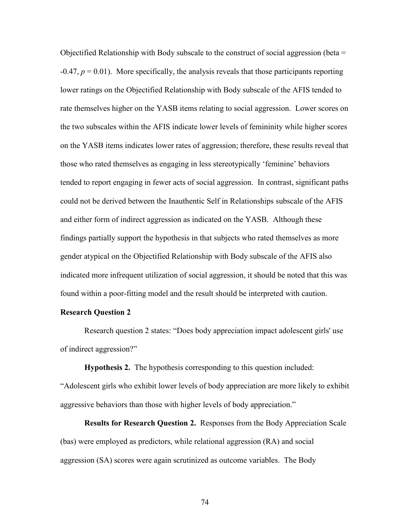Objectified Relationship with Body subscale to the construct of social aggression (beta  $=$  $-0.47$ ,  $p = 0.01$ ). More specifically, the analysis reveals that those participants reporting lower ratings on the Objectified Relationship with Body subscale of the AFIS tended to rate themselves higher on the YASB items relating to social aggression. Lower scores on the two subscales within the AFIS indicate lower levels of femininity while higher scores on the YASB items indicates lower rates of aggression; therefore, these results reveal that those who rated themselves as engaging in less stereotypically 'feminine' behaviors tended to report engaging in fewer acts of social aggression. In contrast, significant paths could not be derived between the Inauthentic Self in Relationships subscale of the AFIS and either form of indirect aggression as indicated on the YASB. Although these findings partially support the hypothesis in that subjects who rated themselves as more gender atypical on the Objectified Relationship with Body subscale of the AFIS also indicated more infrequent utilization of social aggression, it should be noted that this was found within a poor-fitting model and the result should be interpreted with caution.

### **Research Question 2**

Research question 2 states: "Does body appreciation impact adolescent girls' use of indirect aggression?"

**Hypothesis 2.** The hypothesis corresponding to this question included:

"Adolescent girls who exhibit lower levels of body appreciation are more likely to exhibit aggressive behaviors than those with higher levels of body appreciation."

**Results for Research Question 2.** Responses from the Body Appreciation Scale (bas) were employed as predictors, while relational aggression (RA) and social aggression (SA) scores were again scrutinized as outcome variables. The Body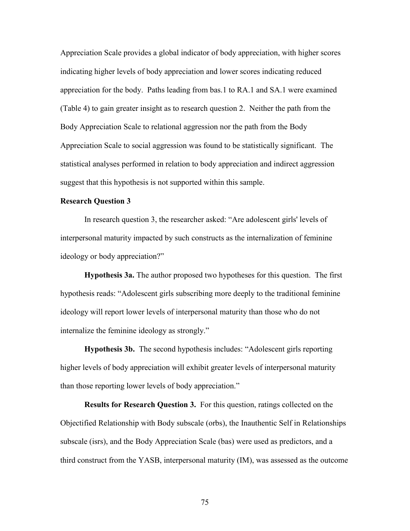Appreciation Scale provides a global indicator of body appreciation, with higher scores indicating higher levels of body appreciation and lower scores indicating reduced appreciation for the body. Paths leading from bas.1 to RA.1 and SA.1 were examined (Table 4) to gain greater insight as to research question 2. Neither the path from the Body Appreciation Scale to relational aggression nor the path from the Body Appreciation Scale to social aggression was found to be statistically significant. The statistical analyses performed in relation to body appreciation and indirect aggression suggest that this hypothesis is not supported within this sample.

# **Research Question 3**

In research question 3, the researcher asked: "Are adolescent girls' levels of interpersonal maturity impacted by such constructs as the internalization of feminine ideology or body appreciation?"

**Hypothesis 3a.** The author proposed two hypotheses for this question. The first hypothesis reads: "Adolescent girls subscribing more deeply to the traditional feminine ideology will report lower levels of interpersonal maturity than those who do not internalize the feminine ideology as strongly."

**Hypothesis 3b.** The second hypothesis includes: "Adolescent girls reporting higher levels of body appreciation will exhibit greater levels of interpersonal maturity than those reporting lower levels of body appreciation."

**Results for Research Question 3.** For this question, ratings collected on the Objectified Relationship with Body subscale (orbs), the Inauthentic Self in Relationships subscale (isrs), and the Body Appreciation Scale (bas) were used as predictors, and a third construct from the YASB, interpersonal maturity (IM), was assessed as the outcome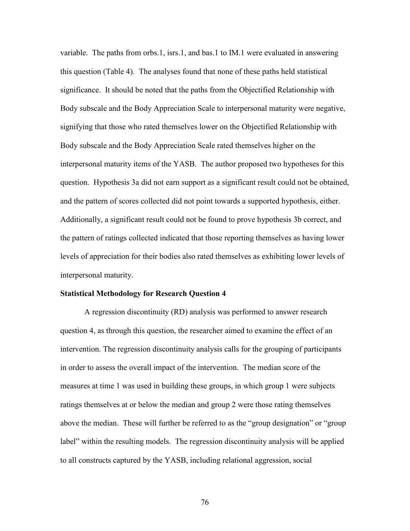variable. The paths from orbs.1, isrs.1, and bas.1 to IM.1 were evaluated in answering this question (Table 4). The analyses found that none of these paths held statistical significance. It should be noted that the paths from the Objectified Relationship with Body subscale and the Body Appreciation Scale to interpersonal maturity were negative, signifying that those who rated themselves lower on the Objectified Relationship with Body subscale and the Body Appreciation Scale rated themselves higher on the interpersonal maturity items of the YASB. The author proposed two hypotheses for this question. Hypothesis 3a did not earn support as a significant result could not be obtained, and the pattern of scores collected did not point towards a supported hypothesis, either. Additionally, a significant result could not be found to prove hypothesis 3b correct, and the pattern of ratings collected indicated that those reporting themselves as having lower levels of appreciation for their bodies also rated themselves as exhibiting lower levels of interpersonal maturity.

# **Statistical Methodology for Research Question 4**

A regression discontinuity (RD) analysis was performed to answer research question 4, as through this question, the researcher aimed to examine the effect of an intervention. The regression discontinuity analysis calls for the grouping of participants in order to assess the overall impact of the intervention. The median score of the measures at time 1 was used in building these groups, in which group 1 were subjects ratings themselves at or below the median and group 2 were those rating themselves above the median. These will further be referred to as the "group designation" or "group label" within the resulting models. The regression discontinuity analysis will be applied to all constructs captured by the YASB, including relational aggression, social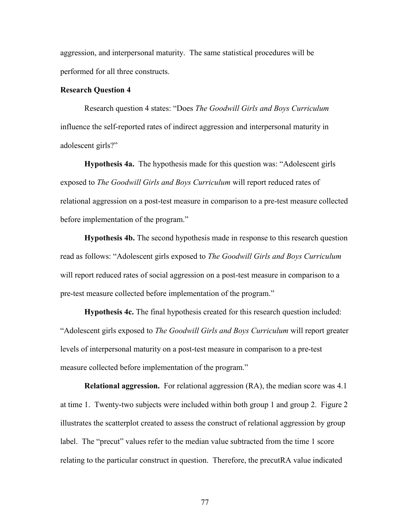aggression, and interpersonal maturity. The same statistical procedures will be performed for all three constructs.

# **Research Question 4**

Research question 4 states: "Does *The Goodwill Girls and Boys Curriculum*  influence the self-reported rates of indirect aggression and interpersonal maturity in adolescent girls?"

**Hypothesis 4a.** The hypothesis made for this question was: "Adolescent girls exposed to *The Goodwill Girls and Boys Curriculum* will report reduced rates of relational aggression on a post-test measure in comparison to a pre-test measure collected before implementation of the program."

**Hypothesis 4b.** The second hypothesis made in response to this research question read as follows: "Adolescent girls exposed to *The Goodwill Girls and Boys Curriculum* will report reduced rates of social aggression on a post-test measure in comparison to a pre-test measure collected before implementation of the program."

**Hypothesis 4c.** The final hypothesis created for this research question included: "Adolescent girls exposed to *The Goodwill Girls and Boys Curriculum* will report greater levels of interpersonal maturity on a post-test measure in comparison to a pre-test measure collected before implementation of the program."

**Relational aggression.** For relational aggression (RA), the median score was 4.1 at time 1. Twenty-two subjects were included within both group 1 and group 2. Figure 2 illustrates the scatterplot created to assess the construct of relational aggression by group label. The "precut" values refer to the median value subtracted from the time 1 score relating to the particular construct in question. Therefore, the precutRA value indicated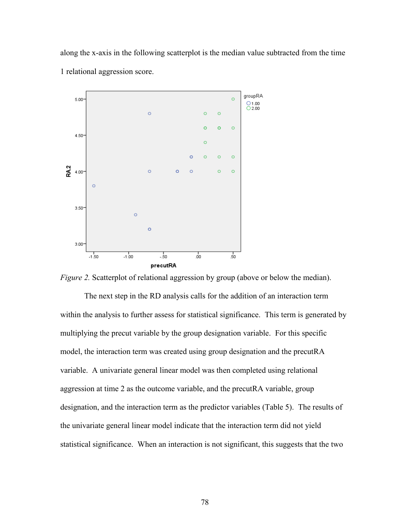along the x-axis in the following scatterplot is the median value subtracted from the time 1 relational aggression score.



*Figure 2.* Scatterplot of relational aggression by group (above or below the median).

The next step in the RD analysis calls for the addition of an interaction term within the analysis to further assess for statistical significance. This term is generated by multiplying the precut variable by the group designation variable. For this specific model, the interaction term was created using group designation and the precutRA variable. A univariate general linear model was then completed using relational aggression at time 2 as the outcome variable, and the precutRA variable, group designation, and the interaction term as the predictor variables (Table 5). The results of the univariate general linear model indicate that the interaction term did not yield statistical significance. When an interaction is not significant, this suggests that the two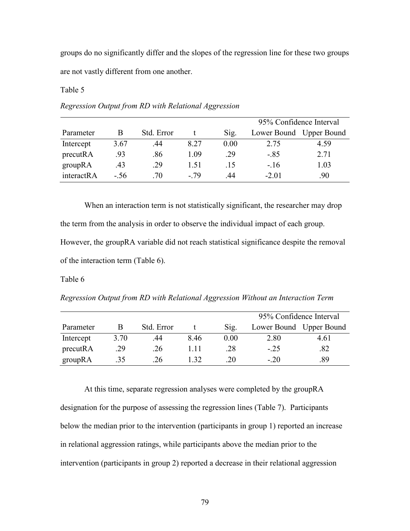groups do no significantly differ and the slopes of the regression line for these two groups are not vastly different from one another.

Table 5

|            |      |            |      |      | 95% Confidence Interval |      |  |
|------------|------|------------|------|------|-------------------------|------|--|
| Parameter  | B    | Std. Error |      | Sig. | Lower Bound Upper Bound |      |  |
| Intercept  | 3.67 | .44        | 8.27 | 0.00 | 2.75                    | 4.59 |  |
| precutRA   | .93  | .86        | 1.09 | .29  | $-.85$                  | 2.71 |  |
| groupRA    | .43  | .29        | 151  | .15  | $-.16$                  | 1.03 |  |
| interactRA | - 56 | .70        | - 79 | 44   | $-2.01$                 | .90  |  |

*Regression Output from RD with Relational Aggression*

When an interaction term is not statistically significant, the researcher may drop the term from the analysis in order to observe the individual impact of each group. However, the groupRA variable did not reach statistical significance despite the removal of the interaction term (Table 6).

Table 6

|           |      |            |     |      | 95% Confidence Interval |      |  |
|-----------|------|------------|-----|------|-------------------------|------|--|
| Parameter |      | Std. Error |     | S12. | Lower Bound Upper Bound |      |  |
| Intercept | 3.70 | .44        | 846 | 0.00 | 2.80                    | 4.61 |  |
| precutRA  | .29  | .26        | -11 | .28  | $-.25$                  | .82  |  |
| groupRA   | .35  | 26         | -32 | .20  | $-20$                   | .89  |  |

At this time, separate regression analyses were completed by the groupRA designation for the purpose of assessing the regression lines (Table 7). Participants below the median prior to the intervention (participants in group 1) reported an increase in relational aggression ratings, while participants above the median prior to the intervention (participants in group 2) reported a decrease in their relational aggression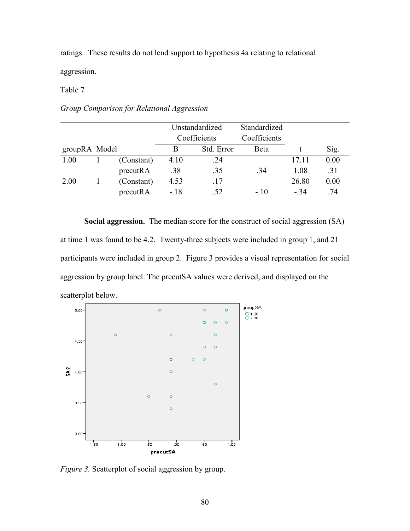ratings. These results do not lend support to hypothesis 4a relating to relational aggression.

Table 7

*Group Comparison for Relational Aggression*

|               |            | Unstandardized |              | Standardized |       |      |
|---------------|------------|----------------|--------------|--------------|-------|------|
|               |            |                | Coefficients | Coefficients |       |      |
| groupRA Model |            | В              | Std. Error   | Beta         |       | Sig. |
| 1.00          | (Constant) | 4.10           | .24          |              | 17.11 | 0.00 |
|               | precutRA   | .38            | .35          | .34          | 1.08  | .31  |
| 2.00          | (Constant) | 4.53           | .17          |              | 26.80 | 0.00 |
|               | precutRA   | $-.18$         | .52          | $-10$        | $-34$ | .74  |

**Social aggression.** The median score for the construct of social aggression (SA) at time 1 was found to be 4.2. Twenty-three subjects were included in group 1, and 21 participants were included in group 2. Figure 3 provides a visual representation for social aggression by group label. The precutSA values were derived, and displayed on the scatterplot below.



*Figure 3.* Scatterplot of social aggression by group.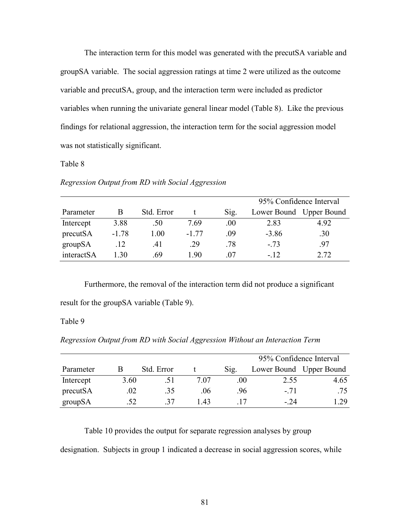The interaction term for this model was generated with the precutSA variable and groupSA variable. The social aggression ratings at time 2 were utilized as the outcome variable and precutSA, group, and the interaction term were included as predictor variables when running the univariate general linear model (Table 8). Like the previous findings for relational aggression, the interaction term for the social aggression model was not statistically significant.

# Table 8

#### *Regression Output from RD with Social Aggression*

|            |         |            |         |      | 95% Confidence Interval |      |  |
|------------|---------|------------|---------|------|-------------------------|------|--|
| Parameter  | B       | Std. Error |         | Sig. | Lower Bound Upper Bound |      |  |
| Intercept  | 3.88    | .50        | 7.69    | .00. | 2.83                    | 4.92 |  |
| precutSA   | $-1.78$ | 1.00       | $-1.77$ | -09  | $-3.86$                 | .30  |  |
| groupSA    | .12     | .41        | .29     | .78  | $-.73$                  | .97  |  |
| interactSA | -30     | -69        | 190     | -07  | $-12$                   | 2.72 |  |

Furthermore, the removal of the interaction term did not produce a significant result for the groupSA variable (Table 9).

# Table 9

*Regression Output from RD with Social Aggression Without an Interaction Term*

|           |      |            |      |      |       | 95% Confidence Interval |
|-----------|------|------------|------|------|-------|-------------------------|
| Parameter |      | Std. Error |      | S12. |       | Lower Bound Upper Bound |
| Intercept | 3.60 | .51        | 7 07 | .00  | 2.55  | 4.65                    |
| precutSA  | .02  | .35        | .06  | .96. | $-71$ | .75                     |
| groupSA   | .52  | -37        | 143  |      | $-24$ | .29                     |

Table 10 provides the output for separate regression analyses by group

designation. Subjects in group 1 indicated a decrease in social aggression scores, while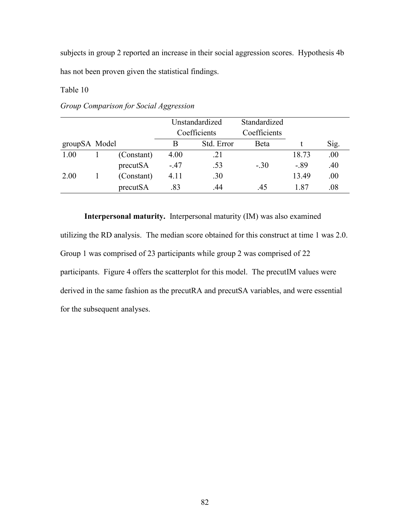subjects in group 2 reported an increase in their social aggression scores. Hypothesis 4b has not been proven given the statistical findings.

Table 10

|               |            | Unstandardized |              | Standardized |        |         |
|---------------|------------|----------------|--------------|--------------|--------|---------|
|               |            |                | Coefficients | Coefficients |        |         |
| groupSA Model |            | B              | Std. Error   | Beta         |        | Sig.    |
| 1.00          | (Constant) | 4.00           | .21          |              | 18.73  | .00     |
|               | precutSA   | $-.47$         | .53          | $-.30$       | $-.89$ | .40     |
| 2.00          | (Constant) | 4.11           | .30          |              | 13.49  | .00     |
|               | precutSA   | .83            | .44          | .45          | 187    | $.08\,$ |

*Group Comparison for Social Aggression*

**Interpersonal maturity.** Interpersonal maturity (IM) was also examined

utilizing the RD analysis. The median score obtained for this construct at time 1 was 2.0. Group 1 was comprised of 23 participants while group 2 was comprised of 22 participants. Figure 4 offers the scatterplot for this model. The precutIM values were derived in the same fashion as the precutRA and precutSA variables, and were essential for the subsequent analyses.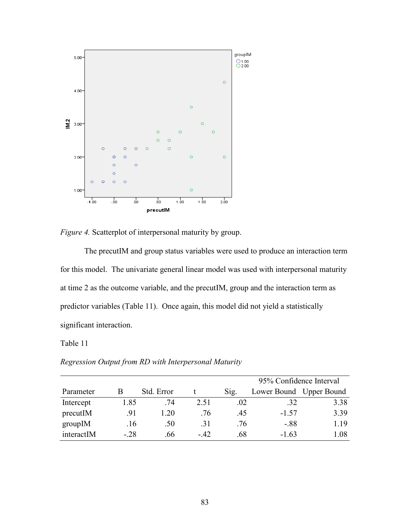



The precutIM and group status variables were used to produce an interaction term for this model. The univariate general linear model was used with interpersonal maturity at time 2 as the outcome variable, and the precutIM, group and the interaction term as predictor variables (Table 11). Once again, this model did not yield a statistically significant interaction.

# Table 11

|            |        |            |      | 95% Confidence Interval |         |                         |  |  |
|------------|--------|------------|------|-------------------------|---------|-------------------------|--|--|
| Parameter  | B      | Std. Error |      | $S_1g$ .                |         | Lower Bound Upper Bound |  |  |
| Intercept  | 1.85   | .74        | 2.51 | .02                     | .32     | 3.38                    |  |  |
| precutIM   | .91    | 1 20       | .76  | .45                     | $-1.57$ | 3.39                    |  |  |
| groupIM    | .16    | .50        | .31  | .76                     | $-.88$  | 1.19                    |  |  |
| interactIM | $-.28$ | .66        | - 42 | .68                     | $-1.63$ | 1.08                    |  |  |

*Regression Output from RD with Interpersonal Maturity*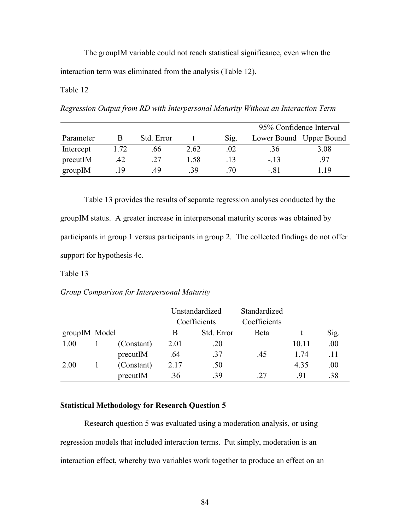The groupIM variable could not reach statistical significance, even when the interaction term was eliminated from the analysis (Table 12).

# Table 12

*Regression Output from RD with Interpersonal Maturity Without an Interaction Term*

|           |      |            |      |      | 95% Confidence Interval |      |  |
|-----------|------|------------|------|------|-------------------------|------|--|
| Parameter |      | Std. Error |      | Sig. | Lower Bound Upper Bound |      |  |
| Intercept | 1.72 | .66        | 2.62 | .02  | .36                     | 3.08 |  |
| precutIM  | .42  | .27        | 1.58 | .13  | $-13$                   | .97  |  |
| groupIM   | 19   | 49         | -39  | -70  | - 81                    | -19  |  |

Table 13 provides the results of separate regression analyses conducted by the groupIM status. A greater increase in interpersonal maturity scores was obtained by participants in group 1 versus participants in group 2. The collected findings do not offer support for hypothesis 4c.

## Table 13

# *Group Comparison for Interpersonal Maturity*

|               |  |            | Unstandardized |            | Standardized |       |      |
|---------------|--|------------|----------------|------------|--------------|-------|------|
|               |  |            | Coefficients   |            | Coefficients |       |      |
| groupIM Model |  |            | B              | Std. Error | Beta         |       | Sig. |
| 1.00          |  | (Constant) | 2.01           | .20        |              | 10.11 | .00  |
|               |  | precutIM   | .64            | .37        | .45          | 1 74  | .11  |
| 2.00          |  | (Constant) | 2.17           | .50        |              | 4.35  | .00  |
|               |  | precutIM   | .36            | .39        | 27           | -91   | .38  |

# **Statistical Methodology for Research Question 5**

Research question 5 was evaluated using a moderation analysis, or using regression models that included interaction terms. Put simply, moderation is an interaction effect, whereby two variables work together to produce an effect on an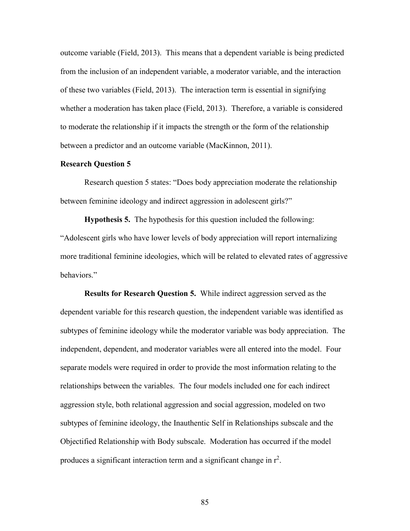outcome variable (Field, 2013). This means that a dependent variable is being predicted from the inclusion of an independent variable, a moderator variable, and the interaction of these two variables (Field, 2013). The interaction term is essential in signifying whether a moderation has taken place (Field, 2013). Therefore, a variable is considered to moderate the relationship if it impacts the strength or the form of the relationship between a predictor and an outcome variable (MacKinnon, 2011).

# **Research Question 5**

Research question 5 states: "Does body appreciation moderate the relationship between feminine ideology and indirect aggression in adolescent girls?"

**Hypothesis 5.** The hypothesis for this question included the following: "Adolescent girls who have lower levels of body appreciation will report internalizing more traditional feminine ideologies, which will be related to elevated rates of aggressive behaviors."

**Results for Research Question 5.** While indirect aggression served as the dependent variable for this research question, the independent variable was identified as subtypes of feminine ideology while the moderator variable was body appreciation. The independent, dependent, and moderator variables were all entered into the model. Four separate models were required in order to provide the most information relating to the relationships between the variables. The four models included one for each indirect aggression style, both relational aggression and social aggression, modeled on two subtypes of feminine ideology, the Inauthentic Self in Relationships subscale and the Objectified Relationship with Body subscale. Moderation has occurred if the model produces a significant interaction term and a significant change in  $r^2$ .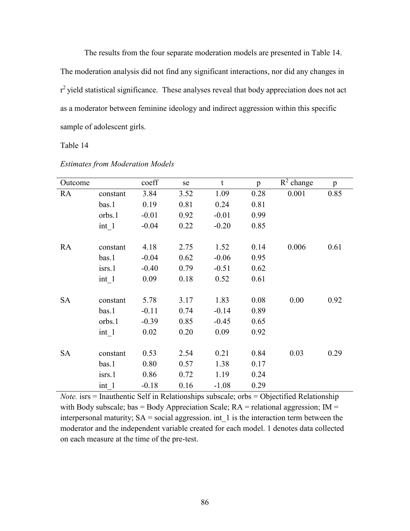The results from the four separate moderation models are presented in Table 14. The moderation analysis did not find any significant interactions, nor did any changes in  $r^2$  yield statistical significance. These analyses reveal that body appreciation does not act as a moderator between feminine ideology and indirect aggression within this specific sample of adolescent girls.

Table 14

| Outcome   |          | coeff   | se   | $\mathbf t$ | p    | $R^2$ change | p    |
|-----------|----------|---------|------|-------------|------|--------------|------|
| RA        | constant | 3.84    | 3.52 | 1.09        | 0.28 | 0.001        | 0.85 |
|           | bas.1    | 0.19    | 0.81 | 0.24        | 0.81 |              |      |
|           | orbs.1   | $-0.01$ | 0.92 | $-0.01$     | 0.99 |              |      |
|           | int 1    | $-0.04$ | 0.22 | $-0.20$     | 0.85 |              |      |
|           |          |         |      |             |      |              |      |
| RA        | constant | 4.18    | 2.75 | 1.52        | 0.14 | 0.006        | 0.61 |
|           | bas.1    | $-0.04$ | 0.62 | $-0.06$     | 0.95 |              |      |
|           | isrs.1   | $-0.40$ | 0.79 | $-0.51$     | 0.62 |              |      |
|           | int 1    | 0.09    | 0.18 | 0.52        | 0.61 |              |      |
|           |          |         |      |             |      |              |      |
| <b>SA</b> | constant | 5.78    | 3.17 | 1.83        | 0.08 | 0.00         | 0.92 |
|           | bas.1    | $-0.11$ | 0.74 | $-0.14$     | 0.89 |              |      |
|           | orbs.1   | $-0.39$ | 0.85 | $-0.45$     | 0.65 |              |      |
|           | int 1    | 0.02    | 0.20 | 0.09        | 0.92 |              |      |
|           |          |         |      |             |      |              |      |
| <b>SA</b> | constant | 0.53    | 2.54 | 0.21        | 0.84 | 0.03         | 0.29 |
|           | bas.1    | 0.80    | 0.57 | 1.38        | 0.17 |              |      |
|           | isrs.1   | 0.86    | 0.72 | 1.19        | 0.24 |              |      |
|           | $int_1$  | $-0.18$ | 0.16 | $-1.08$     | 0.29 |              |      |

*Estimates from Moderation Models*

*Note.* isrs = Inauthentic Self in Relationships subscale; orbs = Objectified Relationship with Body subscale; bas = Body Appreciation Scale;  $RA$  = relational aggression;  $IM$  = interpersonal maturity;  $SA = social$  aggression. int 1 is the interaction term between the moderator and the independent variable created for each model. 1 denotes data collected on each measure at the time of the pre-test.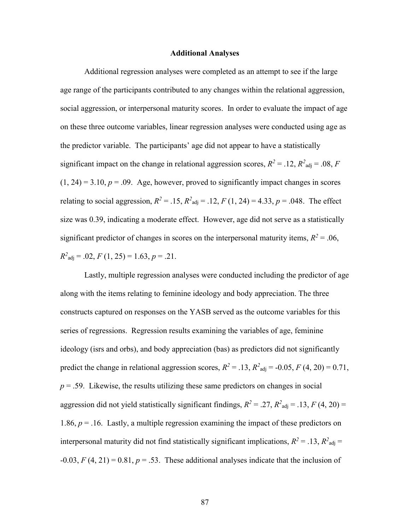#### **Additional Analyses**

Additional regression analyses were completed as an attempt to see if the large age range of the participants contributed to any changes within the relational aggression, social aggression, or interpersonal maturity scores. In order to evaluate the impact of age on these three outcome variables, linear regression analyses were conducted using age as the predictor variable. The participants' age did not appear to have a statistically significant impact on the change in relational aggression scores,  $R^2 = .12$ ,  $R^2_{\text{adj}} = .08$ , *F*  $(1, 24) = 3.10, p = .09$ . Age, however, proved to significantly impact changes in scores relating to social aggression,  $R^2 = .15$ ,  $R^2$ <sub>adj</sub> = .12,  $F(1, 24) = 4.33$ ,  $p = .048$ . The effect size was 0.39, indicating a moderate effect. However, age did not serve as a statistically significant predictor of changes in scores on the interpersonal maturity items,  $R^2 = .06$ ,  $R^2_{\text{adj}} = .02, F(1, 25) = 1.63, p = .21.$ 

Lastly, multiple regression analyses were conducted including the predictor of age along with the items relating to feminine ideology and body appreciation. The three constructs captured on responses on the YASB served as the outcome variables for this series of regressions. Regression results examining the variables of age, feminine ideology (isrs and orbs), and body appreciation (bas) as predictors did not significantly predict the change in relational aggression scores,  $R^2 = .13$ ,  $R^2$ <sub>adj</sub> = -0.05, *F* (4, 20) = 0.71,  $p = 0.59$ . Likewise, the results utilizing these same predictors on changes in social aggression did not yield statistically significant findings,  $R^2 = .27$ ,  $R^2$ <sub>adj</sub> = .13, *F* (4, 20) = 1.86,  $p = 0.16$ . Lastly, a multiple regression examining the impact of these predictors on interpersonal maturity did not find statistically significant implications,  $R^2 = .13$ ,  $R^2$ <sub>adj</sub> =  $-0.03$ ,  $F(4, 21) = 0.81$ ,  $p = .53$ . These additional analyses indicate that the inclusion of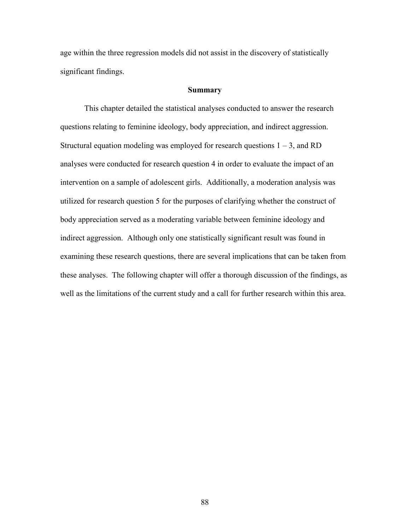age within the three regression models did not assist in the discovery of statistically significant findings.

# **Summary**

This chapter detailed the statistical analyses conducted to answer the research questions relating to feminine ideology, body appreciation, and indirect aggression. Structural equation modeling was employed for research questions  $1 - 3$ , and RD analyses were conducted for research question 4 in order to evaluate the impact of an intervention on a sample of adolescent girls. Additionally, a moderation analysis was utilized for research question 5 for the purposes of clarifying whether the construct of body appreciation served as a moderating variable between feminine ideology and indirect aggression. Although only one statistically significant result was found in examining these research questions, there are several implications that can be taken from these analyses. The following chapter will offer a thorough discussion of the findings, as well as the limitations of the current study and a call for further research within this area.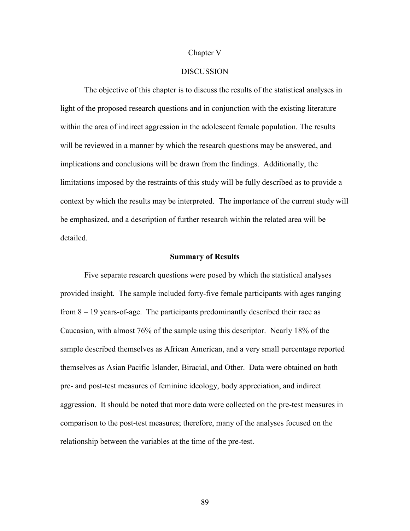#### Chapter V

# DISCUSSION

The objective of this chapter is to discuss the results of the statistical analyses in light of the proposed research questions and in conjunction with the existing literature within the area of indirect aggression in the adolescent female population. The results will be reviewed in a manner by which the research questions may be answered, and implications and conclusions will be drawn from the findings. Additionally, the limitations imposed by the restraints of this study will be fully described as to provide a context by which the results may be interpreted. The importance of the current study will be emphasized, and a description of further research within the related area will be detailed.

#### **Summary of Results**

Five separate research questions were posed by which the statistical analyses provided insight. The sample included forty-five female participants with ages ranging from 8 – 19 years-of-age. The participants predominantly described their race as Caucasian, with almost 76% of the sample using this descriptor. Nearly 18% of the sample described themselves as African American, and a very small percentage reported themselves as Asian Pacific Islander, Biracial, and Other. Data were obtained on both pre- and post-test measures of feminine ideology, body appreciation, and indirect aggression. It should be noted that more data were collected on the pre-test measures in comparison to the post-test measures; therefore, many of the analyses focused on the relationship between the variables at the time of the pre-test.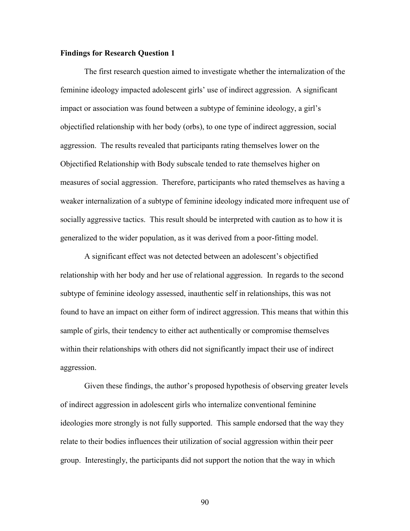# **Findings for Research Question 1**

The first research question aimed to investigate whether the internalization of the feminine ideology impacted adolescent girls' use of indirect aggression. A significant impact or association was found between a subtype of feminine ideology, a girl's objectified relationship with her body (orbs), to one type of indirect aggression, social aggression. The results revealed that participants rating themselves lower on the Objectified Relationship with Body subscale tended to rate themselves higher on measures of social aggression. Therefore, participants who rated themselves as having a weaker internalization of a subtype of feminine ideology indicated more infrequent use of socially aggressive tactics. This result should be interpreted with caution as to how it is generalized to the wider population, as it was derived from a poor-fitting model.

A significant effect was not detected between an adolescent's objectified relationship with her body and her use of relational aggression. In regards to the second subtype of feminine ideology assessed, inauthentic self in relationships, this was not found to have an impact on either form of indirect aggression. This means that within this sample of girls, their tendency to either act authentically or compromise themselves within their relationships with others did not significantly impact their use of indirect aggression.

Given these findings, the author's proposed hypothesis of observing greater levels of indirect aggression in adolescent girls who internalize conventional feminine ideologies more strongly is not fully supported. This sample endorsed that the way they relate to their bodies influences their utilization of social aggression within their peer group. Interestingly, the participants did not support the notion that the way in which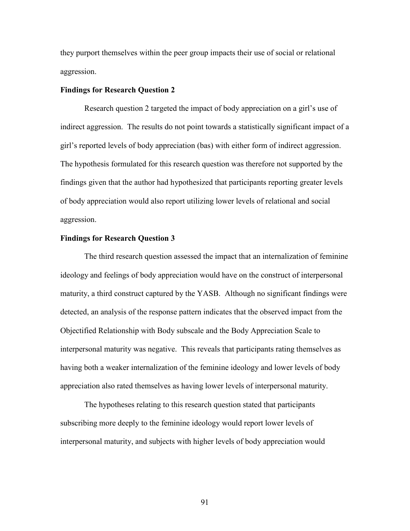they purport themselves within the peer group impacts their use of social or relational aggression.

### **Findings for Research Question 2**

Research question 2 targeted the impact of body appreciation on a girl's use of indirect aggression. The results do not point towards a statistically significant impact of a girl's reported levels of body appreciation (bas) with either form of indirect aggression. The hypothesis formulated for this research question was therefore not supported by the findings given that the author had hypothesized that participants reporting greater levels of body appreciation would also report utilizing lower levels of relational and social aggression.

### **Findings for Research Question 3**

The third research question assessed the impact that an internalization of feminine ideology and feelings of body appreciation would have on the construct of interpersonal maturity, a third construct captured by the YASB. Although no significant findings were detected, an analysis of the response pattern indicates that the observed impact from the Objectified Relationship with Body subscale and the Body Appreciation Scale to interpersonal maturity was negative. This reveals that participants rating themselves as having both a weaker internalization of the feminine ideology and lower levels of body appreciation also rated themselves as having lower levels of interpersonal maturity.

The hypotheses relating to this research question stated that participants subscribing more deeply to the feminine ideology would report lower levels of interpersonal maturity, and subjects with higher levels of body appreciation would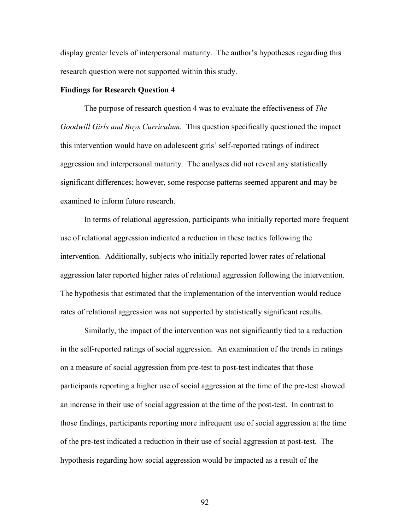display greater levels of interpersonal maturity. The author's hypotheses regarding this research question were not supported within this study.

### **Findings for Research Question 4**

The purpose of research question 4 was to evaluate the effectiveness of *The Goodwill Girls and Boys Curriculum.* This question specifically questioned the impact this intervention would have on adolescent girls' self-reported ratings of indirect aggression and interpersonal maturity. The analyses did not reveal any statistically significant differences; however, some response patterns seemed apparent and may be examined to inform future research.

In terms of relational aggression, participants who initially reported more frequent use of relational aggression indicated a reduction in these tactics following the intervention. Additionally, subjects who initially reported lower rates of relational aggression later reported higher rates of relational aggression following the intervention. The hypothesis that estimated that the implementation of the intervention would reduce rates of relational aggression was not supported by statistically significant results.

Similarly, the impact of the intervention was not significantly tied to a reduction in the self-reported ratings of social aggression. An examination of the trends in ratings on a measure of social aggression from pre-test to post-test indicates that those participants reporting a higher use of social aggression at the time of the pre-test showed an increase in their use of social aggression at the time of the post-test. In contrast to those findings, participants reporting more infrequent use of social aggression at the time of the pre-test indicated a reduction in their use of social aggression at post-test. The hypothesis regarding how social aggression would be impacted as a result of the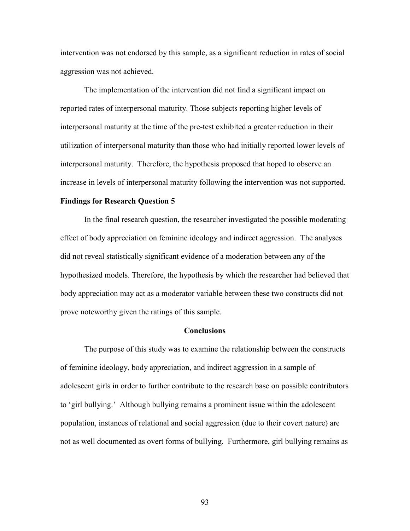intervention was not endorsed by this sample, as a significant reduction in rates of social aggression was not achieved.

The implementation of the intervention did not find a significant impact on reported rates of interpersonal maturity. Those subjects reporting higher levels of interpersonal maturity at the time of the pre-test exhibited a greater reduction in their utilization of interpersonal maturity than those who had initially reported lower levels of interpersonal maturity. Therefore, the hypothesis proposed that hoped to observe an increase in levels of interpersonal maturity following the intervention was not supported.

### **Findings for Research Question 5**

In the final research question, the researcher investigated the possible moderating effect of body appreciation on feminine ideology and indirect aggression. The analyses did not reveal statistically significant evidence of a moderation between any of the hypothesized models. Therefore, the hypothesis by which the researcher had believed that body appreciation may act as a moderator variable between these two constructs did not prove noteworthy given the ratings of this sample.

### **Conclusions**

The purpose of this study was to examine the relationship between the constructs of feminine ideology, body appreciation, and indirect aggression in a sample of adolescent girls in order to further contribute to the research base on possible contributors to 'girl bullying.' Although bullying remains a prominent issue within the adolescent population, instances of relational and social aggression (due to their covert nature) are not as well documented as overt forms of bullying. Furthermore, girl bullying remains as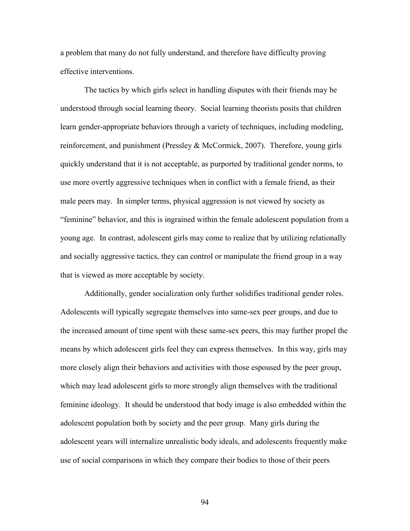a problem that many do not fully understand, and therefore have difficulty proving effective interventions.

The tactics by which girls select in handling disputes with their friends may be understood through social learning theory. Social learning theorists posits that children learn gender-appropriate behaviors through a variety of techniques, including modeling, reinforcement, and punishment (Pressley & McCormick, 2007). Therefore, young girls quickly understand that it is not acceptable, as purported by traditional gender norms, to use more overtly aggressive techniques when in conflict with a female friend, as their male peers may. In simpler terms, physical aggression is not viewed by society as "feminine" behavior, and this is ingrained within the female adolescent population from a young age. In contrast, adolescent girls may come to realize that by utilizing relationally and socially aggressive tactics, they can control or manipulate the friend group in a way that is viewed as more acceptable by society.

Additionally, gender socialization only further solidifies traditional gender roles. Adolescents will typically segregate themselves into same-sex peer groups, and due to the increased amount of time spent with these same-sex peers, this may further propel the means by which adolescent girls feel they can express themselves. In this way, girls may more closely align their behaviors and activities with those espoused by the peer group, which may lead adolescent girls to more strongly align themselves with the traditional feminine ideology. It should be understood that body image is also embedded within the adolescent population both by society and the peer group. Many girls during the adolescent years will internalize unrealistic body ideals, and adolescents frequently make use of social comparisons in which they compare their bodies to those of their peers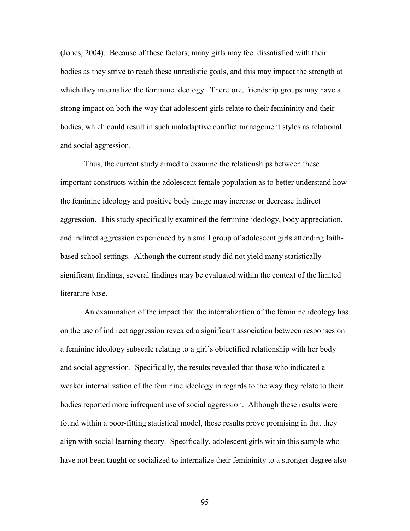(Jones, 2004). Because of these factors, many girls may feel dissatisfied with their bodies as they strive to reach these unrealistic goals, and this may impact the strength at which they internalize the feminine ideology. Therefore, friendship groups may have a strong impact on both the way that adolescent girls relate to their femininity and their bodies, which could result in such maladaptive conflict management styles as relational and social aggression.

Thus, the current study aimed to examine the relationships between these important constructs within the adolescent female population as to better understand how the feminine ideology and positive body image may increase or decrease indirect aggression. This study specifically examined the feminine ideology, body appreciation, and indirect aggression experienced by a small group of adolescent girls attending faithbased school settings. Although the current study did not yield many statistically significant findings, several findings may be evaluated within the context of the limited literature base.

An examination of the impact that the internalization of the feminine ideology has on the use of indirect aggression revealed a significant association between responses on a feminine ideology subscale relating to a girl's objectified relationship with her body and social aggression. Specifically, the results revealed that those who indicated a weaker internalization of the feminine ideology in regards to the way they relate to their bodies reported more infrequent use of social aggression. Although these results were found within a poor-fitting statistical model, these results prove promising in that they align with social learning theory. Specifically, adolescent girls within this sample who have not been taught or socialized to internalize their femininity to a stronger degree also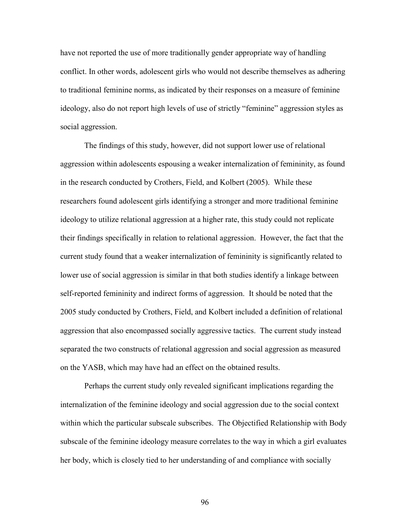have not reported the use of more traditionally gender appropriate way of handling conflict. In other words, adolescent girls who would not describe themselves as adhering to traditional feminine norms, as indicated by their responses on a measure of feminine ideology, also do not report high levels of use of strictly "feminine" aggression styles as social aggression.

The findings of this study, however, did not support lower use of relational aggression within adolescents espousing a weaker internalization of femininity, as found in the research conducted by Crothers, Field, and Kolbert (2005). While these researchers found adolescent girls identifying a stronger and more traditional feminine ideology to utilize relational aggression at a higher rate, this study could not replicate their findings specifically in relation to relational aggression. However, the fact that the current study found that a weaker internalization of femininity is significantly related to lower use of social aggression is similar in that both studies identify a linkage between self-reported femininity and indirect forms of aggression. It should be noted that the 2005 study conducted by Crothers, Field, and Kolbert included a definition of relational aggression that also encompassed socially aggressive tactics. The current study instead separated the two constructs of relational aggression and social aggression as measured on the YASB, which may have had an effect on the obtained results.

Perhaps the current study only revealed significant implications regarding the internalization of the feminine ideology and social aggression due to the social context within which the particular subscale subscribes. The Objectified Relationship with Body subscale of the feminine ideology measure correlates to the way in which a girl evaluates her body, which is closely tied to her understanding of and compliance with socially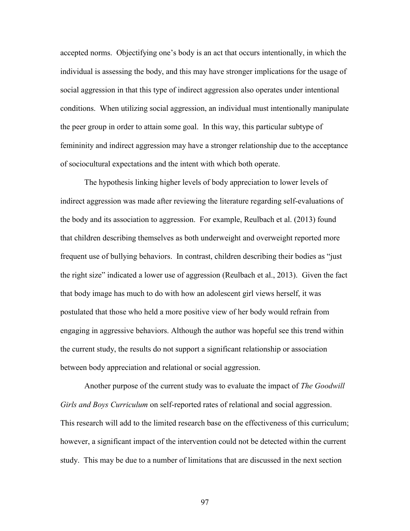accepted norms. Objectifying one's body is an act that occurs intentionally, in which the individual is assessing the body, and this may have stronger implications for the usage of social aggression in that this type of indirect aggression also operates under intentional conditions. When utilizing social aggression, an individual must intentionally manipulate the peer group in order to attain some goal. In this way, this particular subtype of femininity and indirect aggression may have a stronger relationship due to the acceptance of sociocultural expectations and the intent with which both operate.

The hypothesis linking higher levels of body appreciation to lower levels of indirect aggression was made after reviewing the literature regarding self-evaluations of the body and its association to aggression. For example, Reulbach et al. (2013) found that children describing themselves as both underweight and overweight reported more frequent use of bullying behaviors. In contrast, children describing their bodies as "just the right size" indicated a lower use of aggression (Reulbach et al., 2013). Given the fact that body image has much to do with how an adolescent girl views herself, it was postulated that those who held a more positive view of her body would refrain from engaging in aggressive behaviors. Although the author was hopeful see this trend within the current study, the results do not support a significant relationship or association between body appreciation and relational or social aggression.

Another purpose of the current study was to evaluate the impact of *The Goodwill Girls and Boys Curriculum* on self-reported rates of relational and social aggression. This research will add to the limited research base on the effectiveness of this curriculum; however, a significant impact of the intervention could not be detected within the current study. This may be due to a number of limitations that are discussed in the next section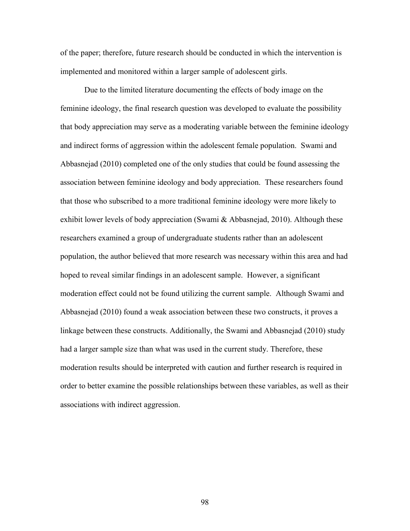of the paper; therefore, future research should be conducted in which the intervention is implemented and monitored within a larger sample of adolescent girls.

Due to the limited literature documenting the effects of body image on the feminine ideology, the final research question was developed to evaluate the possibility that body appreciation may serve as a moderating variable between the feminine ideology and indirect forms of aggression within the adolescent female population. Swami and Abbasnejad (2010) completed one of the only studies that could be found assessing the association between feminine ideology and body appreciation. These researchers found that those who subscribed to a more traditional feminine ideology were more likely to exhibit lower levels of body appreciation (Swami  $\&$  Abbasnejad, 2010). Although these researchers examined a group of undergraduate students rather than an adolescent population, the author believed that more research was necessary within this area and had hoped to reveal similar findings in an adolescent sample. However, a significant moderation effect could not be found utilizing the current sample. Although Swami and Abbasnejad (2010) found a weak association between these two constructs, it proves a linkage between these constructs. Additionally, the Swami and Abbasnejad (2010) study had a larger sample size than what was used in the current study. Therefore, these moderation results should be interpreted with caution and further research is required in order to better examine the possible relationships between these variables, as well as their associations with indirect aggression.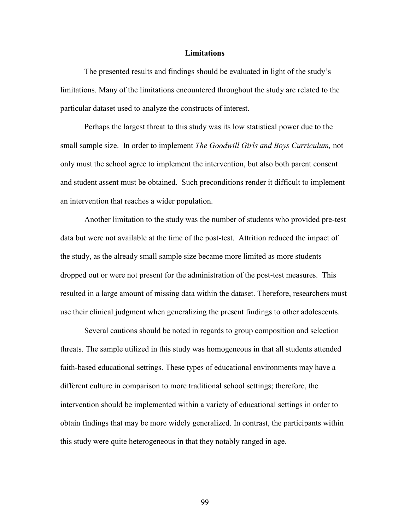## **Limitations**

The presented results and findings should be evaluated in light of the study's limitations. Many of the limitations encountered throughout the study are related to the particular dataset used to analyze the constructs of interest.

Perhaps the largest threat to this study was its low statistical power due to the small sample size. In order to implement *The Goodwill Girls and Boys Curriculum,* not only must the school agree to implement the intervention, but also both parent consent and student assent must be obtained. Such preconditions render it difficult to implement an intervention that reaches a wider population.

Another limitation to the study was the number of students who provided pre-test data but were not available at the time of the post-test. Attrition reduced the impact of the study, as the already small sample size became more limited as more students dropped out or were not present for the administration of the post-test measures. This resulted in a large amount of missing data within the dataset. Therefore, researchers must use their clinical judgment when generalizing the present findings to other adolescents.

Several cautions should be noted in regards to group composition and selection threats. The sample utilized in this study was homogeneous in that all students attended faith-based educational settings. These types of educational environments may have a different culture in comparison to more traditional school settings; therefore, the intervention should be implemented within a variety of educational settings in order to obtain findings that may be more widely generalized. In contrast, the participants within this study were quite heterogeneous in that they notably ranged in age.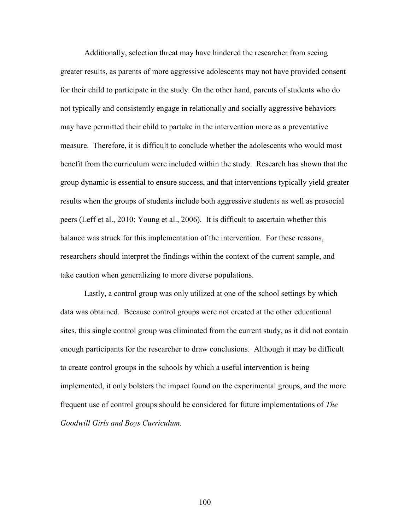Additionally, selection threat may have hindered the researcher from seeing greater results, as parents of more aggressive adolescents may not have provided consent for their child to participate in the study. On the other hand, parents of students who do not typically and consistently engage in relationally and socially aggressive behaviors may have permitted their child to partake in the intervention more as a preventative measure. Therefore, it is difficult to conclude whether the adolescents who would most benefit from the curriculum were included within the study. Research has shown that the group dynamic is essential to ensure success, and that interventions typically yield greater results when the groups of students include both aggressive students as well as prosocial peers (Leff et al., 2010; Young et al., 2006). It is difficult to ascertain whether this balance was struck for this implementation of the intervention. For these reasons, researchers should interpret the findings within the context of the current sample, and take caution when generalizing to more diverse populations.

Lastly, a control group was only utilized at one of the school settings by which data was obtained. Because control groups were not created at the other educational sites, this single control group was eliminated from the current study, as it did not contain enough participants for the researcher to draw conclusions. Although it may be difficult to create control groups in the schools by which a useful intervention is being implemented, it only bolsters the impact found on the experimental groups, and the more frequent use of control groups should be considered for future implementations of *The Goodwill Girls and Boys Curriculum.*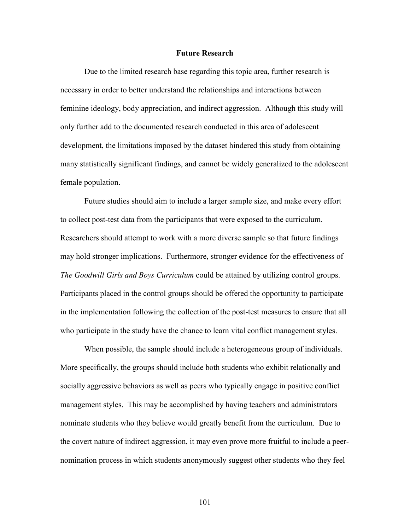## **Future Research**

Due to the limited research base regarding this topic area, further research is necessary in order to better understand the relationships and interactions between feminine ideology, body appreciation, and indirect aggression. Although this study will only further add to the documented research conducted in this area of adolescent development, the limitations imposed by the dataset hindered this study from obtaining many statistically significant findings, and cannot be widely generalized to the adolescent female population.

Future studies should aim to include a larger sample size, and make every effort to collect post-test data from the participants that were exposed to the curriculum. Researchers should attempt to work with a more diverse sample so that future findings may hold stronger implications. Furthermore, stronger evidence for the effectiveness of *The Goodwill Girls and Boys Curriculum* could be attained by utilizing control groups. Participants placed in the control groups should be offered the opportunity to participate in the implementation following the collection of the post-test measures to ensure that all who participate in the study have the chance to learn vital conflict management styles.

When possible, the sample should include a heterogeneous group of individuals. More specifically, the groups should include both students who exhibit relationally and socially aggressive behaviors as well as peers who typically engage in positive conflict management styles. This may be accomplished by having teachers and administrators nominate students who they believe would greatly benefit from the curriculum. Due to the covert nature of indirect aggression, it may even prove more fruitful to include a peernomination process in which students anonymously suggest other students who they feel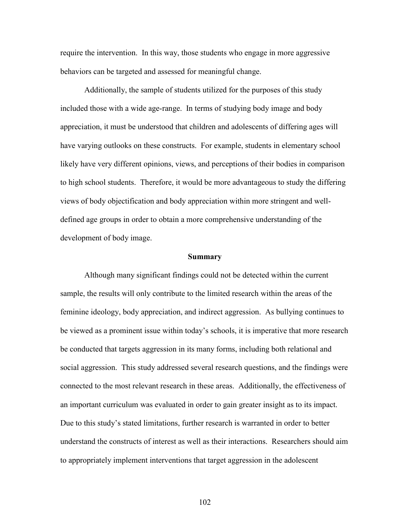require the intervention. In this way, those students who engage in more aggressive behaviors can be targeted and assessed for meaningful change.

Additionally, the sample of students utilized for the purposes of this study included those with a wide age-range. In terms of studying body image and body appreciation, it must be understood that children and adolescents of differing ages will have varying outlooks on these constructs. For example, students in elementary school likely have very different opinions, views, and perceptions of their bodies in comparison to high school students. Therefore, it would be more advantageous to study the differing views of body objectification and body appreciation within more stringent and welldefined age groups in order to obtain a more comprehensive understanding of the development of body image.

## **Summary**

Although many significant findings could not be detected within the current sample, the results will only contribute to the limited research within the areas of the feminine ideology, body appreciation, and indirect aggression. As bullying continues to be viewed as a prominent issue within today's schools, it is imperative that more research be conducted that targets aggression in its many forms, including both relational and social aggression. This study addressed several research questions, and the findings were connected to the most relevant research in these areas. Additionally, the effectiveness of an important curriculum was evaluated in order to gain greater insight as to its impact. Due to this study's stated limitations, further research is warranted in order to better understand the constructs of interest as well as their interactions. Researchers should aim to appropriately implement interventions that target aggression in the adolescent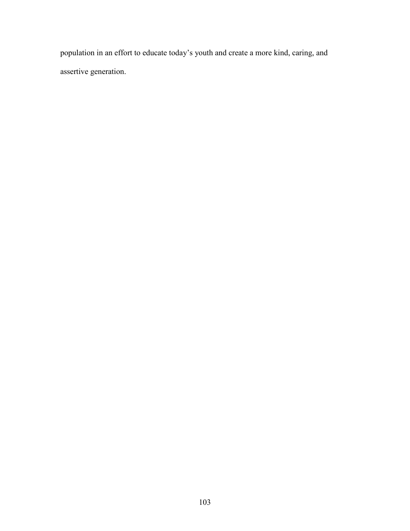population in an effort to educate today's youth and create a more kind, caring, and assertive generation.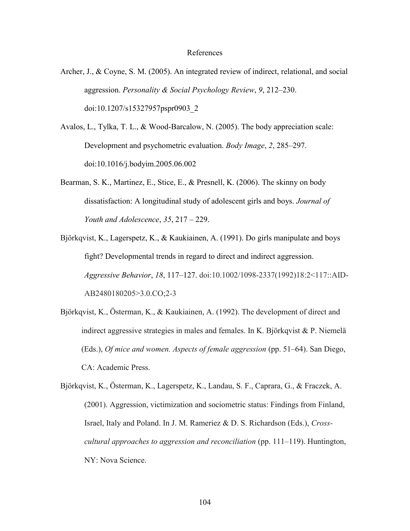## References

- Archer, J., & Coyne, S. M. (2005). An integrated review of indirect, relational, and social aggression. *Personality & Social Psychology Review*, *9*, 212–230. doi:10.1207/s15327957pspr0903\_2
- Avalos, L., Tylka, T. L., & Wood-Barcalow, N. (2005). The body appreciation scale: Development and psychometric evaluation. *Body Image*, *2*, 285–297. doi:10.1016/j.bodyim.2005.06.002
- Bearman, S. K., Martinez, E., Stice, E., & Presnell, K. (2006). The skinny on body dissatisfaction: A longitudinal study of adolescent girls and boys. *Journal of Youth and Adolescence*, *35*, 217 – 229.
- Björkqvist, K., Lagerspetz, K., & Kaukiainen, A. (1991). Do girls manipulate and boys fight? Developmental trends in regard to direct and indirect aggression. *Aggressive Behavior*, *18*, 117–127. doi:10.1002/1098-2337(1992)18:2<117::AID-AB2480180205>3.0.CO;2-3
- Björkqvist, K., Österman, K., & Kaukiainen, A. (1992). The development of direct and indirect aggressive strategies in males and females. In K. Björkqvist & P. Niemelä (Eds.), *Of mice and women. Aspects of female aggression* (pp. 51–64). San Diego, CA: Academic Press.

Björkqvist, K., Österman, K., Lagerspetz, K., Landau, S. F., Caprara, G., & Fraczek, A. (2001). Aggression, victimization and sociometric status: Findings from Finland, Israel, Italy and Poland. In J. M. Rameriez & D. S. Richardson (Eds.), *Crosscultural approaches to aggression and reconciliation* (pp. 111–119). Huntington, NY: Nova Science.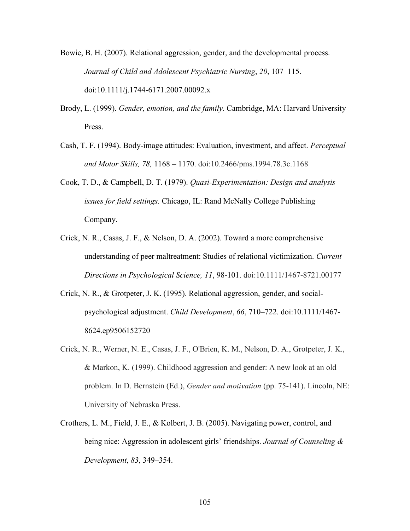Bowie, B. H. (2007). Relational aggression, gender, and the developmental process. *Journal of Child and Adolescent Psychiatric Nursing*, *20*, 107–115. doi:10.1111/j.1744-6171.2007.00092.x

- Brody, L. (1999). *Gender, emotion, and the family*. Cambridge, MA: Harvard University Press.
- Cash, T. F. (1994). Body-image attitudes: Evaluation, investment, and affect. *Perceptual and Motor Skills, 78,* 1168 – 1170. doi:10.2466/pms.1994.78.3c.1168
- Cook, T. D., & Campbell, D. T. (1979). *Quasi-Experimentation: Design and analysis issues for field settings.* Chicago, IL: Rand McNally College Publishing Company.
- Crick, N. R., Casas, J. F., & Nelson, D. A. (2002). Toward a more comprehensive understanding of peer maltreatment: Studies of relational victimization. *Current Directions in Psychological Science, 11*, 98-101. doi:10.1111/1467-8721.00177
- Crick, N. R., & Grotpeter, J. K. (1995). Relational aggression, gender, and socialpsychological adjustment. *Child Development*, *66*, 710–722. doi:10.1111/1467- 8624.ep9506152720
- Crick, N. R., Werner, N. E., Casas, J. F., O'Brien, K. M., Nelson, D. A., Grotpeter, J. K., & Markon, K. (1999). Childhood aggression and gender: A new look at an old problem. In D. Bernstein (Ed.), *Gender and motivation* (pp. 75-141). Lincoln, NE: University of Nebraska Press.
- Crothers, L. M., Field, J. E., & Kolbert, J. B. (2005). Navigating power, control, and being nice: Aggression in adolescent girls' friendships. *Journal of Counseling & Development*, *83*, 349–354.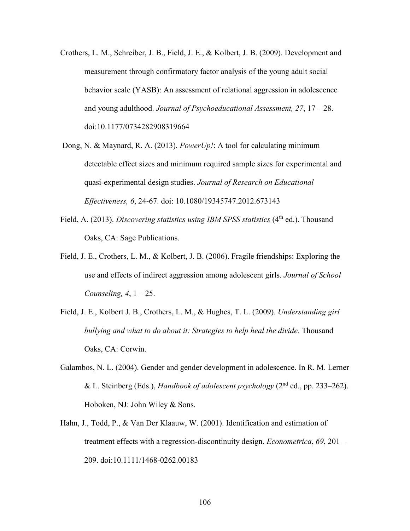- Crothers, L. M., Schreiber, J. B., Field, J. E., & Kolbert, J. B. (2009). Development and measurement through confirmatory factor analysis of the young adult social behavior scale (YASB): An assessment of relational aggression in adolescence and young adulthood. *Journal of Psychoeducational Assessment, 27*, 17 – 28. doi:10.1177/0734282908319664
- Dong, N. & Maynard, R. A. (2013). *PowerUp!*: A tool for calculating minimum detectable effect sizes and minimum required sample sizes for experimental and quasi-experimental design studies. *Journal of Research on Educational Effectiveness, 6*, 24-67. doi: 10.1080/19345747.2012.673143
- Field, A. (2013). *Discovering statistics using IBM SPSS statistics* (4<sup>th</sup> ed.). Thousand Oaks, CA: Sage Publications.
- Field, J. E., Crothers, L. M., & Kolbert, J. B. (2006). Fragile friendships: Exploring the use and effects of indirect aggression among adolescent girls. *Journal of School Counseling, 4*, 1 – 25.
- Field, J. E., Kolbert J. B., Crothers, L. M., & Hughes, T. L. (2009). *Understanding girl bullying and what to do about it: Strategies to help heal the divide.* Thousand Oaks, CA: Corwin.
- Galambos, N. L. (2004). Gender and gender development in adolescence. In R. M. Lerner & L. Steinberg (Eds.), *Handbook of adolescent psychology* (2nd ed., pp. 233–262). Hoboken, NJ: John Wiley & Sons.
- Hahn, J., Todd, P., & Van Der Klaauw, W. (2001). Identification and estimation of treatment effects with a regression-discontinuity design. *Econometrica*, *69*, 201 – 209. doi:10.1111/1468-0262.00183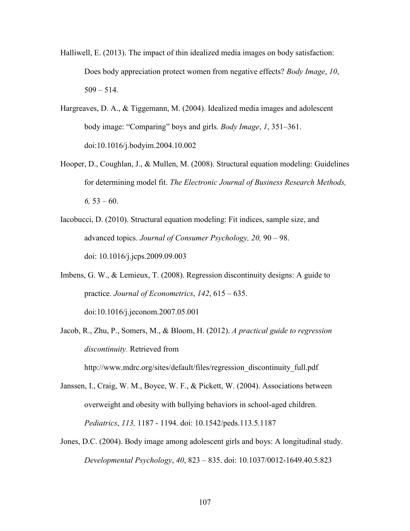- Halliwell, E. (2013). The impact of thin idealized media images on body satisfaction: Does body appreciation protect women from negative effects? *Body Image*, *10*,  $509 - 514$ .
- Hargreaves, D. A., & Tiggemann, M. (2004). Idealized media images and adolescent body image: "Comparing" boys and girls. *Body Image*, *1*, 351–361. doi:10.1016/j.bodyim.2004.10.002
- Hooper, D., Coughlan, J., & Mullen, M. (2008). Structural equation modeling: Guidelines for determining model fit. *The Electronic Journal of Business Research Methods,*   $6, 53 - 60.$
- Iacobucci, D. (2010). Structural equation modeling: Fit indices, sample size, and advanced topics. *Journal of Consumer Psychology, 20,* 90 – 98. doi: 10.1016/j.jcps.2009.09.003
- Imbens, G. W., & Lemieux, T. (2008). Regression discontinuity designs: A guide to practice. *Journal of Econometrics*, *142*, 615 – 635. [doi:10.1016/j.jeconom.2007.05.001](http://doi.org/doi:10.1016/j.jeconom.2007.05.001)
- Jacob, R., Zhu, P., Somers, M., & Bloom, H. (2012). *A practical guide to regression discontinuity.* Retrieved from

http://www.mdrc.org/sites/default/files/regression\_discontinuity\_full.pdf

- Janssen, I., Craig, W. M., Boyce, W. F., & Pickett, W. (2004). Associations between overweight and obesity with bullying behaviors in school-aged children. *Pediatrics*, *113,* 1187 - 1194. doi: 10.1542/peds.113.5.1187
- Jones, D.C. (2004). Body image among adolescent girls and boys: A longitudinal study. *Developmental Psychology*, *40*, 823 – 835. doi: 10.1037/0012-1649.40.5.823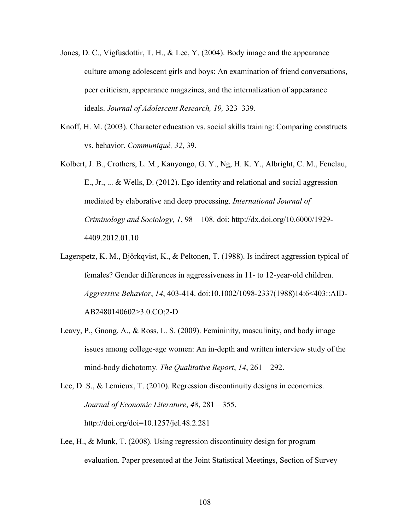- Jones, D. C., Vigfusdottir, T. H., & Lee, Y. (2004). Body image and the appearance culture among adolescent girls and boys: An examination of friend conversations, peer criticism, appearance magazines, and the internalization of appearance ideals. *Journal of Adolescent Research, 19,* 323–339.
- Knoff, H. M. (2003). Character education vs. social skills training: Comparing constructs vs. behavior. *Communiqué, 32*, 39.
- Kolbert, J. B., Crothers, L. M., Kanyongo, G. Y., Ng, H. K. Y., Albright, C. M., Fenclau, E., Jr., ... & Wells, D. (2012). Ego identity and relational and social aggression mediated by elaborative and deep processing. *International Journal of Criminology and Sociology, 1*, 98 – 108. doi: http://dx.doi.org/10.6000/1929- 4409.2012.01.10
- Lagerspetz, K. M., Björkqvist, K., & Peltonen, T. (1988). Is indirect aggression typical of females? Gender differences in aggressiveness in 11- to 12-year-old children. *Aggressive Behavior*, *14*, 403-414. doi:10.1002/1098-2337(1988)14:6<403::AID-AB2480140602>3.0.CO;2-D
- Leavy, P., Gnong, A., & Ross, L. S. (2009). Femininity, masculinity, and body image issues among college-age women: An in-depth and written interview study of the mind-body dichotomy. *The Qualitative Report*, *14*, 261 – 292.
- Lee, D .S., & Lemieux, T. (2010). Regression discontinuity designs in economics. *Journal of Economic Literature*, *48*, 281 – 355. <http://doi.org/doi=10.1257/jel.48.2.281>
- Lee, H., & Munk, T. (2008). Using regression discontinuity design for program evaluation. Paper presented at the Joint Statistical Meetings, Section of Survey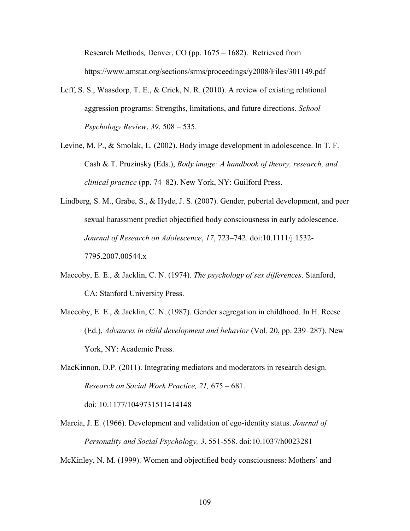Research Methods*,* Denver, CO (pp. 1675 – 1682). Retrieved from https://www.amstat.org/sections/srms/proceedings/y2008/Files/301149.pdf

- Leff, S. S., Waasdorp, T. E., & Crick, N. R. (2010). A review of existing relational aggression programs: Strengths, limitations, and future directions. *School Psychology Review*, *39*, 508 – 535.
- Levine, M. P., & Smolak, L. (2002). Body image development in adolescence. In T. F. Cash & T. Pruzinsky (Eds.), *Body image: A handbook of theory, research, and clinical practice* (pp. 74–82). New York, NY: Guilford Press.
- Lindberg, S. M., Grabe, S., & Hyde, J. S. (2007). Gender, pubertal development, and peer sexual harassment predict objectified body consciousness in early adolescence. *Journal of Research on Adolescence*, *17*, 723–742. doi:10.1111/j.1532- 7795.2007.00544.x
- Maccoby, E. E., & Jacklin, C. N. (1974). *The psychology of sex differences*. Stanford, CA: Stanford University Press.
- Maccoby, E. E., & Jacklin, C. N. (1987). Gender segregation in childhood. In H. Reese (Ed.), *Advances in child development and behavior* (Vol. 20, pp. 239–287). New York, NY: Academic Press.

MacKinnon, D.P. (2011). Integrating mediators and moderators in research design. *Research on Social Work Practice, 21,* 675 – 681. doi: 10.1177/1049731511414148

Marcia, J. E. (1966). Development and validation of ego-identity status. *Journal of Personality and Social Psychology, 3*, 551-558. doi:10.1037/h0023281

McKinley, N. M. (1999). Women and objectified body consciousness: Mothers' and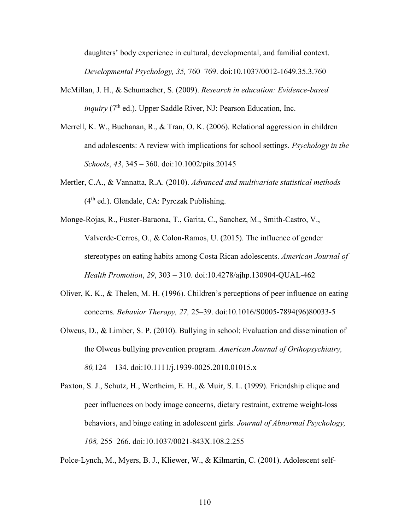daughters' body experience in cultural, developmental, and familial context. *Developmental Psychology, 35,* 760–769. doi:10.1037/0012-1649.35.3.760

- McMillan, J. H., & Schumacher, S. (2009). *Research in education: Evidence-based inquiry*  $(7<sup>th</sup>$  ed.). Upper Saddle River, NJ: Pearson Education, Inc.
- Merrell, K. W., Buchanan, R., & Tran, O. K. (2006). Relational aggression in children and adolescents: A review with implications for school settings. *Psychology in the Schools*, *43*, 345 – 360. doi:10.1002/pits.20145
- Mertler, C.A., & Vannatta, R.A. (2010). *Advanced and multivariate statistical methods*  $(4<sup>th</sup>$  ed.). Glendale, CA: Pyrczak Publishing.
- Monge-Rojas, R., Fuster-Baraona, T., Garita, C., Sanchez, M., Smith-Castro, V., Valverde-Cerros, O., & Colon-Ramos, U. (2015). The influence of gender stereotypes on eating habits among Costa Rican adolescents. *American Journal of Health Promotion*, *29*, 303 – 310. doi:10.4278/ajhp.130904-QUAL-462
- Oliver, K. K., & Thelen, M. H. (1996). Children's perceptions of peer influence on eating concerns. *Behavior Therapy, 27,* 25–39. doi:10.1016/S0005-7894(96)80033-5
- Olweus, D., & Limber, S. P. (2010). Bullying in school: Evaluation and dissemination of the Olweus bullying prevention program. *American Journal of Orthopsychiatry, 80,*124 – 134. doi:10.1111/j.1939-0025.2010.01015.x
- Paxton, S. J., Schutz, H., Wertheim, E. H., & Muir, S. L. (1999). Friendship clique and peer influences on body image concerns, dietary restraint, extreme weight-loss behaviors, and binge eating in adolescent girls. *Journal of Abnormal Psychology, 108,* 255–266. doi:10.1037/0021-843X.108.2.255

Polce-Lynch, M., Myers, B. J., Kliewer, W., & Kilmartin, C. (2001). Adolescent self-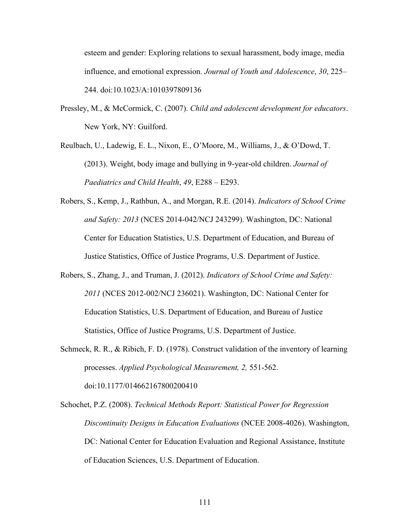esteem and gender: Exploring relations to sexual harassment, body image, media influence, and emotional expression. *Journal of Youth and Adolescence*, *30*, 225– 244. doi:10.1023/A:1010397809136

- Pressley, M., & McCormick, C. (2007). *Child and adolescent development for educators*. New York, NY: Guilford.
- Reulbach, U., Ladewig, E. L., Nixon, E., O'Moore, M., Williams, J., & O'Dowd, T. (2013). Weight, body image and bullying in 9-year-old children. *Journal of Paediatrics and Child Health*, *49*, E288 – E293.
- Robers, S., Kemp, J., Rathbun, A., and Morgan, R.E. (2014). *Indicators of School Crime and Safety: 2013* (NCES 2014-042/NCJ 243299). Washington, DC: National Center for Education Statistics, U.S. Department of Education, and Bureau of Justice Statistics, Office of Justice Programs, U.S. Department of Justice.
- Robers, S., Zhang, J., and Truman, J. (2012). *Indicators of School Crime and Safety: 2011* (NCES 2012-002/NCJ 236021). Washington, DC: National Center for Education Statistics, U.S. Department of Education, and Bureau of Justice Statistics, Office of Justice Programs, U.S. Department of Justice.
- Schmeck, R. R., & Ribich, F. D. (1978). Construct validation of the inventory of learning processes. *Applied Psychological Measurement, 2,* 551-562. doi:10.1177/014662167800200410

Schochet, P.Z. (2008). *Technical Methods Report: Statistical Power for Regression Discontinuity Designs in Education Evaluations* (NCEE 2008-4026). Washington, DC: National Center for Education Evaluation and Regional Assistance, Institute of Education Sciences, U.S. Department of Education.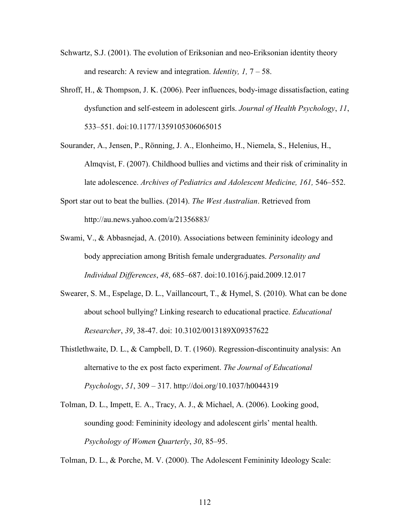- Schwartz, S.J. (2001). The evolution of Eriksonian and neo-Eriksonian identity theory and research: A review and integration. *Identity, 1,* 7 – 58.
- Shroff, H., & Thompson, J. K. (2006). Peer influences, body-image dissatisfaction, eating dysfunction and self-esteem in adolescent girls. *Journal of Health Psychology*, *11*, 533–551. doi:10.1177/1359105306065015
- Sourander, A., Jensen, P., Rönning, J. A., Elonheimo, H., Niemela, S., Helenius, H., Almqvist, F. (2007). Childhood bullies and victims and their risk of criminality in late adolescence. *Archives of Pediatrics and Adolescent Medicine, 161,* 546–552.
- Sport star out to beat the bullies. (2014). *The West Australian*. Retrieved from http://au.news.yahoo.com/a/21356883/
- Swami, V., & Abbasnejad, A. (2010). Associations between femininity ideology and body appreciation among British female undergraduates. *Personality and Individual Differences*, *48*, 685–687. doi:10.1016/j.paid.2009.12.017
- Swearer, S. M., Espelage, D. L., Vaillancourt, T., & Hymel, S. (2010). What can be done about school bullying? Linking research to educational practice. *Educational Researcher*, *39*, 38-47. doi: 10.3102/0013189X09357622
- Thistlethwaite, D. L., & Campbell, D. T. (1960). Regression-discontinuity analysis: An alternative to the ex post facto experiment. *The Journal of Educational Psychology*, *51*, 309 – 317. http://doi.org/10.1037/h0044319
- Tolman, D. L., Impett, E. A., Tracy, A. J., & Michael, A. (2006). Looking good, sounding good: Femininity ideology and adolescent girls' mental health. *Psychology of Women Quarterly*, *30*, 85–95.

Tolman, D. L., & Porche, M. V. (2000). The Adolescent Femininity Ideology Scale: